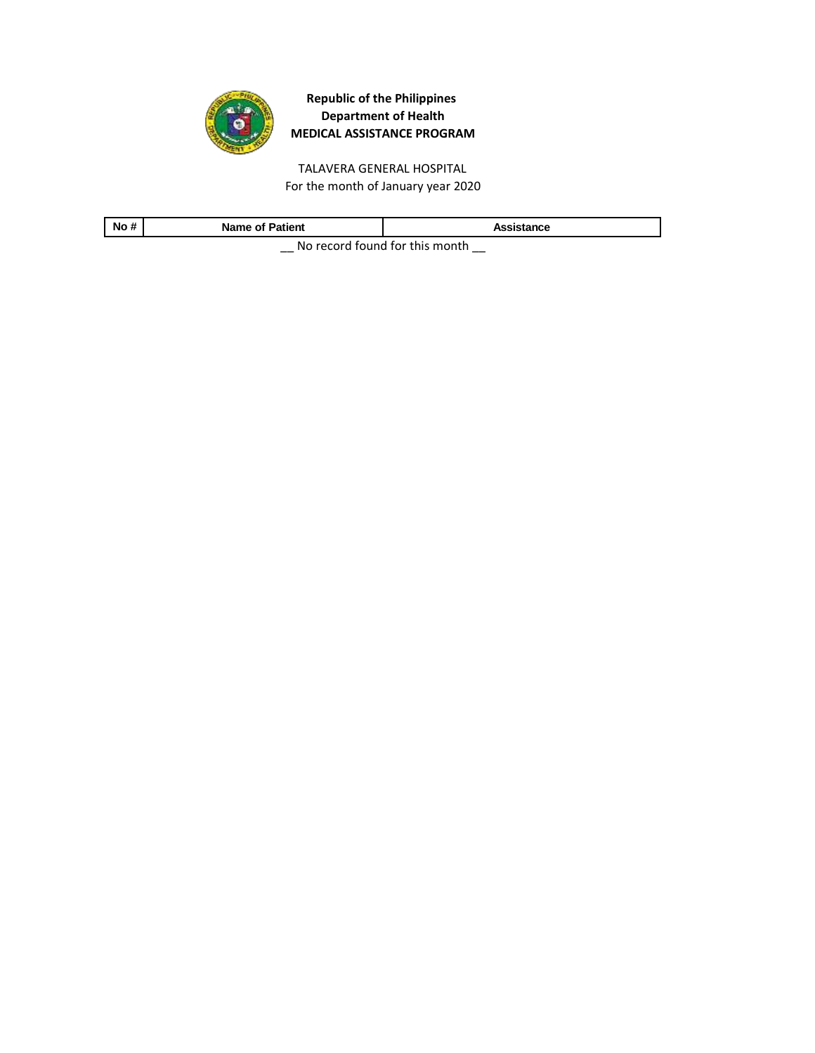

TALAVERA GENERAL HOSPITAL For the month of January year 2020

| No#                                           | <b>Name of Patient</b> | Assistance |
|-----------------------------------------------|------------------------|------------|
| All a compared from all from the top computer |                        |            |

\_\_ No record found for this month \_\_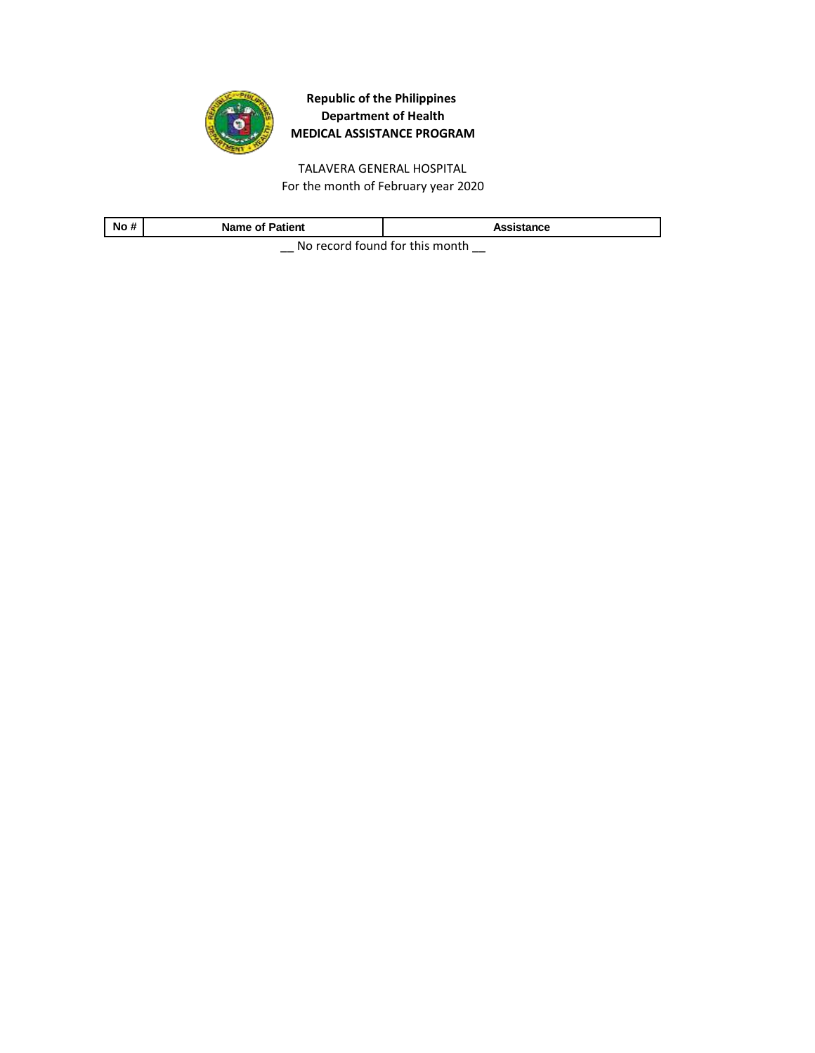

TALAVERA GENERAL HOSPITAL For the month of February year 2020

| .<br>No                                                  | <b>Name of Patient</b> | Assistance |
|----------------------------------------------------------|------------------------|------------|
| - Milano de la calendaria de la familia de la calendaria |                        |            |

\_\_ No record found for this month \_\_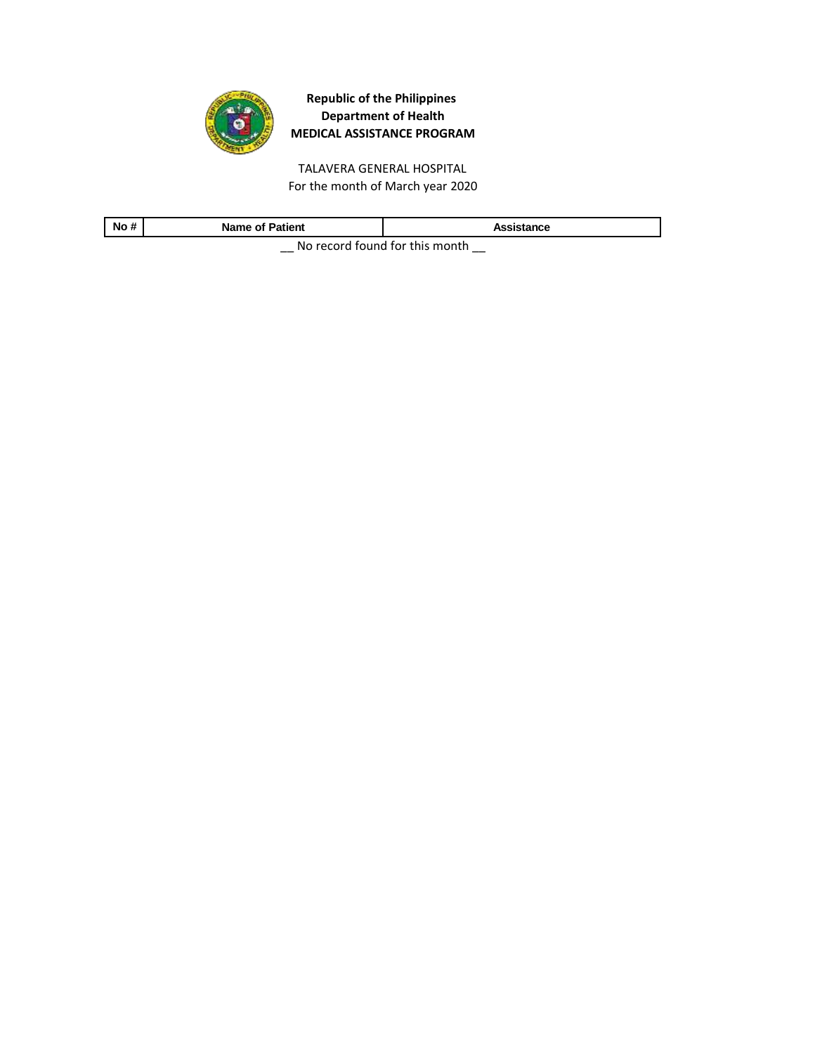

TALAVERA GENERAL HOSPITAL For the month of March year 2020

| No                               | <b>Name of Patient</b> | Assistance |
|----------------------------------|------------------------|------------|
| No recend found for this meanth. |                        |            |

 $\equiv$  No record found for this month  $\equiv$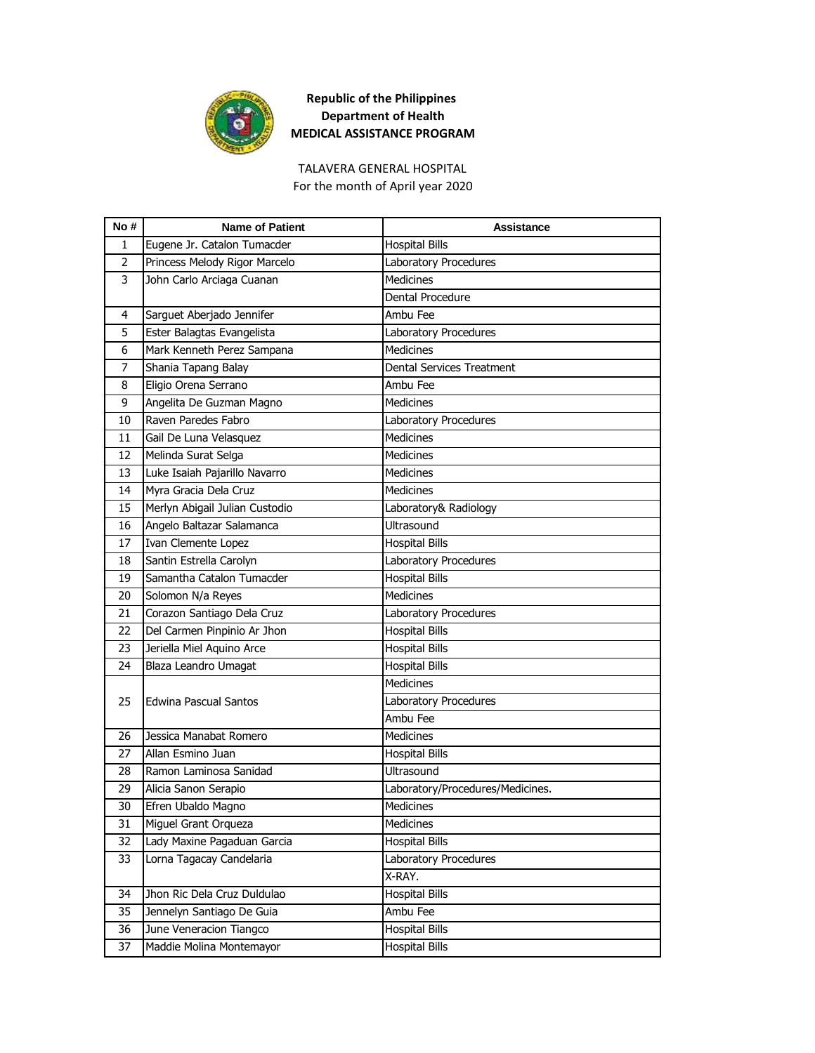

TALAVERA GENERAL HOSPITAL For the month of April year 2020

| No #           | <b>Name of Patient</b>         | <b>Assistance</b>                |
|----------------|--------------------------------|----------------------------------|
| 1              | Eugene Jr. Catalon Tumacder    | <b>Hospital Bills</b>            |
| $\overline{2}$ | Princess Melody Rigor Marcelo  | Laboratory Procedures            |
| 3              | John Carlo Arciaga Cuanan      | <b>Medicines</b>                 |
|                |                                | Dental Procedure                 |
| 4              | Sarguet Aberjado Jennifer      | Ambu Fee                         |
| 5              | Ester Balagtas Evangelista     | Laboratory Procedures            |
| 6              | Mark Kenneth Perez Sampana     | <b>Medicines</b>                 |
| 7              | Shania Tapang Balay            | Dental Services Treatment        |
| 8              | Eligio Orena Serrano           | Ambu Fee                         |
| 9              | Angelita De Guzman Magno       | <b>Medicines</b>                 |
| 10             | Raven Paredes Fabro            | Laboratory Procedures            |
| 11             | Gail De Luna Velasquez         | <b>Medicines</b>                 |
| 12             | Melinda Surat Selga            | Medicines                        |
| 13             | Luke Isaiah Pajarillo Navarro  | <b>Medicines</b>                 |
| 14             | Myra Gracia Dela Cruz          | <b>Medicines</b>                 |
| 15             | Merlyn Abigail Julian Custodio | Laboratory& Radiology            |
| 16             | Angelo Baltazar Salamanca      | Ultrasound                       |
| 17             | Ivan Clemente Lopez            | <b>Hospital Bills</b>            |
| 18             | Santin Estrella Carolyn        | Laboratory Procedures            |
| 19             | Samantha Catalon Tumacder      | <b>Hospital Bills</b>            |
| 20             | Solomon N/a Reyes              | <b>Medicines</b>                 |
| 21             | Corazon Santiago Dela Cruz     | Laboratory Procedures            |
| 22             | Del Carmen Pinpinio Ar Jhon    | <b>Hospital Bills</b>            |
| 23             | Jeriella Miel Aquino Arce      | <b>Hospital Bills</b>            |
| 24             | Blaza Leandro Umagat           | <b>Hospital Bills</b>            |
|                |                                | Medicines                        |
| 25             | Edwina Pascual Santos          | Laboratory Procedures            |
|                |                                | Ambu Fee                         |
| 26             | Jessica Manabat Romero         | <b>Medicines</b>                 |
| 27             | Allan Esmino Juan              | <b>Hospital Bills</b>            |
| 28             | Ramon Laminosa Sanidad         | Ultrasound                       |
| 29             | Alicia Sanon Serapio           | Laboratory/Procedures/Medicines. |
| 30             | Efren Ubaldo Magno             | Medicines                        |
| 31             | Miguel Grant Orqueza           | Medicines                        |
| 32             | Lady Maxine Pagaduan Garcia    | <b>Hospital Bills</b>            |
| 33             | Lorna Tagacay Candelaria       | Laboratory Procedures            |
|                |                                | X-RAY.                           |
| 34             | Jhon Ric Dela Cruz Duldulao    | <b>Hospital Bills</b>            |
| 35             | Jennelyn Santiago De Guia      | Ambu Fee                         |
| 36             | June Veneracion Tiangco        | <b>Hospital Bills</b>            |
| 37             | Maddie Molina Montemayor       | <b>Hospital Bills</b>            |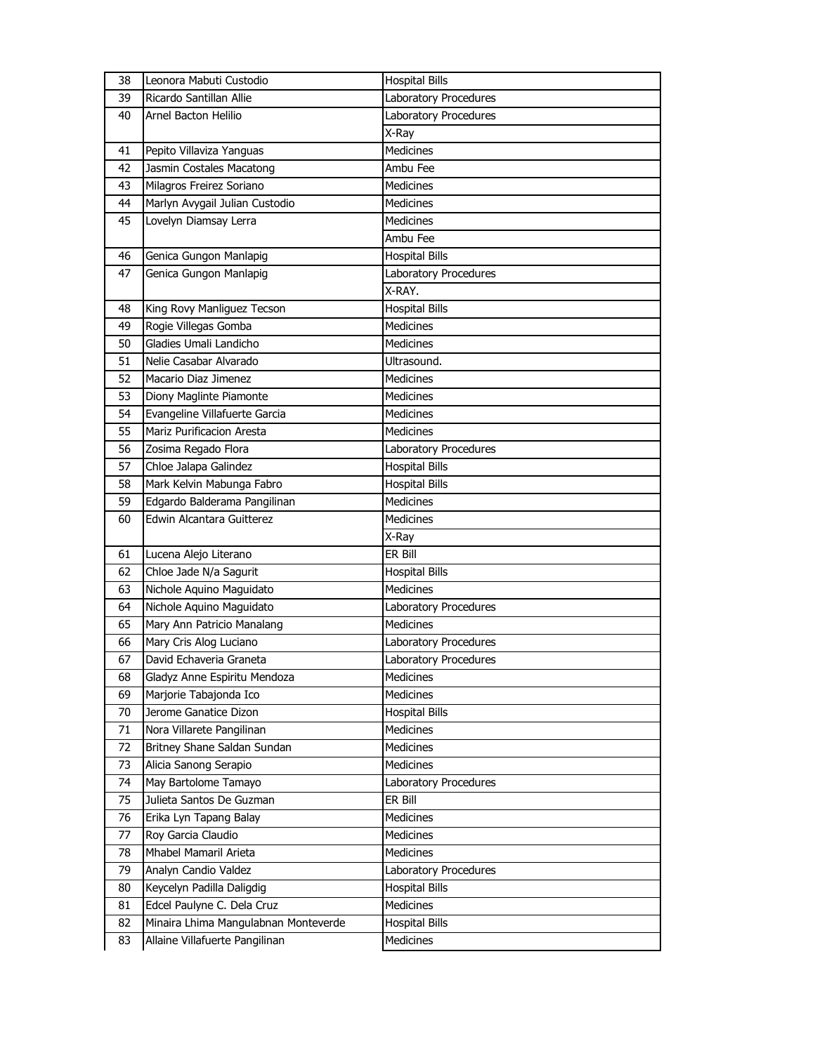| 38 | Leonora Mabuti Custodio                                                | <b>Hospital Bills</b>              |
|----|------------------------------------------------------------------------|------------------------------------|
| 39 | Ricardo Santillan Allie                                                | Laboratory Procedures              |
| 40 | Arnel Bacton Helilio                                                   | Laboratory Procedures              |
|    |                                                                        | X-Ray                              |
| 41 | Pepito Villaviza Yanguas                                               | <b>Medicines</b>                   |
| 42 | Jasmin Costales Macatong                                               | Ambu Fee                           |
| 43 | Milagros Freirez Soriano                                               | <b>Medicines</b>                   |
| 44 | Marlyn Avygail Julian Custodio                                         | <b>Medicines</b>                   |
| 45 | Lovelyn Diamsay Lerra                                                  | <b>Medicines</b>                   |
|    |                                                                        | Ambu Fee                           |
| 46 | Genica Gungon Manlapig                                                 | <b>Hospital Bills</b>              |
| 47 | Genica Gungon Manlapig                                                 | Laboratory Procedures              |
|    |                                                                        | X-RAY.                             |
| 48 | King Rovy Manliguez Tecson                                             | <b>Hospital Bills</b>              |
| 49 | Rogie Villegas Gomba                                                   | <b>Medicines</b>                   |
| 50 | Gladies Umali Landicho                                                 | <b>Medicines</b>                   |
| 51 | Nelie Casabar Alvarado                                                 | Ultrasound.                        |
| 52 | Macario Diaz Jimenez                                                   | <b>Medicines</b>                   |
| 53 | Diony Maglinte Piamonte                                                | <b>Medicines</b>                   |
| 54 | Evangeline Villafuerte Garcia                                          | <b>Medicines</b>                   |
| 55 | Mariz Purificacion Aresta                                              | <b>Medicines</b>                   |
| 56 | Zosima Regado Flora                                                    | Laboratory Procedures              |
| 57 | Chloe Jalapa Galindez                                                  | <b>Hospital Bills</b>              |
| 58 | Mark Kelvin Mabunga Fabro                                              | <b>Hospital Bills</b>              |
| 59 | Edgardo Balderama Pangilinan                                           | <b>Medicines</b>                   |
|    |                                                                        |                                    |
| 60 | Edwin Alcantara Guitterez                                              | <b>Medicines</b>                   |
|    |                                                                        | X-Ray                              |
| 61 | Lucena Alejo Literano                                                  | ER Bill                            |
| 62 | Chloe Jade N/a Sagurit                                                 | <b>Hospital Bills</b>              |
| 63 | Nichole Aquino Maguidato                                               | <b>Medicines</b>                   |
| 64 | Nichole Aquino Maguidato                                               | Laboratory Procedures              |
| 65 | Mary Ann Patricio Manalang                                             | <b>Medicines</b>                   |
| 66 | Mary Cris Alog Luciano                                                 | Laboratory Procedures              |
| 67 | David Echaveria Graneta                                                | Laboratory Procedures              |
| 68 | Gladyz Anne Espiritu Mendoza                                           | Medicines                          |
| 69 | Marjorie Tabajonda Ico                                                 | Medicines                          |
| 70 | Jerome Ganatice Dizon                                                  | <b>Hospital Bills</b>              |
| 71 | Nora Villarete Pangilinan                                              | Medicines                          |
| 72 | Britney Shane Saldan Sundan                                            | Medicines                          |
| 73 | Alicia Sanong Serapio                                                  | Medicines                          |
| 74 | May Bartolome Tamayo                                                   | Laboratory Procedures              |
| 75 | Julieta Santos De Guzman                                               | ER Bill                            |
| 76 | Erika Lyn Tapang Balay                                                 | Medicines                          |
| 77 | Roy Garcia Claudio                                                     | Medicines                          |
| 78 | Mhabel Mamaril Arieta                                                  | Medicines                          |
| 79 | Analyn Candio Valdez                                                   | Laboratory Procedures              |
| 80 | Keycelyn Padilla Daligdig                                              | <b>Hospital Bills</b>              |
| 81 | Edcel Paulyne C. Dela Cruz                                             | Medicines                          |
| 82 | Minaira Lhima Mangulabnan Monteverde<br>Allaine Villafuerte Pangilinan | <b>Hospital Bills</b><br>Medicines |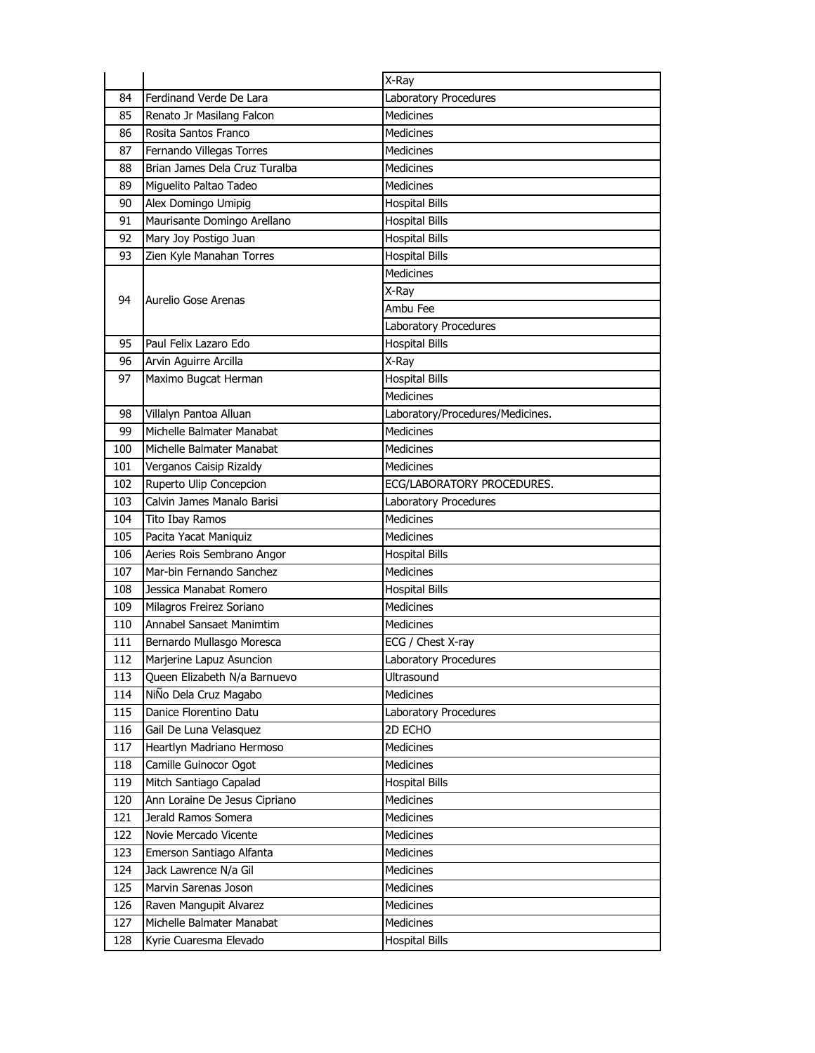|     |                               | X-Ray                            |
|-----|-------------------------------|----------------------------------|
| 84  | Ferdinand Verde De Lara       | Laboratory Procedures            |
| 85  | Renato Jr Masilang Falcon     | <b>Medicines</b>                 |
| 86  | Rosita Santos Franco          | <b>Medicines</b>                 |
| 87  | Fernando Villegas Torres      | <b>Medicines</b>                 |
| 88  | Brian James Dela Cruz Turalba | <b>Medicines</b>                 |
| 89  | Miguelito Paltao Tadeo        | <b>Medicines</b>                 |
| 90  | Alex Domingo Umipig           | <b>Hospital Bills</b>            |
| 91  | Maurisante Domingo Arellano   | <b>Hospital Bills</b>            |
| 92  | Mary Joy Postigo Juan         | <b>Hospital Bills</b>            |
| 93  | Zien Kyle Manahan Torres      | <b>Hospital Bills</b>            |
|     |                               | <b>Medicines</b>                 |
| 94  | Aurelio Gose Arenas           | X-Ray                            |
|     |                               | Ambu Fee                         |
|     |                               | Laboratory Procedures            |
| 95  | Paul Felix Lazaro Edo         | <b>Hospital Bills</b>            |
| 96  | Arvin Aguirre Arcilla         | X-Ray                            |
| 97  | Maximo Bugcat Herman          | <b>Hospital Bills</b>            |
|     |                               | <b>Medicines</b>                 |
| 98  | Villalyn Pantoa Alluan        | Laboratory/Procedures/Medicines. |
| 99  | Michelle Balmater Manabat     | <b>Medicines</b>                 |
| 100 | Michelle Balmater Manabat     | <b>Medicines</b>                 |
| 101 | Verganos Caisip Rizaldy       | <b>Medicines</b>                 |
| 102 | Ruperto Ulip Concepcion       | ECG/LABORATORY PROCEDURES.       |
| 103 | Calvin James Manalo Barisi    | Laboratory Procedures            |
| 104 | Tito Ibay Ramos               | <b>Medicines</b>                 |
| 105 | Pacita Yacat Maniquiz         | <b>Medicines</b>                 |
| 106 | Aeries Rois Sembrano Angor    | <b>Hospital Bills</b>            |
| 107 | Mar-bin Fernando Sanchez      | <b>Medicines</b>                 |
| 108 | Jessica Manabat Romero        | <b>Hospital Bills</b>            |
| 109 | Milagros Freirez Soriano      | <b>Medicines</b>                 |
| 110 | Annabel Sansaet Manimtim      | <b>Medicines</b>                 |
| 111 | Bernardo Mullasgo Moresca     | ECG / Chest X-ray                |
| 112 | Marjerine Lapuz Asuncion      | Laboratory Procedures            |
| 113 | Queen Elizabeth N/a Barnuevo  | Ultrasound                       |
| 114 | NiÑo Dela Cruz Magabo         | Medicines                        |
| 115 | Danice Florentino Datu        | Laboratory Procedures            |
| 116 | Gail De Luna Velasquez        | 2D ECHO                          |
| 117 | Heartlyn Madriano Hermoso     | Medicines                        |
| 118 | Camille Guinocor Ogot         | <b>Medicines</b>                 |
| 119 | Mitch Santiago Capalad        | <b>Hospital Bills</b>            |
| 120 | Ann Loraine De Jesus Cipriano | <b>Medicines</b>                 |
| 121 | Jerald Ramos Somera           | Medicines                        |
| 122 | Novie Mercado Vicente         | Medicines                        |
| 123 | Emerson Santiago Alfanta      | Medicines                        |
| 124 | Jack Lawrence N/a Gil         | Medicines                        |
| 125 | Marvin Sarenas Joson          | Medicines                        |
| 126 | Raven Mangupit Alvarez        | Medicines                        |
| 127 | Michelle Balmater Manabat     | Medicines                        |
| 128 | Kyrie Cuaresma Elevado        | <b>Hospital Bills</b>            |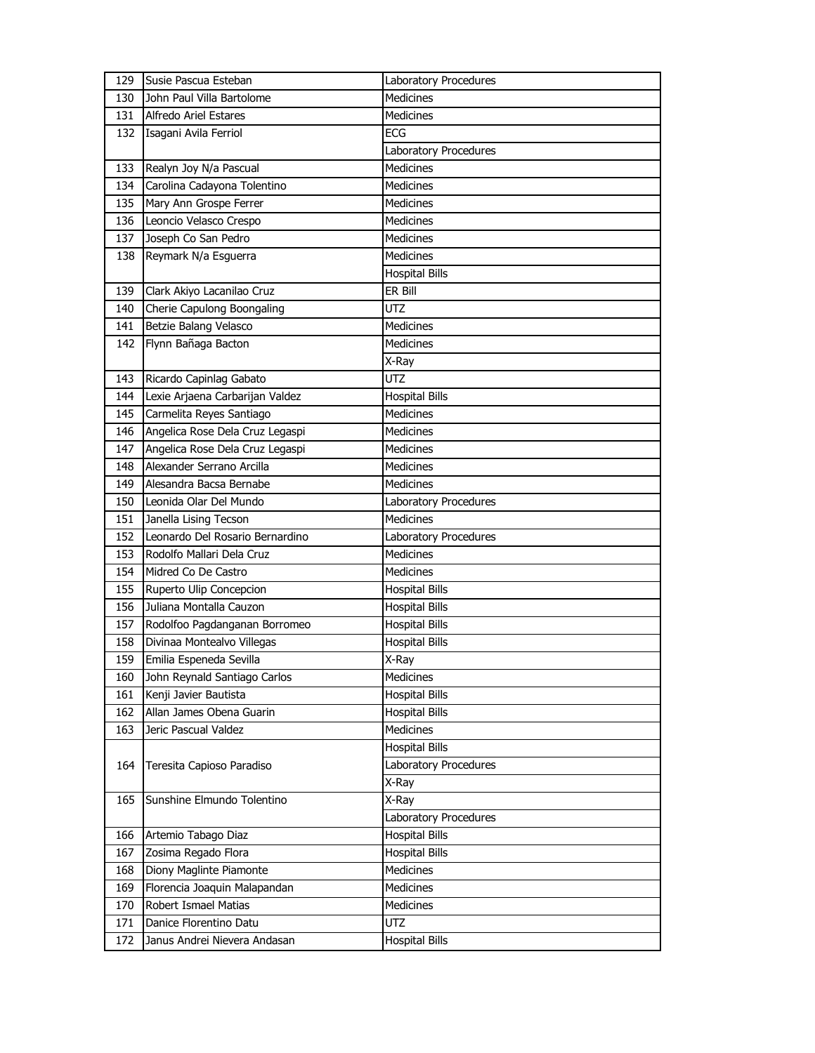| 129 | Susie Pascua Esteban            | Laboratory Procedures |
|-----|---------------------------------|-----------------------|
| 130 | John Paul Villa Bartolome       | <b>Medicines</b>      |
| 131 | <b>Alfredo Ariel Estares</b>    | <b>Medicines</b>      |
| 132 | Isagani Avila Ferriol           | <b>ECG</b>            |
|     |                                 | Laboratory Procedures |
| 133 | Realyn Joy N/a Pascual          | <b>Medicines</b>      |
| 134 | Carolina Cadayona Tolentino     | <b>Medicines</b>      |
| 135 | Mary Ann Grospe Ferrer          | Medicines             |
| 136 | Leoncio Velasco Crespo          | Medicines             |
| 137 | Joseph Co San Pedro             | <b>Medicines</b>      |
| 138 | Reymark N/a Esguerra            | <b>Medicines</b>      |
|     |                                 | <b>Hospital Bills</b> |
| 139 | Clark Akiyo Lacanilao Cruz      | ER Bill               |
| 140 | Cherie Capulong Boongaling      | <b>UTZ</b>            |
| 141 | Betzie Balang Velasco           | <b>Medicines</b>      |
| 142 | Flynn Bañaga Bacton             | <b>Medicines</b>      |
|     |                                 | X-Ray                 |
| 143 | Ricardo Capinlag Gabato         | UTZ                   |
| 144 | Lexie Arjaena Carbarijan Valdez | <b>Hospital Bills</b> |
| 145 | Carmelita Reyes Santiago        | <b>Medicines</b>      |
| 146 | Angelica Rose Dela Cruz Legaspi | <b>Medicines</b>      |
| 147 | Angelica Rose Dela Cruz Legaspi | <b>Medicines</b>      |
| 148 | Alexander Serrano Arcilla       | <b>Medicines</b>      |
| 149 | Alesandra Bacsa Bernabe         | Medicines             |
| 150 | Leonida Olar Del Mundo          | Laboratory Procedures |
|     |                                 |                       |
| 151 | Janella Lising Tecson           | <b>Medicines</b>      |
| 152 | Leonardo Del Rosario Bernardino | Laboratory Procedures |
| 153 | Rodolfo Mallari Dela Cruz       | <b>Medicines</b>      |
| 154 | Midred Co De Castro             | Medicines             |
| 155 | Ruperto Ulip Concepcion         | <b>Hospital Bills</b> |
| 156 | Juliana Montalla Cauzon         | <b>Hospital Bills</b> |
| 157 | Rodolfoo Pagdanganan Borromeo   | Hospital Bills        |
| 158 | Divinaa Montealvo Villegas      | <b>Hospital Bills</b> |
| 159 | Emilia Espeneda Sevilla         | X-Ray                 |
| 160 | John Reynald Santiago Carlos    | <b>Medicines</b>      |
| 161 | Kenji Javier Bautista           | <b>Hospital Bills</b> |
| 162 | Allan James Obena Guarin        | <b>Hospital Bills</b> |
| 163 | Jeric Pascual Valdez            | <b>Medicines</b>      |
|     |                                 | <b>Hospital Bills</b> |
| 164 | Teresita Capioso Paradiso       | Laboratory Procedures |
|     |                                 | X-Ray                 |
| 165 | Sunshine Elmundo Tolentino      | X-Ray                 |
|     |                                 | Laboratory Procedures |
| 166 | Artemio Tabago Diaz             | <b>Hospital Bills</b> |
| 167 | Zosima Regado Flora             | <b>Hospital Bills</b> |
| 168 | Diony Maglinte Piamonte         | Medicines             |
| 169 | Florencia Joaquin Malapandan    | Medicines             |
| 170 | Robert Ismael Matias            | Medicines             |
| 171 | Danice Florentino Datu          | <b>UTZ</b>            |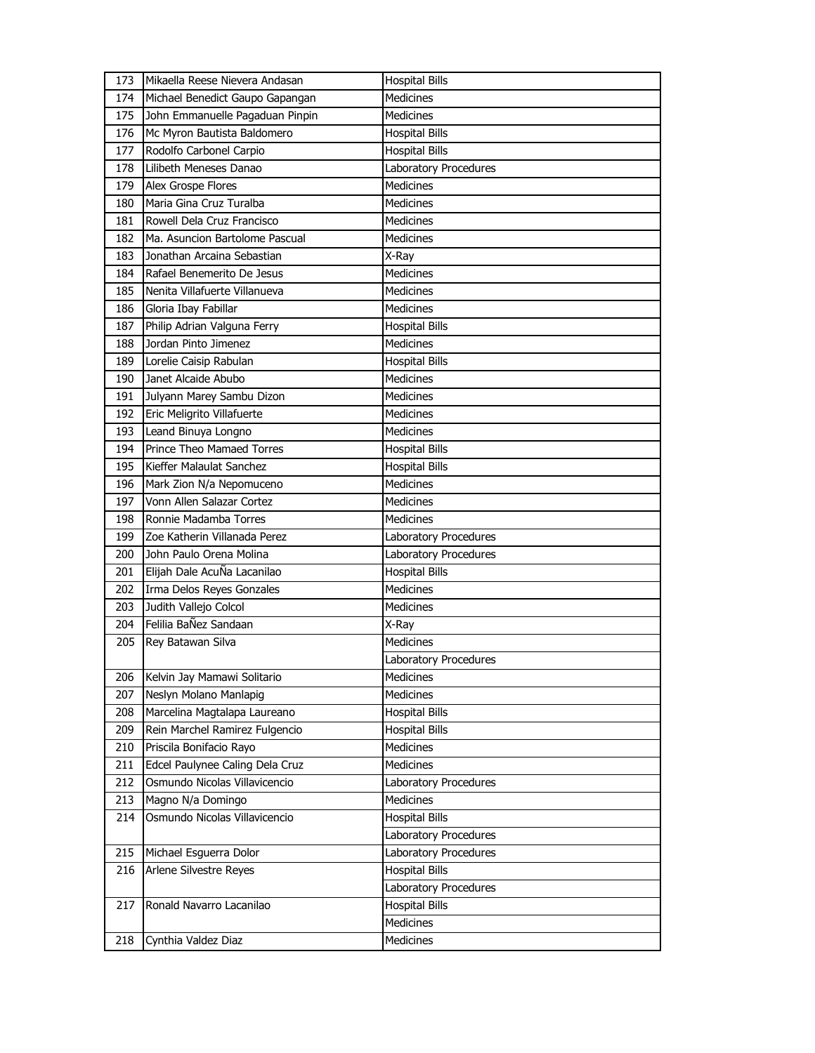| 173 | Mikaella Reese Nievera Andasan  | <b>Hospital Bills</b>  |
|-----|---------------------------------|------------------------|
| 174 | Michael Benedict Gaupo Gapangan | <b>Medicines</b>       |
| 175 | John Emmanuelle Pagaduan Pinpin | <b>Medicines</b>       |
| 176 | Mc Myron Bautista Baldomero     | <b>Hospital Bills</b>  |
| 177 | Rodolfo Carbonel Carpio         | <b>Hospital Bills</b>  |
| 178 | Lilibeth Meneses Danao          | Laboratory Procedures  |
| 179 | Alex Grospe Flores              | <b>Medicines</b>       |
| 180 | Maria Gina Cruz Turalba         | <b>Medicines</b>       |
| 181 | Rowell Dela Cruz Francisco      | Medicines              |
| 182 | Ma. Asuncion Bartolome Pascual  | <b>Medicines</b>       |
| 183 | Jonathan Arcaina Sebastian      | X-Ray                  |
| 184 | Rafael Benemerito De Jesus      | <b>Medicines</b>       |
| 185 | Nenita Villafuerte Villanueva   | <b>Medicines</b>       |
| 186 | Gloria Ibay Fabillar            | <b>Medicines</b>       |
| 187 | Philip Adrian Valguna Ferry     | <b>Hospital Bills</b>  |
| 188 | Jordan Pinto Jimenez            | <b>Medicines</b>       |
| 189 | Lorelie Caisip Rabulan          | <b>Hospital Bills</b>  |
| 190 | Janet Alcaide Abubo             | <b>Medicines</b>       |
| 191 | Julyann Marey Sambu Dizon       | <b>Medicines</b>       |
| 192 | Eric Meligrito Villafuerte      | <b>Medicines</b>       |
| 193 | Leand Binuya Longno             | <b>Medicines</b>       |
| 194 | Prince Theo Mamaed Torres       | <b>Hospital Bills</b>  |
| 195 | Kieffer Malaulat Sanchez        | <b>Hospital Bills</b>  |
| 196 | Mark Zion N/a Nepomuceno        | <b>Medicines</b>       |
| 197 | Vonn Allen Salazar Cortez       | <b>Medicines</b>       |
| 198 | Ronnie Madamba Torres           | <b>Medicines</b>       |
|     |                                 |                        |
| 199 | Zoe Katherin Villanada Perez    | Laboratory Procedures  |
| 200 | John Paulo Orena Molina         | Laboratory Procedures  |
| 201 | Elijah Dale AcuÑa Lacanilao     | <b>Hospital Bills</b>  |
| 202 | Irma Delos Reyes Gonzales       | <b>Medicines</b>       |
| 203 | Judith Vallejo Colcol           | <b>Medicines</b>       |
| 204 | Felilia BaÑez Sandaan           | X-Ray                  |
| 205 | Rey Batawan Silva               | <b>Medicines</b>       |
|     |                                 | Laboratory Procedures  |
| 206 | Kelvin Jay Mamawi Solitario     | Medicines              |
| 207 | Neslyn Molano Manlapig          | <b>Medicines</b>       |
| 208 | Marcelina Magtalapa Laureano    | <b>Hospital Bills</b>  |
| 209 | Rein Marchel Ramirez Fulgencio  | <b>Hospital Bills</b>  |
| 210 | Priscila Bonifacio Rayo         | Medicines              |
| 211 | Edcel Paulynee Caling Dela Cruz | <b>Medicines</b>       |
| 212 | Osmundo Nicolas Villavicencio   | Laboratory Procedures  |
| 213 | Magno N/a Domingo               | <b>Medicines</b>       |
| 214 | Osmundo Nicolas Villavicencio   | <b>Hospital Bills</b>  |
|     |                                 | Laboratory Procedures  |
| 215 | Michael Esguerra Dolor          | Laboratory Procedures  |
| 216 | Arlene Silvestre Reyes          | <b>Hospital Bills</b>  |
|     |                                 | Laboratory Procedures  |
| 217 | Ronald Navarro Lacanilao        | <b>Hospital Bills</b>  |
| 218 | Cynthia Valdez Diaz             | Medicines<br>Medicines |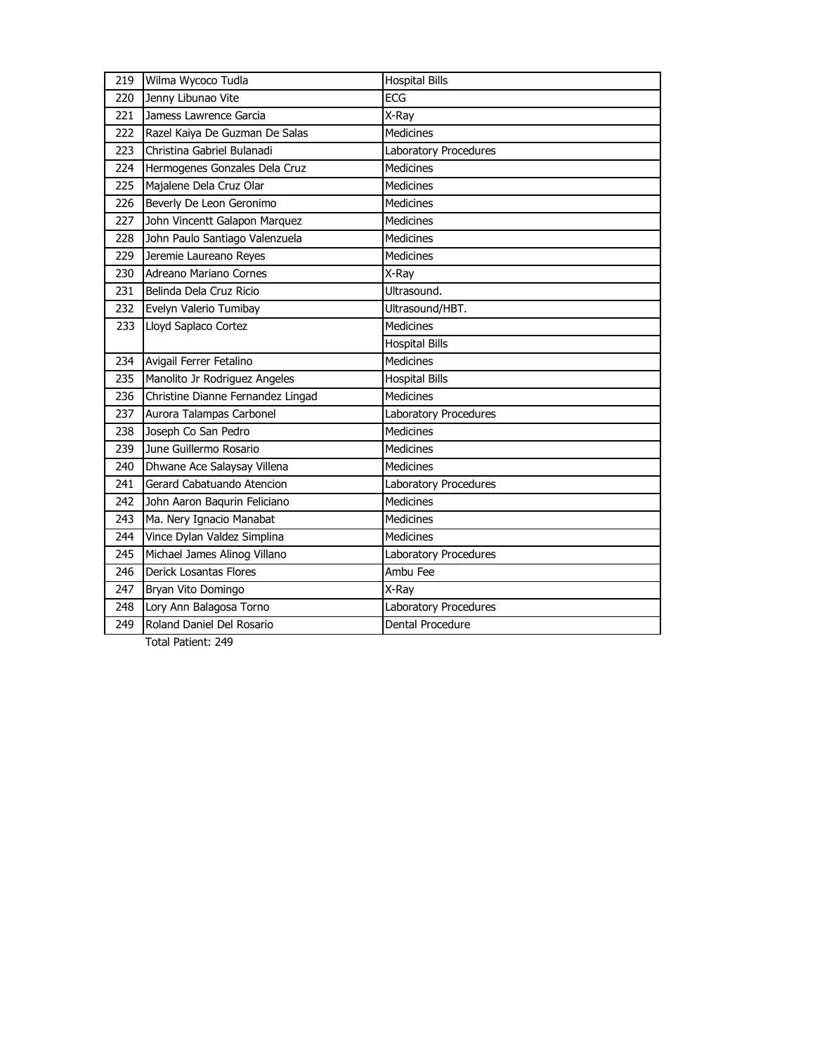| Jenny Libunao Vite<br>220<br>Jamess Lawrence Garcia<br>221<br>X-Ray<br>Medicines<br>Razel Kaiya De Guzman De Salas<br>222<br>Christina Gabriel Bulanadi<br>Laboratory Procedures<br>223<br>Hermogenes Gonzales Dela Cruz<br><b>Medicines</b><br>224<br>Majalene Dela Cruz Olar<br><b>Medicines</b><br>225<br>Beverly De Leon Geronimo<br><b>Medicines</b><br>226<br>John Vincentt Galapon Marquez<br>227<br><b>Medicines</b><br>John Paulo Santiago Valenzuela<br><b>Medicines</b><br>228<br>Jeremie Laureano Reyes<br>229<br><b>Medicines</b><br>Adreano Mariano Cornes<br>230<br>X-Ray<br>Ultrasound.<br>Belinda Dela Cruz Ricio<br>231<br>232<br>Evelyn Valerio Tumibay<br>Ultrasound/HBT.<br>Lloyd Saplaco Cortez<br><b>Medicines</b><br>233<br>Hospital Bills<br>Avigail Ferrer Fetalino<br><b>Medicines</b><br>234<br>235<br>Manolito Jr Rodriguez Angeles<br><b>Hospital Bills</b><br>Christine Dianne Fernandez Lingad<br><b>Medicines</b><br>236<br>Aurora Talampas Carbonel<br>237<br>Laboratory Procedures<br>Joseph Co San Pedro<br><b>Medicines</b><br>238<br>June Guillermo Rosario<br>239<br><b>Medicines</b><br>240<br>Dhwane Ace Salaysay Villena<br><b>Medicines</b><br>Gerard Cabatuando Atencion<br>241<br>Laboratory Procedures<br><b>Medicines</b><br>John Aaron Bagurin Feliciano<br>242<br>Ma. Nery Ignacio Manabat<br>243<br><b>Medicines</b><br>Vince Dylan Valdez Simplina<br><b>Medicines</b><br>244<br>Michael James Alinog Villano<br>Laboratory Procedures<br>245<br>Derick Losantas Flores<br>Ambu Fee<br>246<br>Bryan Vito Domingo<br>247<br>X-Rav<br>Lory Ann Balagosa Torno<br>248<br>Laboratory Procedures<br>Roland Daniel Del Rosario<br>Dental Procedure<br>249 | 219 | Wilma Wycoco Tudla | <b>Hospital Bills</b> |
|--------------------------------------------------------------------------------------------------------------------------------------------------------------------------------------------------------------------------------------------------------------------------------------------------------------------------------------------------------------------------------------------------------------------------------------------------------------------------------------------------------------------------------------------------------------------------------------------------------------------------------------------------------------------------------------------------------------------------------------------------------------------------------------------------------------------------------------------------------------------------------------------------------------------------------------------------------------------------------------------------------------------------------------------------------------------------------------------------------------------------------------------------------------------------------------------------------------------------------------------------------------------------------------------------------------------------------------------------------------------------------------------------------------------------------------------------------------------------------------------------------------------------------------------------------------------------------------------------------------------------------------------------------------------------------------------------------|-----|--------------------|-----------------------|
|                                                                                                                                                                                                                                                                                                                                                                                                                                                                                                                                                                                                                                                                                                                                                                                                                                                                                                                                                                                                                                                                                                                                                                                                                                                                                                                                                                                                                                                                                                                                                                                                                                                                                                        |     |                    | ECG                   |
|                                                                                                                                                                                                                                                                                                                                                                                                                                                                                                                                                                                                                                                                                                                                                                                                                                                                                                                                                                                                                                                                                                                                                                                                                                                                                                                                                                                                                                                                                                                                                                                                                                                                                                        |     |                    |                       |
|                                                                                                                                                                                                                                                                                                                                                                                                                                                                                                                                                                                                                                                                                                                                                                                                                                                                                                                                                                                                                                                                                                                                                                                                                                                                                                                                                                                                                                                                                                                                                                                                                                                                                                        |     |                    |                       |
|                                                                                                                                                                                                                                                                                                                                                                                                                                                                                                                                                                                                                                                                                                                                                                                                                                                                                                                                                                                                                                                                                                                                                                                                                                                                                                                                                                                                                                                                                                                                                                                                                                                                                                        |     |                    |                       |
|                                                                                                                                                                                                                                                                                                                                                                                                                                                                                                                                                                                                                                                                                                                                                                                                                                                                                                                                                                                                                                                                                                                                                                                                                                                                                                                                                                                                                                                                                                                                                                                                                                                                                                        |     |                    |                       |
|                                                                                                                                                                                                                                                                                                                                                                                                                                                                                                                                                                                                                                                                                                                                                                                                                                                                                                                                                                                                                                                                                                                                                                                                                                                                                                                                                                                                                                                                                                                                                                                                                                                                                                        |     |                    |                       |
|                                                                                                                                                                                                                                                                                                                                                                                                                                                                                                                                                                                                                                                                                                                                                                                                                                                                                                                                                                                                                                                                                                                                                                                                                                                                                                                                                                                                                                                                                                                                                                                                                                                                                                        |     |                    |                       |
|                                                                                                                                                                                                                                                                                                                                                                                                                                                                                                                                                                                                                                                                                                                                                                                                                                                                                                                                                                                                                                                                                                                                                                                                                                                                                                                                                                                                                                                                                                                                                                                                                                                                                                        |     |                    |                       |
|                                                                                                                                                                                                                                                                                                                                                                                                                                                                                                                                                                                                                                                                                                                                                                                                                                                                                                                                                                                                                                                                                                                                                                                                                                                                                                                                                                                                                                                                                                                                                                                                                                                                                                        |     |                    |                       |
|                                                                                                                                                                                                                                                                                                                                                                                                                                                                                                                                                                                                                                                                                                                                                                                                                                                                                                                                                                                                                                                                                                                                                                                                                                                                                                                                                                                                                                                                                                                                                                                                                                                                                                        |     |                    |                       |
|                                                                                                                                                                                                                                                                                                                                                                                                                                                                                                                                                                                                                                                                                                                                                                                                                                                                                                                                                                                                                                                                                                                                                                                                                                                                                                                                                                                                                                                                                                                                                                                                                                                                                                        |     |                    |                       |
|                                                                                                                                                                                                                                                                                                                                                                                                                                                                                                                                                                                                                                                                                                                                                                                                                                                                                                                                                                                                                                                                                                                                                                                                                                                                                                                                                                                                                                                                                                                                                                                                                                                                                                        |     |                    |                       |
|                                                                                                                                                                                                                                                                                                                                                                                                                                                                                                                                                                                                                                                                                                                                                                                                                                                                                                                                                                                                                                                                                                                                                                                                                                                                                                                                                                                                                                                                                                                                                                                                                                                                                                        |     |                    |                       |
|                                                                                                                                                                                                                                                                                                                                                                                                                                                                                                                                                                                                                                                                                                                                                                                                                                                                                                                                                                                                                                                                                                                                                                                                                                                                                                                                                                                                                                                                                                                                                                                                                                                                                                        |     |                    |                       |
|                                                                                                                                                                                                                                                                                                                                                                                                                                                                                                                                                                                                                                                                                                                                                                                                                                                                                                                                                                                                                                                                                                                                                                                                                                                                                                                                                                                                                                                                                                                                                                                                                                                                                                        |     |                    |                       |
|                                                                                                                                                                                                                                                                                                                                                                                                                                                                                                                                                                                                                                                                                                                                                                                                                                                                                                                                                                                                                                                                                                                                                                                                                                                                                                                                                                                                                                                                                                                                                                                                                                                                                                        |     |                    |                       |
|                                                                                                                                                                                                                                                                                                                                                                                                                                                                                                                                                                                                                                                                                                                                                                                                                                                                                                                                                                                                                                                                                                                                                                                                                                                                                                                                                                                                                                                                                                                                                                                                                                                                                                        |     |                    |                       |
|                                                                                                                                                                                                                                                                                                                                                                                                                                                                                                                                                                                                                                                                                                                                                                                                                                                                                                                                                                                                                                                                                                                                                                                                                                                                                                                                                                                                                                                                                                                                                                                                                                                                                                        |     |                    |                       |
|                                                                                                                                                                                                                                                                                                                                                                                                                                                                                                                                                                                                                                                                                                                                                                                                                                                                                                                                                                                                                                                                                                                                                                                                                                                                                                                                                                                                                                                                                                                                                                                                                                                                                                        |     |                    |                       |
|                                                                                                                                                                                                                                                                                                                                                                                                                                                                                                                                                                                                                                                                                                                                                                                                                                                                                                                                                                                                                                                                                                                                                                                                                                                                                                                                                                                                                                                                                                                                                                                                                                                                                                        |     |                    |                       |
|                                                                                                                                                                                                                                                                                                                                                                                                                                                                                                                                                                                                                                                                                                                                                                                                                                                                                                                                                                                                                                                                                                                                                                                                                                                                                                                                                                                                                                                                                                                                                                                                                                                                                                        |     |                    |                       |
|                                                                                                                                                                                                                                                                                                                                                                                                                                                                                                                                                                                                                                                                                                                                                                                                                                                                                                                                                                                                                                                                                                                                                                                                                                                                                                                                                                                                                                                                                                                                                                                                                                                                                                        |     |                    |                       |
|                                                                                                                                                                                                                                                                                                                                                                                                                                                                                                                                                                                                                                                                                                                                                                                                                                                                                                                                                                                                                                                                                                                                                                                                                                                                                                                                                                                                                                                                                                                                                                                                                                                                                                        |     |                    |                       |
|                                                                                                                                                                                                                                                                                                                                                                                                                                                                                                                                                                                                                                                                                                                                                                                                                                                                                                                                                                                                                                                                                                                                                                                                                                                                                                                                                                                                                                                                                                                                                                                                                                                                                                        |     |                    |                       |
|                                                                                                                                                                                                                                                                                                                                                                                                                                                                                                                                                                                                                                                                                                                                                                                                                                                                                                                                                                                                                                                                                                                                                                                                                                                                                                                                                                                                                                                                                                                                                                                                                                                                                                        |     |                    |                       |
|                                                                                                                                                                                                                                                                                                                                                                                                                                                                                                                                                                                                                                                                                                                                                                                                                                                                                                                                                                                                                                                                                                                                                                                                                                                                                                                                                                                                                                                                                                                                                                                                                                                                                                        |     |                    |                       |
|                                                                                                                                                                                                                                                                                                                                                                                                                                                                                                                                                                                                                                                                                                                                                                                                                                                                                                                                                                                                                                                                                                                                                                                                                                                                                                                                                                                                                                                                                                                                                                                                                                                                                                        |     |                    |                       |
|                                                                                                                                                                                                                                                                                                                                                                                                                                                                                                                                                                                                                                                                                                                                                                                                                                                                                                                                                                                                                                                                                                                                                                                                                                                                                                                                                                                                                                                                                                                                                                                                                                                                                                        |     |                    |                       |
|                                                                                                                                                                                                                                                                                                                                                                                                                                                                                                                                                                                                                                                                                                                                                                                                                                                                                                                                                                                                                                                                                                                                                                                                                                                                                                                                                                                                                                                                                                                                                                                                                                                                                                        |     |                    |                       |
|                                                                                                                                                                                                                                                                                                                                                                                                                                                                                                                                                                                                                                                                                                                                                                                                                                                                                                                                                                                                                                                                                                                                                                                                                                                                                                                                                                                                                                                                                                                                                                                                                                                                                                        |     |                    |                       |
|                                                                                                                                                                                                                                                                                                                                                                                                                                                                                                                                                                                                                                                                                                                                                                                                                                                                                                                                                                                                                                                                                                                                                                                                                                                                                                                                                                                                                                                                                                                                                                                                                                                                                                        |     |                    |                       |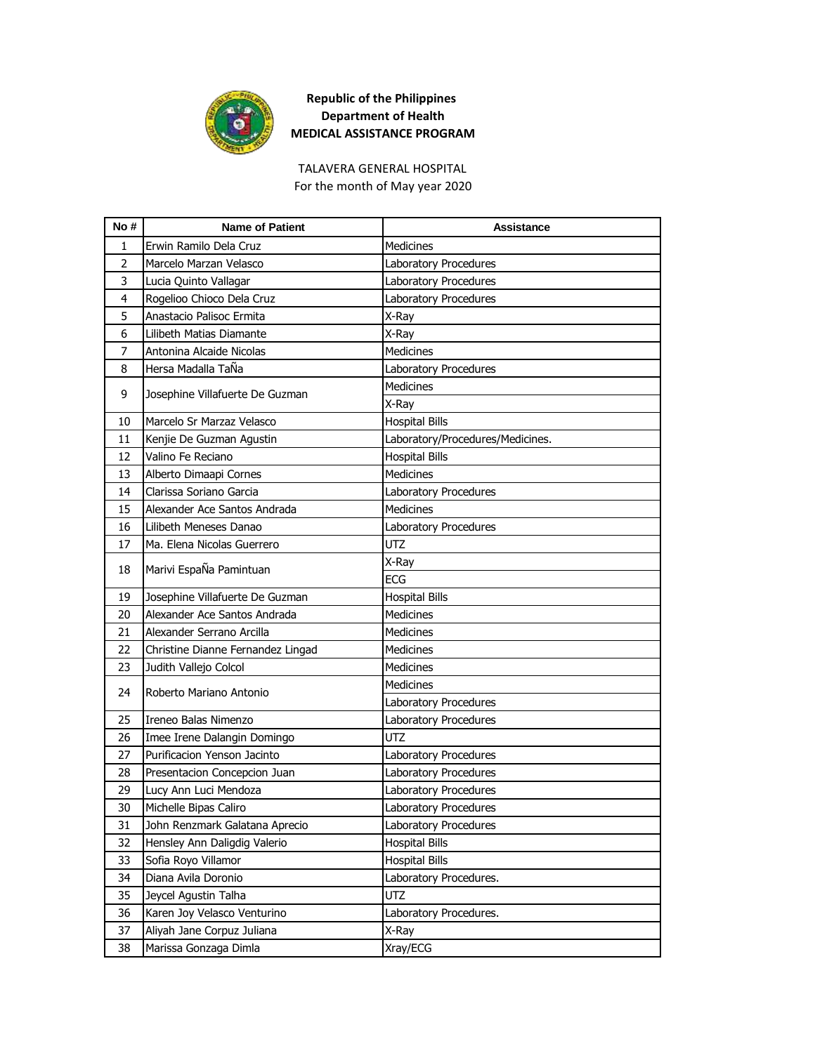

For the month of May year 2020 TALAVERA GENERAL HOSPITAL

| No#            | <b>Name of Patient</b>            | <b>Assistance</b>                |
|----------------|-----------------------------------|----------------------------------|
| $\mathbf{1}$   | Erwin Ramilo Dela Cruz            | <b>Medicines</b>                 |
| $\overline{2}$ | Marcelo Marzan Velasco            | Laboratory Procedures            |
| 3              | Lucia Quinto Vallagar             | Laboratory Procedures            |
| 4              | Rogelioo Chioco Dela Cruz         | Laboratory Procedures            |
| 5              | Anastacio Palisoc Ermita          | X-Ray                            |
| 6              | Lilibeth Matias Diamante          | X-Ray                            |
| 7              | Antonina Alcaide Nicolas          | <b>Medicines</b>                 |
| 8              | Hersa Madalla TaÑa                | Laboratory Procedures            |
| 9              |                                   | <b>Medicines</b>                 |
|                | Josephine Villafuerte De Guzman   | X-Ray                            |
| 10             | Marcelo Sr Marzaz Velasco         | <b>Hospital Bills</b>            |
| 11             | Kenjie De Guzman Agustin          | Laboratory/Procedures/Medicines. |
| 12             | Valino Fe Reciano                 | <b>Hospital Bills</b>            |
| 13             | Alberto Dimaapi Cornes            | <b>Medicines</b>                 |
| 14             | Clarissa Soriano Garcia           | Laboratory Procedures            |
| 15             | Alexander Ace Santos Andrada      | <b>Medicines</b>                 |
| 16             | Lilibeth Meneses Danao            | Laboratory Procedures            |
| 17             | Ma. Elena Nicolas Guerrero        | <b>UTZ</b>                       |
| 18             |                                   | X-Ray                            |
|                | Marivi EspaÑa Pamintuan           | <b>ECG</b>                       |
| 19             | Josephine Villafuerte De Guzman   | <b>Hospital Bills</b>            |
| 20             | Alexander Ace Santos Andrada      | <b>Medicines</b>                 |
| 21             | Alexander Serrano Arcilla         | <b>Medicines</b>                 |
| 22             | Christine Dianne Fernandez Lingad | <b>Medicines</b>                 |
| 23             | Judith Vallejo Colcol             | <b>Medicines</b>                 |
| 24             | Roberto Mariano Antonio           | <b>Medicines</b>                 |
|                |                                   | Laboratory Procedures            |
| 25             | Ireneo Balas Nimenzo              | Laboratory Procedures            |
| 26             | Imee Irene Dalangin Domingo       | <b>UTZ</b>                       |
| 27             | Purificacion Yenson Jacinto       | Laboratory Procedures            |
| 28             | Presentacion Concepcion Juan      | Laboratory Procedures            |
| 29             | Lucy Ann Luci Mendoza             | Laboratory Procedures            |
| 30             | Michelle Bipas Caliro             | Laboratory Procedures            |
| 31             | John Renzmark Galatana Aprecio    | Laboratory Procedures            |
| 32             | Hensley Ann Daligdig Valerio      | <b>Hospital Bills</b>            |
| 33             | Sofia Royo Villamor               | <b>Hospital Bills</b>            |
| 34             | Diana Avila Doronio               | Laboratory Procedures.           |
| 35             | Jeycel Agustin Talha              | UTZ                              |
| 36             | Karen Joy Velasco Venturino       | Laboratory Procedures.           |
| 37             | Aliyah Jane Corpuz Juliana        | X-Ray                            |
| 38             | Marissa Gonzaga Dimla             | Xray/ECG                         |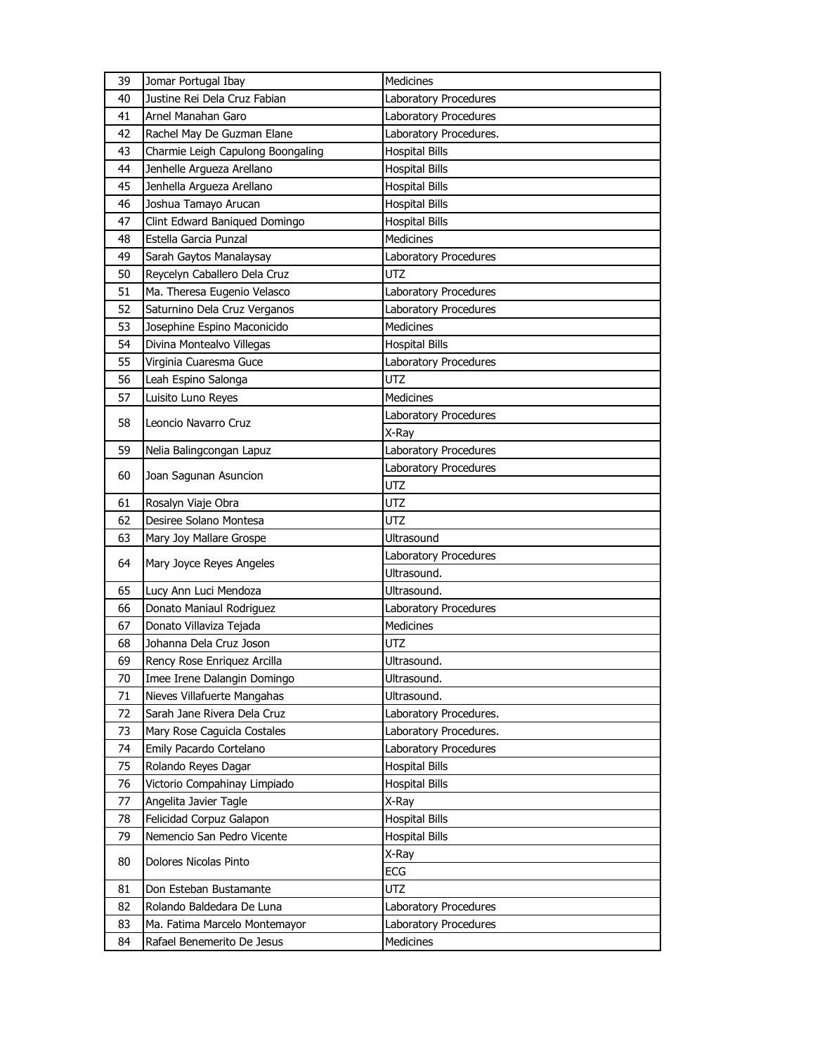| 39 | Jomar Portugal Ibay               | Medicines              |
|----|-----------------------------------|------------------------|
| 40 | Justine Rei Dela Cruz Fabian      | Laboratory Procedures  |
| 41 | Arnel Manahan Garo                | Laboratory Procedures  |
| 42 | Rachel May De Guzman Elane        | Laboratory Procedures. |
| 43 | Charmie Leigh Capulong Boongaling | <b>Hospital Bills</b>  |
| 44 | Jenhelle Argueza Arellano         | <b>Hospital Bills</b>  |
| 45 | Jenhella Argueza Arellano         | <b>Hospital Bills</b>  |
| 46 | Joshua Tamayo Arucan              | <b>Hospital Bills</b>  |
| 47 | Clint Edward Baniqued Domingo     | <b>Hospital Bills</b>  |
| 48 | Estella Garcia Punzal             | <b>Medicines</b>       |
| 49 | Sarah Gaytos Manalaysay           | Laboratory Procedures  |
| 50 | Reycelyn Caballero Dela Cruz      | <b>UTZ</b>             |
| 51 | Ma. Theresa Eugenio Velasco       | Laboratory Procedures  |
| 52 | Saturnino Dela Cruz Verganos      | Laboratory Procedures  |
| 53 | Josephine Espino Maconicido       | <b>Medicines</b>       |
| 54 | Divina Montealvo Villegas         | <b>Hospital Bills</b>  |
| 55 | Virginia Cuaresma Guce            | Laboratory Procedures  |
| 56 | Leah Espino Salonga               | <b>UTZ</b>             |
| 57 | Luisito Luno Reyes                | <b>Medicines</b>       |
| 58 | Leoncio Navarro Cruz              | Laboratory Procedures  |
|    |                                   | X-Ray                  |
| 59 | Nelia Balingcongan Lapuz          | Laboratory Procedures  |
| 60 | Joan Sagunan Asuncion             | Laboratory Procedures  |
|    |                                   | <b>UTZ</b>             |
| 61 | Rosalyn Viaje Obra                | <b>UTZ</b>             |
| 62 | Desiree Solano Montesa            | UTZ                    |
| 63 | Mary Joy Mallare Grospe           | Ultrasound             |
| 64 | Mary Joyce Reyes Angeles          | Laboratory Procedures  |
|    |                                   | Ultrasound.            |
| 65 | Lucy Ann Luci Mendoza             | Ultrasound.            |
| 66 | Donato Maniaul Rodriguez          | Laboratory Procedures  |
| 67 | Donato Villaviza Tejada           | Medicines              |
| 68 | Johanna Dela Cruz Joson           | <b>UTZ</b>             |
| 69 | Rency Rose Enriquez Arcilla       | Ultrasound.            |
| 70 | Imee Irene Dalangin Domingo       | Ultrasound.            |
| 71 | Nieves Villafuerte Mangahas       | Ultrasound.            |
| 72 | Sarah Jane Rivera Dela Cruz       | Laboratory Procedures. |
| 73 | Mary Rose Caguicla Costales       | Laboratory Procedures. |
| 74 | Emily Pacardo Cortelano           | Laboratory Procedures  |
| 75 | Rolando Reyes Dagar               | <b>Hospital Bills</b>  |
| 76 | Victorio Compahinay Limpiado      | Hospital Bills         |
| 77 | Angelita Javier Tagle             | X-Ray                  |
| 78 | Felicidad Corpuz Galapon          | <b>Hospital Bills</b>  |
| 79 | Nemencio San Pedro Vicente        | <b>Hospital Bills</b>  |
| 80 | Dolores Nicolas Pinto             | X-Ray                  |
|    |                                   | ECG                    |
| 81 | Don Esteban Bustamante            | UTZ                    |
| 82 | Rolando Baldedara De Luna         | Laboratory Procedures  |
| 83 | Ma. Fatima Marcelo Montemayor     | Laboratory Procedures  |
| 84 | Rafael Benemerito De Jesus        | <b>Medicines</b>       |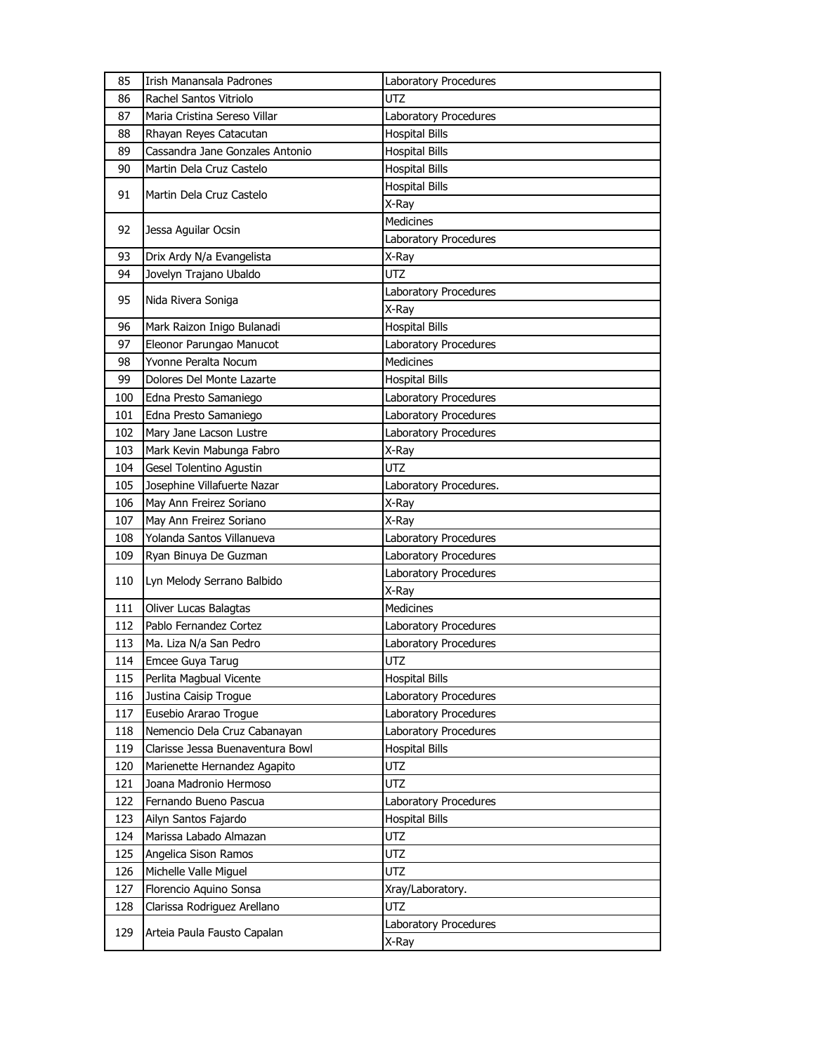| 85  | Irish Manansala Padrones         | Laboratory Procedures  |
|-----|----------------------------------|------------------------|
| 86  | Rachel Santos Vitriolo           | UTZ                    |
| 87  | Maria Cristina Sereso Villar     | Laboratory Procedures  |
| 88  | Rhayan Reyes Catacutan           | <b>Hospital Bills</b>  |
| 89  | Cassandra Jane Gonzales Antonio  | <b>Hospital Bills</b>  |
| 90  | Martin Dela Cruz Castelo         | <b>Hospital Bills</b>  |
|     |                                  | <b>Hospital Bills</b>  |
| 91  | Martin Dela Cruz Castelo         | X-Ray                  |
|     |                                  | Medicines              |
| 92  | Jessa Aguilar Ocsin              | Laboratory Procedures  |
| 93  | Drix Ardy N/a Evangelista        | X-Ray                  |
| 94  | Jovelyn Trajano Ubaldo           | UTZ                    |
|     |                                  | Laboratory Procedures  |
| 95  | Nida Rivera Soniga               | X-Ray                  |
| 96  | Mark Raizon Inigo Bulanadi       | <b>Hospital Bills</b>  |
| 97  | Eleonor Parungao Manucot         | Laboratory Procedures  |
| 98  | Yvonne Peralta Nocum             | <b>Medicines</b>       |
| 99  | Dolores Del Monte Lazarte        | <b>Hospital Bills</b>  |
| 100 | Edna Presto Samaniego            | Laboratory Procedures  |
| 101 | Edna Presto Samaniego            | Laboratory Procedures  |
| 102 | Mary Jane Lacson Lustre          | Laboratory Procedures  |
| 103 | Mark Kevin Mabunga Fabro         | X-Ray                  |
| 104 | Gesel Tolentino Agustin          | <b>UTZ</b>             |
| 105 | Josephine Villafuerte Nazar      | Laboratory Procedures. |
| 106 | May Ann Freirez Soriano          | X-Ray                  |
| 107 | May Ann Freirez Soriano          | X-Ray                  |
| 108 | Yolanda Santos Villanueva        | Laboratory Procedures  |
| 109 | Ryan Binuya De Guzman            | Laboratory Procedures  |
|     |                                  | Laboratory Procedures  |
| 110 | Lyn Melody Serrano Balbido       | X-Ray                  |
| 111 | Oliver Lucas Balagtas            | Medicines              |
| 112 | Pablo Fernandez Cortez           | Laboratory Procedures  |
| 113 | Ma. Liza N/a San Pedro           | Laboratory Procedures  |
| 114 | Emcee Guya Tarug                 | UTZ                    |
| 115 | Perlita Magbual Vicente          | <b>Hospital Bills</b>  |
| 116 | Justina Caisip Trogue            | Laboratory Procedures  |
| 117 | Eusebio Ararao Trogue            | Laboratory Procedures  |
| 118 | Nemencio Dela Cruz Cabanayan     | Laboratory Procedures  |
| 119 | Clarisse Jessa Buenaventura Bowl | <b>Hospital Bills</b>  |
| 120 | Marienette Hernandez Agapito     | UTZ                    |
| 121 | Joana Madronio Hermoso           | UTZ                    |
| 122 | Fernando Bueno Pascua            | Laboratory Procedures  |
| 123 | Ailyn Santos Fajardo             | <b>Hospital Bills</b>  |
| 124 | Marissa Labado Almazan           | UTZ                    |
| 125 | Angelica Sison Ramos             | UTZ                    |
| 126 | Michelle Valle Miguel            | UTZ                    |
| 127 | Florencio Aquino Sonsa           | Xray/Laboratory.       |
| 128 | Clarissa Rodriguez Arellano      | <b>UTZ</b>             |
|     | Arteia Paula Fausto Capalan      | Laboratory Procedures  |
| 129 |                                  | X-Ray                  |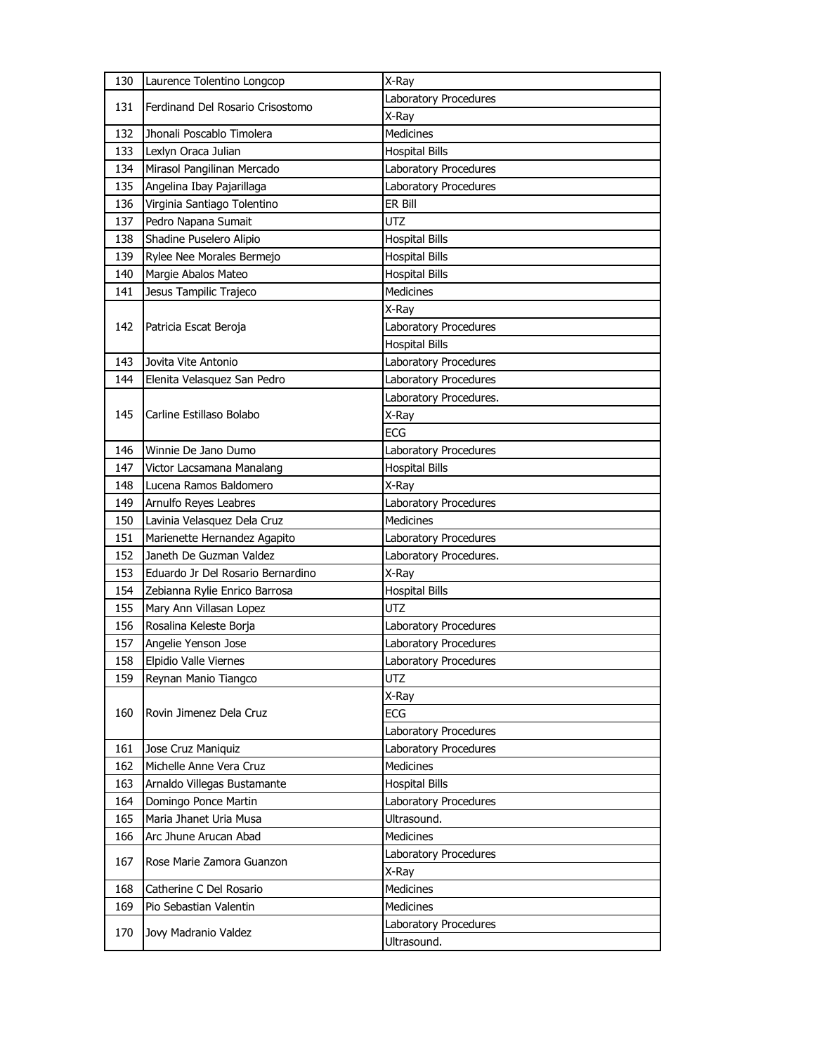| 130 | Laurence Tolentino Longcop        | X-Ray                  |
|-----|-----------------------------------|------------------------|
| 131 | Ferdinand Del Rosario Crisostomo  | Laboratory Procedures  |
|     |                                   | X-Ray                  |
| 132 | Jhonali Poscablo Timolera         | <b>Medicines</b>       |
| 133 | Lexlyn Oraca Julian               | <b>Hospital Bills</b>  |
| 134 | Mirasol Pangilinan Mercado        | Laboratory Procedures  |
| 135 | Angelina Ibay Pajarillaga         | Laboratory Procedures  |
| 136 | Virginia Santiago Tolentino       | ER Bill                |
| 137 | Pedro Napana Sumait               | <b>UTZ</b>             |
| 138 | Shadine Puselero Alipio           | <b>Hospital Bills</b>  |
| 139 | Rylee Nee Morales Bermejo         | <b>Hospital Bills</b>  |
| 140 | Margie Abalos Mateo               | <b>Hospital Bills</b>  |
| 141 | Jesus Tampilic Trajeco            | <b>Medicines</b>       |
|     |                                   | X-Ray                  |
| 142 | Patricia Escat Beroja             | Laboratory Procedures  |
|     |                                   | <b>Hospital Bills</b>  |
| 143 | Jovita Vite Antonio               | Laboratory Procedures  |
| 144 | Elenita Velasquez San Pedro       | Laboratory Procedures  |
|     |                                   | Laboratory Procedures. |
| 145 | Carline Estillaso Bolabo          | X-Ray                  |
|     |                                   | <b>ECG</b>             |
| 146 | Winnie De Jano Dumo               | Laboratory Procedures  |
| 147 | Victor Lacsamana Manalang         | <b>Hospital Bills</b>  |
| 148 | Lucena Ramos Baldomero            | X-Ray                  |
| 149 | Arnulfo Reyes Leabres             | Laboratory Procedures  |
|     |                                   |                        |
| 150 | Lavinia Velasquez Dela Cruz       | Medicines              |
| 151 | Marienette Hernandez Agapito      | Laboratory Procedures  |
| 152 | Janeth De Guzman Valdez           | Laboratory Procedures. |
| 153 | Eduardo Jr Del Rosario Bernardino | X-Ray                  |
| 154 | Zebianna Rylie Enrico Barrosa     | <b>Hospital Bills</b>  |
| 155 | Mary Ann Villasan Lopez           | <b>UTZ</b>             |
| 156 | Rosalina Keleste Borja            | Laboratory Procedures  |
| 157 | Angelie Yenson Jose               | Laboratory Procedures  |
| 158 | Elpidio Valle Viernes             | Laboratory Procedures  |
| 159 | Reynan Manio Tiangco              | UTZ                    |
|     |                                   | X-Ray                  |
| 160 | Rovin Jimenez Dela Cruz           | ECG                    |
|     |                                   | Laboratory Procedures  |
| 161 | Jose Cruz Maniquiz                | Laboratory Procedures  |
| 162 | Michelle Anne Vera Cruz           | Medicines              |
| 163 | Arnaldo Villegas Bustamante       | <b>Hospital Bills</b>  |
| 164 | Domingo Ponce Martin              | Laboratory Procedures  |
| 165 | Maria Jhanet Uria Musa            | Ultrasound.            |
| 166 | Arc Jhune Arucan Abad             | <b>Medicines</b>       |
|     |                                   | Laboratory Procedures  |
| 167 | Rose Marie Zamora Guanzon         | X-Ray                  |
| 168 | Catherine C Del Rosario           | Medicines              |
| 169 | Pio Sebastian Valentin            | <b>Medicines</b>       |
| 170 | Jovy Madranio Valdez              | Laboratory Procedures  |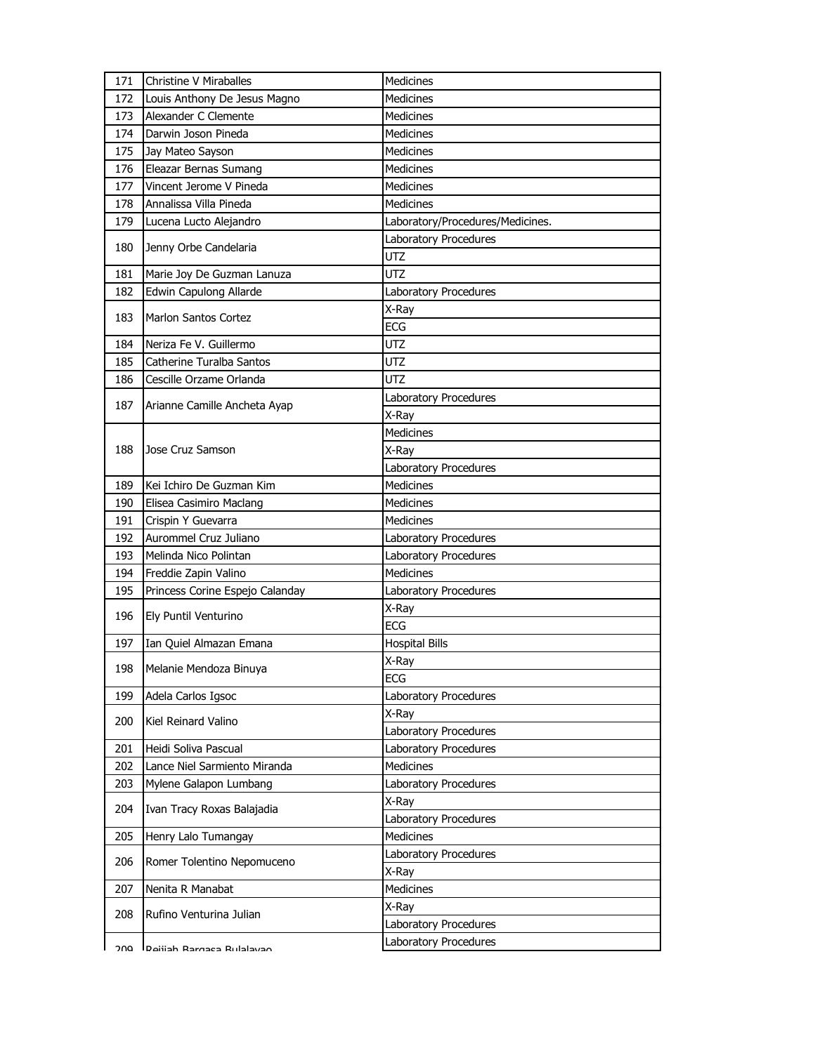| 171 | Christine V Miraballes          | <b>Medicines</b>                 |
|-----|---------------------------------|----------------------------------|
| 172 | Louis Anthony De Jesus Magno    | <b>Medicines</b>                 |
| 173 | Alexander C Clemente            | <b>Medicines</b>                 |
| 174 | Darwin Joson Pineda             | <b>Medicines</b>                 |
| 175 | Jay Mateo Sayson                | <b>Medicines</b>                 |
| 176 | Eleazar Bernas Sumang           | <b>Medicines</b>                 |
| 177 | Vincent Jerome V Pineda         | Medicines                        |
| 178 | Annalissa Villa Pineda          | Medicines                        |
| 179 | Lucena Lucto Alejandro          | Laboratory/Procedures/Medicines. |
| 180 | Jenny Orbe Candelaria           | Laboratory Procedures            |
|     |                                 | <b>UTZ</b>                       |
| 181 | Marie Joy De Guzman Lanuza      | UTZ                              |
| 182 | Edwin Capulong Allarde          | Laboratory Procedures            |
| 183 | <b>Marlon Santos Cortez</b>     | X-Ray                            |
|     |                                 | ECG                              |
| 184 | Neriza Fe V. Guillermo          | UTZ                              |
| 185 | Catherine Turalba Santos        | <b>UTZ</b>                       |
| 186 | Cescille Orzame Orlanda         | <b>UTZ</b>                       |
| 187 | Arianne Camille Ancheta Ayap    | Laboratory Procedures            |
|     |                                 | X-Ray                            |
|     |                                 | <b>Medicines</b>                 |
| 188 | Jose Cruz Samson                | X-Ray                            |
|     |                                 | Laboratory Procedures            |
| 189 | Kei Ichiro De Guzman Kim        | <b>Medicines</b>                 |
| 190 | Elisea Casimiro Maclang         | <b>Medicines</b>                 |
| 191 | Crispin Y Guevarra              | <b>Medicines</b>                 |
| 192 | Aurommel Cruz Juliano           | Laboratory Procedures            |
| 193 | Melinda Nico Polintan           | Laboratory Procedures            |
| 194 | Freddie Zapin Valino            | <b>Medicines</b>                 |
| 195 | Princess Corine Espejo Calanday | Laboratory Procedures            |
| 196 | Ely Puntil Venturino            | X-Ray                            |
|     |                                 | <b>ECG</b>                       |
| 197 | Ian Quiel Almazan Emana         | <b>Hospital Bills</b>            |
| 198 | Melanie Mendoza Binuya          | X-Ray                            |
|     |                                 | ECG                              |
| 199 | Adela Carlos Igsoc              | Laboratory Procedures            |
| 200 | Kiel Reinard Valino             | X-Ray                            |
|     |                                 | Laboratory Procedures            |
| 201 | Heidi Soliva Pascual            | Laboratory Procedures            |
| 202 | Lance Niel Sarmiento Miranda    | <b>Medicines</b>                 |
| 203 | Mylene Galapon Lumbang          | Laboratory Procedures            |
| 204 | Ivan Tracy Roxas Balajadia      | X-Ray                            |
|     |                                 | Laboratory Procedures            |
| 205 | Henry Lalo Tumangay             | <b>Medicines</b>                 |
| 206 | Romer Tolentino Nepomuceno      | Laboratory Procedures            |
|     |                                 | X-Ray                            |
| 207 | Nenita R Manabat                | Medicines                        |
| 208 | Rufino Venturina Julian         | X-Ray                            |
|     |                                 | Laboratory Procedures            |
| ∩מ  | Daijiah Rargaca Rulalayan       | Laboratory Procedures            |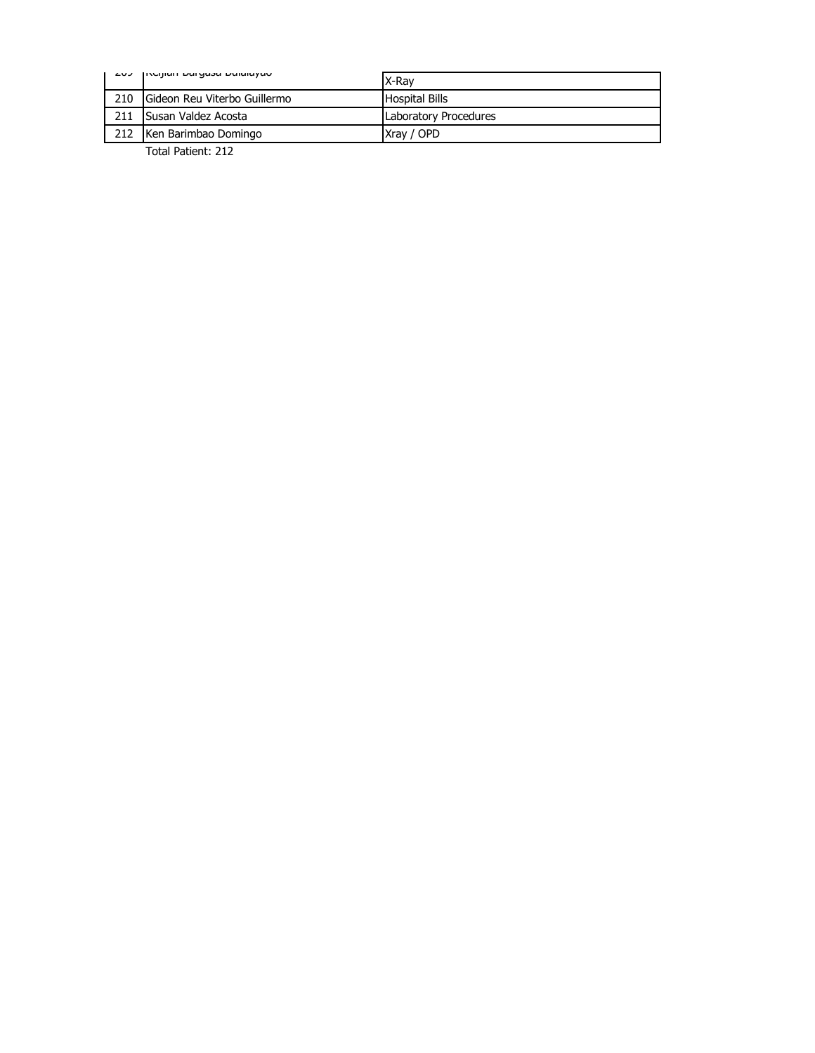| ムロン | INCIJIAH DAIYASA DUIAIAYAU           | X-Rav                 |
|-----|--------------------------------------|-----------------------|
| 210 | <b>IGideon Reu Viterbo Guillermo</b> | <b>Hospital Bills</b> |
| 211 | <b>Susan Valdez Acosta</b>           | Laboratory Procedures |
| 212 | Ken Barimbao Domingo                 | Xray / OPD            |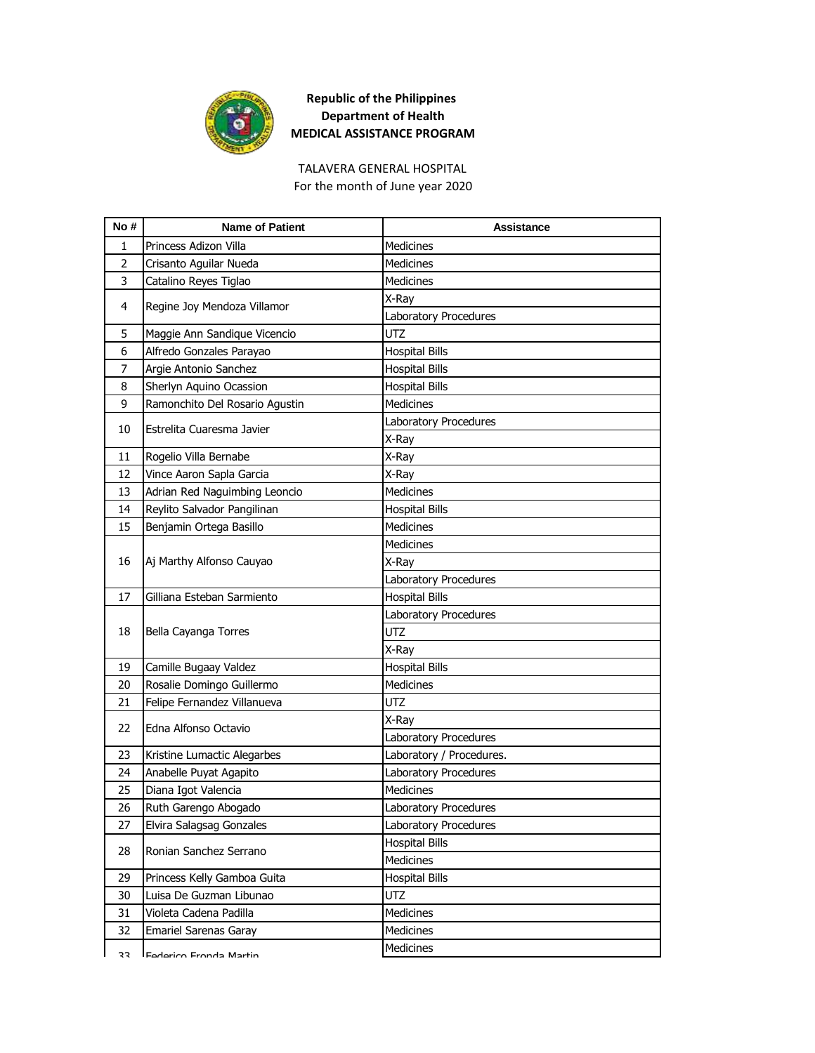

TALAVERA GENERAL HOSPITAL For the month of June year 2020

| No#            | <b>Name of Patient</b>         | <b>Assistance</b>        |
|----------------|--------------------------------|--------------------------|
| 1              | Princess Adizon Villa          | <b>Medicines</b>         |
| $\overline{2}$ | Crisanto Aguilar Nueda         | <b>Medicines</b>         |
| 3              | Catalino Reyes Tiglao          | <b>Medicines</b>         |
| 4              |                                | X-Ray                    |
|                | Regine Joy Mendoza Villamor    | Laboratory Procedures    |
| 5              | Maggie Ann Sandique Vicencio   | <b>UTZ</b>               |
| 6              | Alfredo Gonzales Parayao       | <b>Hospital Bills</b>    |
| 7              | Argie Antonio Sanchez          | <b>Hospital Bills</b>    |
| 8              | Sherlyn Aquino Ocassion        | <b>Hospital Bills</b>    |
| 9              | Ramonchito Del Rosario Agustin | <b>Medicines</b>         |
| 10             | Estrelita Cuaresma Javier      | Laboratory Procedures    |
|                |                                | X-Ray                    |
| 11             | Rogelio Villa Bernabe          | X-Ray                    |
| 12             | Vince Aaron Sapla Garcia       | X-Ray                    |
| 13             | Adrian Red Naguimbing Leoncio  | <b>Medicines</b>         |
| 14             | Reylito Salvador Pangilinan    | <b>Hospital Bills</b>    |
| 15             | Benjamin Ortega Basillo        | <b>Medicines</b>         |
|                |                                | <b>Medicines</b>         |
| 16             | Aj Marthy Alfonso Cauyao       | X-Ray                    |
|                |                                | Laboratory Procedures    |
| 17             | Gilliana Esteban Sarmiento     | <b>Hospital Bills</b>    |
|                |                                | Laboratory Procedures    |
| 18             | Bella Cayanga Torres           | <b>UTZ</b>               |
|                |                                | X-Ray                    |
| 19             | Camille Bugaay Valdez          | <b>Hospital Bills</b>    |
| 20             | Rosalie Domingo Guillermo      | Medicines                |
| 21             | Felipe Fernandez Villanueva    | <b>UTZ</b>               |
|                |                                | X-Ray                    |
| 22             | Edna Alfonso Octavio           | Laboratory Procedures    |
| 23             | Kristine Lumactic Alegarbes    | Laboratory / Procedures. |
| 24             | Anabelle Puyat Agapito         | Laboratory Procedures    |
| 25             | Diana Igot Valencia            | <b>Medicines</b>         |
| 26             | Ruth Garengo Abogado           | Laboratory Procedures    |
| 27             | Elvira Salagsag Gonzales       | Laboratory Procedures    |
| 28             | Ronian Sanchez Serrano         | <b>Hospital Bills</b>    |
|                |                                | Medicines                |
| 29             | Princess Kelly Gamboa Guita    | <b>Hospital Bills</b>    |
| 30             | Luisa De Guzman Libunao        | <b>UTZ</b>               |
| 31             | Violeta Cadena Padilla         | Medicines                |
| 32             | Emariel Sarenas Garay          | <b>Medicines</b>         |
| 33             | Federico Fronda Martin         | Medicines                |
|                |                                |                          |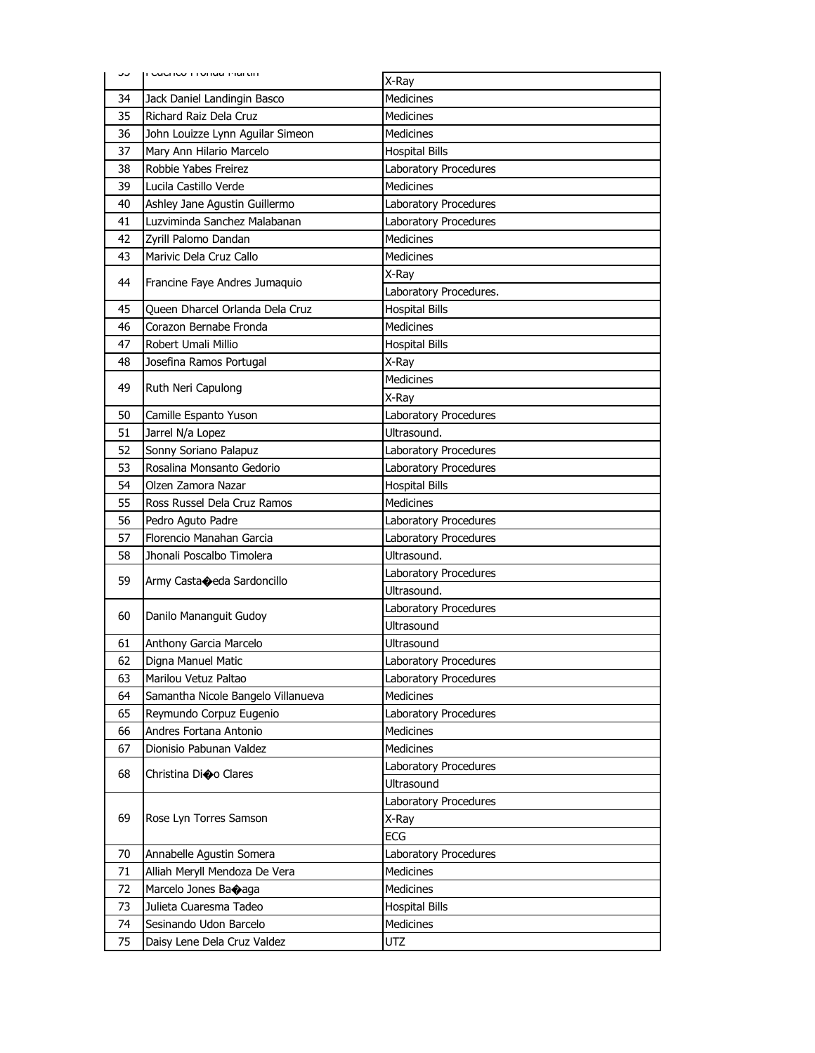| ر ر      | וו כעכוונט ו וטוועם ויום נווו                         | X-Ray                        |
|----------|-------------------------------------------------------|------------------------------|
| 34       | Jack Daniel Landingin Basco                           | <b>Medicines</b>             |
| 35       | Richard Raiz Dela Cruz                                | <b>Medicines</b>             |
| 36       | John Louizze Lynn Aguilar Simeon                      | <b>Medicines</b>             |
| 37       | Mary Ann Hilario Marcelo                              | <b>Hospital Bills</b>        |
| 38       | Robbie Yabes Freirez                                  | Laboratory Procedures        |
| 39       | Lucila Castillo Verde                                 | <b>Medicines</b>             |
| 40       | Ashley Jane Agustin Guillermo                         | Laboratory Procedures        |
| 41       | Luzviminda Sanchez Malabanan                          | Laboratory Procedures        |
| 42       | Zyrill Palomo Dandan                                  | <b>Medicines</b>             |
| 43       | Marivic Dela Cruz Callo                               | <b>Medicines</b>             |
|          |                                                       | X-Ray                        |
| 44       | Francine Faye Andres Jumaquio                         | Laboratory Procedures.       |
| 45       | Queen Dharcel Orlanda Dela Cruz                       | <b>Hospital Bills</b>        |
| 46       | Corazon Bernabe Fronda                                | <b>Medicines</b>             |
| 47       | Robert Umali Millio                                   | <b>Hospital Bills</b>        |
| 48       | Josefina Ramos Portugal                               | X-Ray                        |
| 49       | Ruth Neri Capulong                                    | <b>Medicines</b>             |
|          |                                                       | X-Ray                        |
| 50       | Camille Espanto Yuson                                 | Laboratory Procedures        |
| 51       | Jarrel N/a Lopez                                      | Ultrasound.                  |
| 52       | Sonny Soriano Palapuz                                 | Laboratory Procedures        |
| 53       | Rosalina Monsanto Gedorio                             | Laboratory Procedures        |
| 54       | Olzen Zamora Nazar                                    | <b>Hospital Bills</b>        |
| 55       | Ross Russel Dela Cruz Ramos                           | <b>Medicines</b>             |
| 56       | Pedro Aguto Padre                                     | Laboratory Procedures        |
| 57       | Florencio Manahan Garcia                              | Laboratory Procedures        |
| 58       | Jhonali Poscalbo Timolera                             | Ultrasound.                  |
| 59       | Army Casta $\bigcirc$ eda Sardoncillo                 | Laboratory Procedures        |
|          |                                                       | Ultrasound.                  |
| 60       | Danilo Mananguit Gudoy                                | Laboratory Procedures        |
|          |                                                       | Ultrasound                   |
| 61       | Anthony Garcia Marcelo                                | Ultrasound                   |
| 62       | Digna Manuel Matic                                    | <b>Laboratory Procedures</b> |
| 63       | Marilou Vetuz Paltao                                  | Laboratory Procedures        |
| 64       | Samantha Nicole Bangelo Villanueva                    | <b>Medicines</b>             |
| 65       | Reymundo Corpuz Eugenio                               | Laboratory Procedures        |
| 66       | Andres Fortana Antonio                                | Medicines                    |
| 67       | Dionisio Pabunan Valdez                               | <b>Medicines</b>             |
| 68       | Christina Dioo Clares                                 | Laboratory Procedures        |
|          |                                                       | Ultrasound                   |
|          |                                                       | Laboratory Procedures        |
| 69       | Rose Lyn Torres Samson                                | X-Ray                        |
|          |                                                       | ECG                          |
| 70       | Annabelle Agustin Somera                              | Laboratory Procedures        |
| 71       | Alliah Meryll Mendoza De Vera                         | <b>Medicines</b>             |
| 72<br>73 | Marcelo Jones Baoaga                                  | <b>Medicines</b>             |
|          | Julieta Cuaresma Tadeo                                | <b>Hospital Bills</b>        |
|          |                                                       |                              |
| 74<br>75 | Sesinando Udon Barcelo<br>Daisy Lene Dela Cruz Valdez | Medicines<br>UTZ             |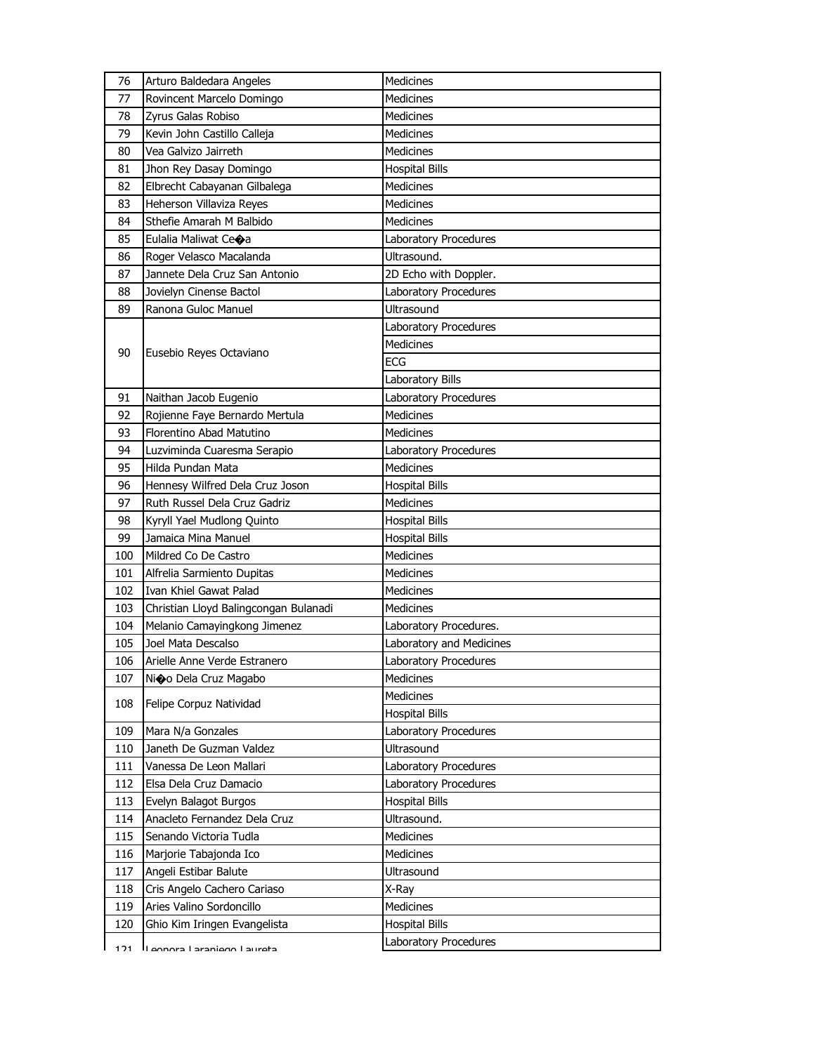| 76  | Arturo Baldedara Angeles              | <b>Medicines</b>         |
|-----|---------------------------------------|--------------------------|
| 77  | Rovincent Marcelo Domingo             | <b>Medicines</b>         |
| 78  | Zyrus Galas Robiso                    | <b>Medicines</b>         |
| 79  | Kevin John Castillo Calleja           | <b>Medicines</b>         |
| 80  | Vea Galvizo Jairreth                  | <b>Medicines</b>         |
| 81  | Jhon Rey Dasay Domingo                | <b>Hospital Bills</b>    |
| 82  | Elbrecht Cabayanan Gilbalega          | Medicines                |
| 83  | Heherson Villaviza Reyes              | Medicines                |
| 84  | Sthefie Amarah M Balbido              | <b>Medicines</b>         |
| 85  | Eulalia Maliwat Ceoa                  | Laboratory Procedures    |
| 86  | Roger Velasco Macalanda               | Ultrasound.              |
| 87  | Jannete Dela Cruz San Antonio         | 2D Echo with Doppler.    |
| 88  | Jovielyn Cinense Bactol               | Laboratory Procedures    |
| 89  | Ranona Guloc Manuel                   | Ultrasound               |
|     |                                       | Laboratory Procedures    |
|     |                                       | <b>Medicines</b>         |
| 90  | Eusebio Reyes Octaviano               | <b>ECG</b>               |
|     |                                       | Laboratory Bills         |
| 91  | Naithan Jacob Eugenio                 | Laboratory Procedures    |
| 92  | Rojienne Faye Bernardo Mertula        | <b>Medicines</b>         |
| 93  | Florentino Abad Matutino              | Medicines                |
| 94  | Luzviminda Cuaresma Serapio           | Laboratory Procedures    |
| 95  | Hilda Pundan Mata                     | Medicines                |
| 96  | Hennesy Wilfred Dela Cruz Joson       | <b>Hospital Bills</b>    |
| 97  | Ruth Russel Dela Cruz Gadriz          | <b>Medicines</b>         |
| 98  | Kyryll Yael Mudlong Quinto            | <b>Hospital Bills</b>    |
| 99  | Jamaica Mina Manuel                   | <b>Hospital Bills</b>    |
| 100 | Mildred Co De Castro                  | Medicines                |
| 101 | Alfrelia Sarmiento Dupitas            | <b>Medicines</b>         |
| 102 | Ivan Khiel Gawat Palad                | <b>Medicines</b>         |
| 103 | Christian Lloyd Balingcongan Bulanadi | Medicines                |
| 104 | Melanio Camayingkong Jimenez          | Laboratory Procedures.   |
| 105 | Joel Mata Descalso                    | Laboratory and Medicines |
| 106 | Arielle Anne Verde Estranero          | Laboratory Procedures    |
| 107 | Ni�o Dela Cruz Magabo                 | Medicines                |
| 108 | Felipe Corpuz Natividad               | Medicines                |
|     |                                       | <b>Hospital Bills</b>    |
| 109 | Mara N/a Gonzales                     | Laboratory Procedures    |
| 110 | Janeth De Guzman Valdez               | Ultrasound               |
| 111 | Vanessa De Leon Mallari               | Laboratory Procedures    |
| 112 | Elsa Dela Cruz Damacio                | Laboratory Procedures    |
| 113 | Evelyn Balagot Burgos                 | <b>Hospital Bills</b>    |
| 114 | Anacleto Fernandez Dela Cruz          | Ultrasound.              |
| 115 | Senando Victoria Tudla                | <b>Medicines</b>         |
| 116 | Marjorie Tabajonda Ico                | <b>Medicines</b>         |
| 117 | Angeli Estibar Balute                 | Ultrasound               |
| 118 | Cris Angelo Cachero Cariaso           | X-Ray                    |
| 119 | Aries Valino Sordoncillo              | Medicines                |
| 120 | Ghio Kim Iringen Evangelista          | <b>Hospital Bills</b>    |
| 171 | ll annora l'araniano l'aurata         | Laboratory Procedures    |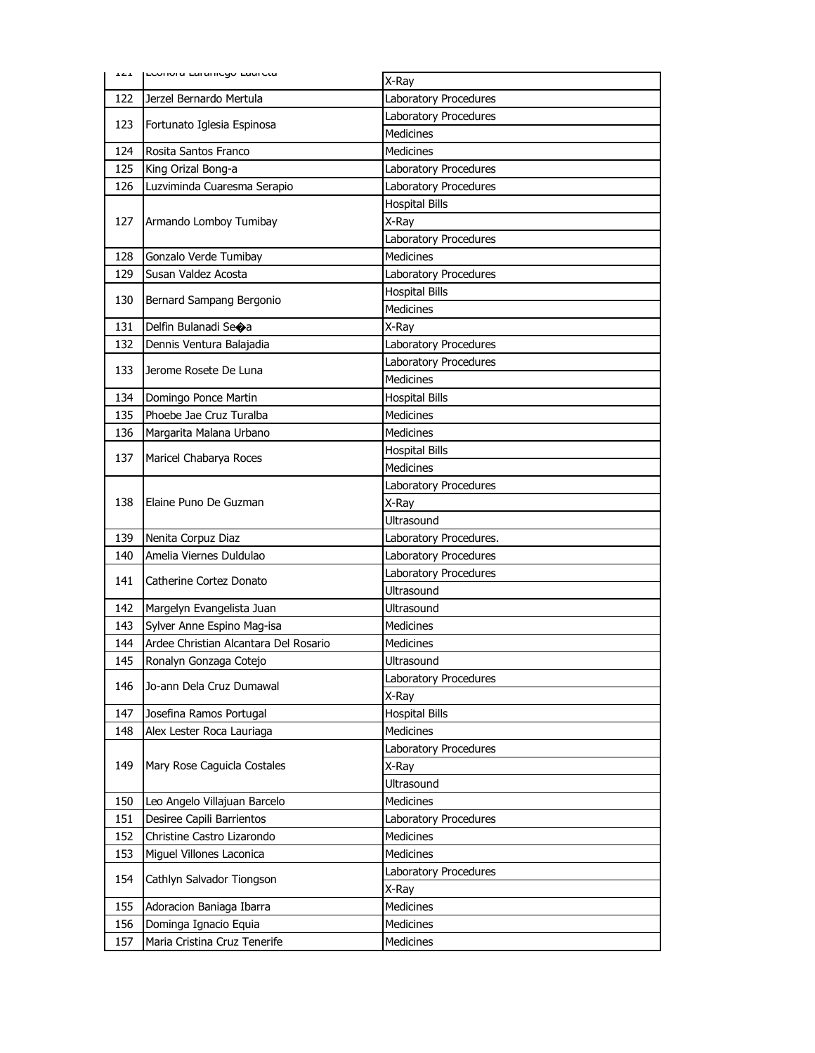|            | ILL LEUINIO LOI ONICYU LOUI CLO                         | X-Ray                                     |
|------------|---------------------------------------------------------|-------------------------------------------|
| 122        | Jerzel Bernardo Mertula                                 | Laboratory Procedures                     |
|            |                                                         | Laboratory Procedures                     |
| 123        | Fortunato Iglesia Espinosa                              | <b>Medicines</b>                          |
| 124        | Rosita Santos Franco                                    | <b>Medicines</b>                          |
| 125        | King Orizal Bong-a                                      | Laboratory Procedures                     |
| 126        | Luzviminda Cuaresma Serapio                             | Laboratory Procedures                     |
|            |                                                         | <b>Hospital Bills</b>                     |
| 127        | Armando Lomboy Tumibay                                  | X-Ray                                     |
|            |                                                         | Laboratory Procedures                     |
| 128        | Gonzalo Verde Tumibay                                   | <b>Medicines</b>                          |
| 129        | Susan Valdez Acosta                                     | Laboratory Procedures                     |
| 130        |                                                         | <b>Hospital Bills</b>                     |
|            | Bernard Sampang Bergonio                                | <b>Medicines</b>                          |
| 131        | Delfin Bulanadi Seoa                                    | X-Ray                                     |
| 132        | Dennis Ventura Balajadia                                | Laboratory Procedures                     |
| 133        | Jerome Rosete De Luna                                   | Laboratory Procedures                     |
|            |                                                         | <b>Medicines</b>                          |
| 134        | Domingo Ponce Martin                                    | <b>Hospital Bills</b>                     |
| 135        | Phoebe Jae Cruz Turalba                                 | <b>Medicines</b>                          |
| 136        | Margarita Malana Urbano                                 | Medicines                                 |
| 137        | Maricel Chabarya Roces                                  | <b>Hospital Bills</b>                     |
|            |                                                         | <b>Medicines</b>                          |
|            |                                                         | Laboratory Procedures                     |
| 138        | Elaine Puno De Guzman                                   | X-Ray                                     |
|            |                                                         | <b>Ultrasound</b>                         |
| 139        | Nenita Corpuz Diaz                                      | Laboratory Procedures.                    |
| 140        | Amelia Viernes Duldulao                                 | Laboratory Procedures                     |
| 141        | Catherine Cortez Donato                                 | Laboratory Procedures                     |
|            |                                                         | Ultrasound                                |
| 142        | Margelyn Evangelista Juan                               | Ultrasound                                |
| 143        | Sylver Anne Espino Mag-isa                              | Medicines                                 |
| 144        | Ardee Christian Alcantara Del Rosario                   | <b>Medicines</b>                          |
| 145        | Ronalyn Gonzaga Cotejo                                  | Ultrasound                                |
| 146        | Jo-ann Dela Cruz Dumawal                                | Laboratory Procedures                     |
|            |                                                         | X-Ray                                     |
| 147        | Josefina Ramos Portugal                                 | <b>Hospital Bills</b>                     |
| 148        | Alex Lester Roca Lauriaga                               | Medicines                                 |
|            |                                                         | Laboratory Procedures                     |
| 149        | Mary Rose Caguicla Costales                             | X-Ray                                     |
|            |                                                         | Ultrasound                                |
| 150        | Leo Angelo Villajuan Barcelo                            | <b>Medicines</b><br>Laboratory Procedures |
| 151<br>152 | Desiree Capili Barrientos<br>Christine Castro Lizarondo | Medicines                                 |
| 153        | Miguel Villones Laconica                                | Medicines                                 |
|            |                                                         | Laboratory Procedures                     |
| 154        | Cathlyn Salvador Tiongson                               | X-Ray                                     |
| 155        | Adoracion Baniaga Ibarra                                | Medicines                                 |
| 156        | Dominga Ignacio Equia                                   | Medicines                                 |
| 157        | Maria Cristina Cruz Tenerife                            | Medicines                                 |
|            |                                                         |                                           |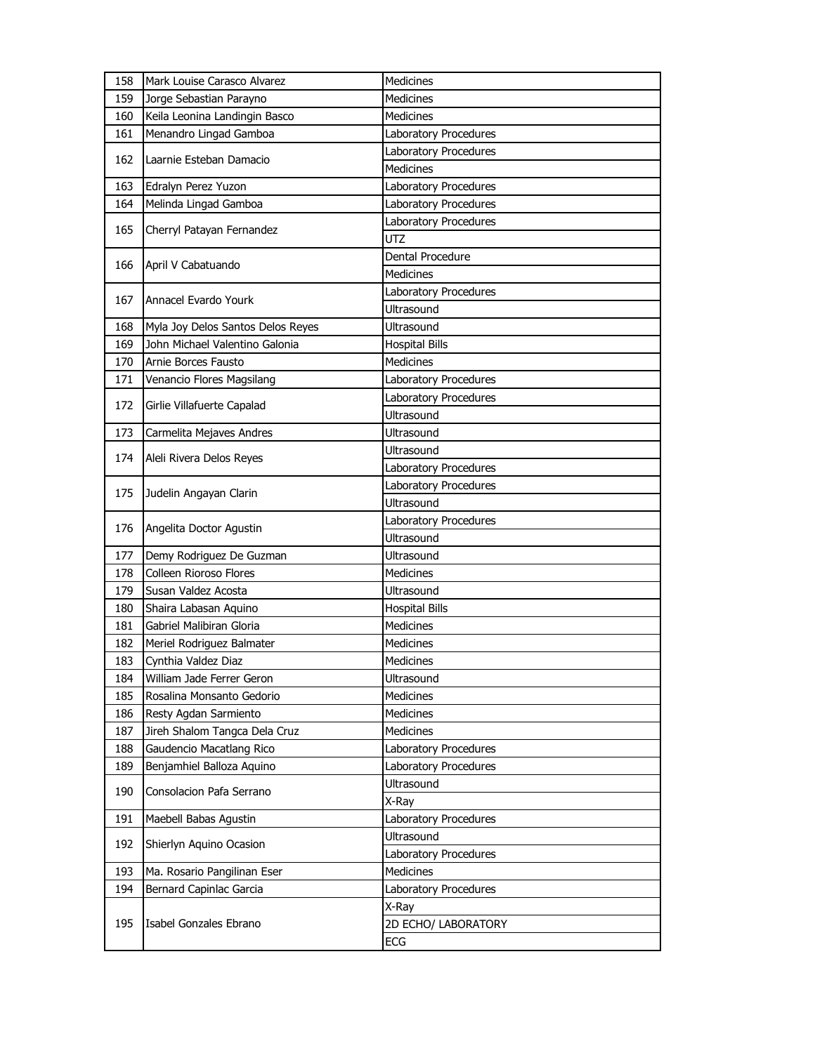| 158 | Mark Louise Carasco Alvarez       | <b>Medicines</b>      |
|-----|-----------------------------------|-----------------------|
| 159 | Jorge Sebastian Parayno           | <b>Medicines</b>      |
| 160 | Keila Leonina Landingin Basco     | Medicines             |
| 161 | Menandro Lingad Gamboa            | Laboratory Procedures |
| 162 | Laarnie Esteban Damacio           | Laboratory Procedures |
|     |                                   | <b>Medicines</b>      |
| 163 | Edralyn Perez Yuzon               | Laboratory Procedures |
| 164 | Melinda Lingad Gamboa             | Laboratory Procedures |
| 165 | Cherryl Patayan Fernandez         | Laboratory Procedures |
|     |                                   | <b>UTZ</b>            |
| 166 | April V Cabatuando                | Dental Procedure      |
|     |                                   | <b>Medicines</b>      |
| 167 | Annacel Evardo Yourk              | Laboratory Procedures |
|     |                                   | <b>Ultrasound</b>     |
| 168 | Myla Joy Delos Santos Delos Reyes | Ultrasound            |
| 169 | John Michael Valentino Galonia    | <b>Hospital Bills</b> |
| 170 | Arnie Borces Fausto               | Medicines             |
| 171 | Venancio Flores Magsilang         | Laboratory Procedures |
| 172 | Girlie Villafuerte Capalad        | Laboratory Procedures |
|     |                                   | Ultrasound            |
| 173 | Carmelita Mejaves Andres          | Ultrasound            |
| 174 | Aleli Rivera Delos Reyes          | Ultrasound            |
|     |                                   | Laboratory Procedures |
| 175 | Judelin Angayan Clarin            | Laboratory Procedures |
|     |                                   | Ultrasound            |
| 176 | Angelita Doctor Agustin           | Laboratory Procedures |
|     |                                   | Ultrasound            |
| 177 | Demy Rodriguez De Guzman          | Ultrasound            |
| 178 | Colleen Rioroso Flores            | <b>Medicines</b>      |
| 179 | Susan Valdez Acosta               | Ultrasound            |
| 180 | Shaira Labasan Aquino             | <b>Hospital Bills</b> |
| 181 | Gabriel Malibiran Gloria          | <b>Medicines</b>      |
| 182 | Meriel Rodriguez Balmater         | Medicines             |
| 183 | Cynthia Valdez Diaz               | <b>Medicines</b>      |
| 184 | William Jade Ferrer Geron         | Ultrasound            |
| 185 | Rosalina Monsanto Gedorio         | <b>Medicines</b>      |
| 186 | Resty Agdan Sarmiento             | Medicines             |
| 187 | Jireh Shalom Tangca Dela Cruz     | Medicines             |
| 188 | Gaudencio Macatlang Rico          | Laboratory Procedures |
| 189 | Benjamhiel Balloza Aquino         | Laboratory Procedures |
| 190 | Consolacion Pafa Serrano          | Ultrasound            |
|     |                                   | X-Ray                 |
| 191 | Maebell Babas Agustin             | Laboratory Procedures |
| 192 | Shierlyn Aquino Ocasion           | Ultrasound            |
|     |                                   | Laboratory Procedures |
| 193 | Ma. Rosario Pangilinan Eser       | <b>Medicines</b>      |
| 194 | Bernard Capinlac Garcia           | Laboratory Procedures |
|     |                                   | X-Ray                 |
| 195 | Isabel Gonzales Ebrano            | 2D ECHO/ LABORATORY   |
|     |                                   | ECG                   |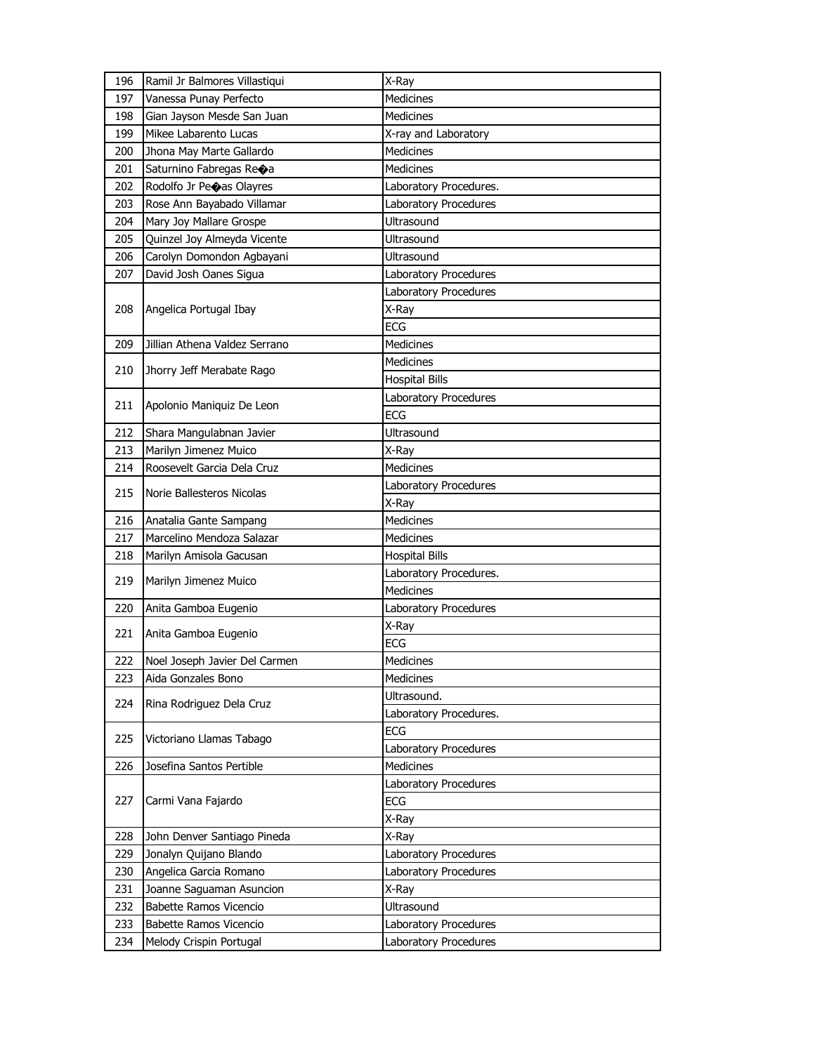| 196 | Ramil Jr Balmores Villastiqui      | X-Ray                        |
|-----|------------------------------------|------------------------------|
| 197 | Vanessa Punay Perfecto             | <b>Medicines</b>             |
| 198 | Gian Jayson Mesde San Juan         | <b>Medicines</b>             |
| 199 | Mikee Labarento Lucas              | X-ray and Laboratory         |
| 200 | Jhona May Marte Gallardo           | <b>Medicines</b>             |
| 201 | Saturnino Fabregas Re $\bigcirc$ a | <b>Medicines</b>             |
| 202 | Rodolfo Jr Peoas Olayres           | Laboratory Procedures.       |
| 203 | Rose Ann Bayabado Villamar         | Laboratory Procedures        |
| 204 | Mary Joy Mallare Grospe            | Ultrasound                   |
| 205 | Quinzel Joy Almeyda Vicente        | Ultrasound                   |
| 206 | Carolyn Domondon Agbayani          | Ultrasound                   |
| 207 | David Josh Oanes Sigua             | Laboratory Procedures        |
|     |                                    | Laboratory Procedures        |
| 208 | Angelica Portugal Ibay             | X-Ray                        |
|     |                                    | <b>ECG</b>                   |
| 209 | Jillian Athena Valdez Serrano      | <b>Medicines</b>             |
|     |                                    | Medicines                    |
| 210 | Jhorry Jeff Merabate Rago          | <b>Hospital Bills</b>        |
|     |                                    | <b>Laboratory Procedures</b> |
| 211 | Apolonio Maniquiz De Leon          | <b>ECG</b>                   |
| 212 | Shara Mangulabnan Javier           | Ultrasound                   |
| 213 | Marilyn Jimenez Muico              | X-Ray                        |
| 214 | Roosevelt Garcia Dela Cruz         | <b>Medicines</b>             |
|     |                                    | Laboratory Procedures        |
| 215 | Norie Ballesteros Nicolas          | X-Ray                        |
| 216 | Anatalia Gante Sampang             | <b>Medicines</b>             |
| 217 | Marcelino Mendoza Salazar          | Medicines                    |
| 218 | Marilyn Amisola Gacusan            | <b>Hospital Bills</b>        |
|     |                                    | Laboratory Procedures.       |
| 219 | Marilyn Jimenez Muico              | <b>Medicines</b>             |
| 220 | Anita Gamboa Eugenio               | Laboratory Procedures        |
| 221 |                                    | X-Ray                        |
|     | Anita Gamboa Eugenio               | ECG                          |
| 222 | Noel Joseph Javier Del Carmen      | Medicines                    |
| 223 | Aida Gonzales Bono                 | Medicines                    |
| 224 | Rina Rodriguez Dela Cruz           | Ultrasound.                  |
|     |                                    | Laboratory Procedures.       |
| 225 | Victoriano Llamas Tabago           | ECG                          |
|     |                                    | Laboratory Procedures        |
| 226 | Josefina Santos Pertible           | <b>Medicines</b>             |
|     |                                    | Laboratory Procedures        |
| 227 | Carmi Vana Fajardo                 | ECG                          |
|     |                                    | X-Ray                        |
| 228 | John Denver Santiago Pineda        | X-Ray                        |
| 229 | Jonalyn Quijano Blando             | Laboratory Procedures        |
| 230 | Angelica Garcia Romano             | Laboratory Procedures        |
| 231 | Joanne Saguaman Asuncion           | X-Ray                        |
| 232 | Babette Ramos Vicencio             | Ultrasound                   |
| 233 | Babette Ramos Vicencio             | Laboratory Procedures        |
| 234 | Melody Crispin Portugal            | Laboratory Procedures        |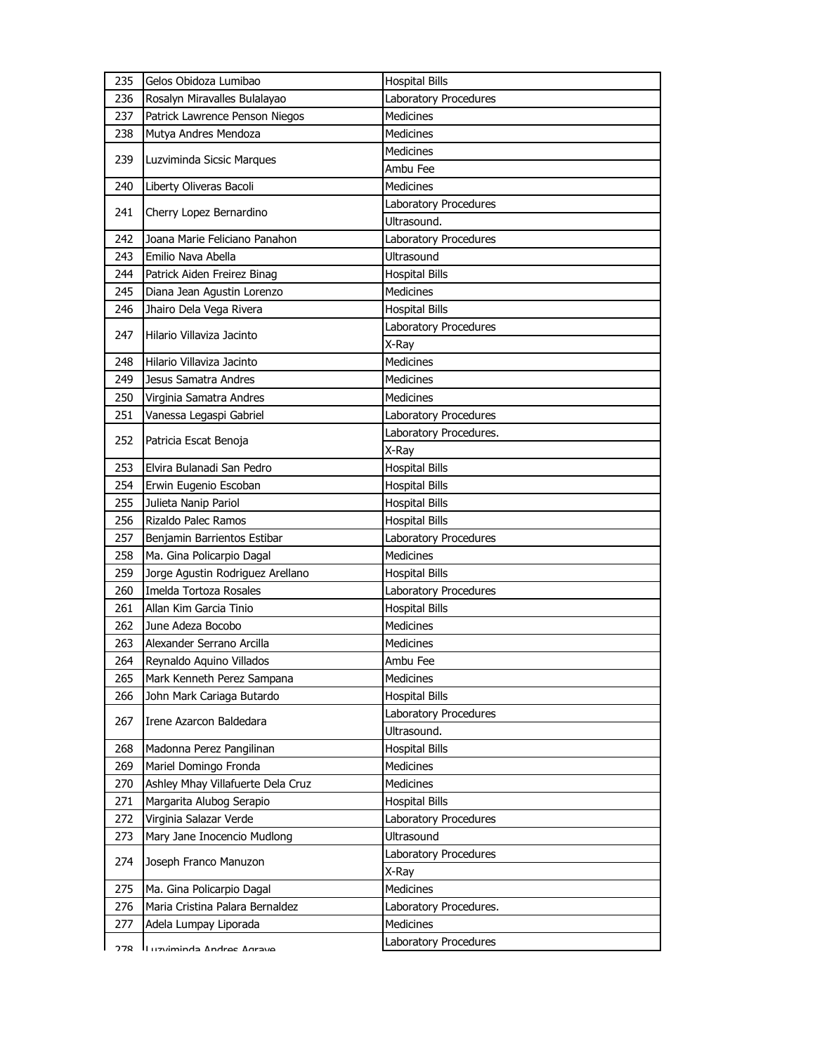| 235 | Gelos Obidoza Lumibao             | <b>Hospital Bills</b>  |
|-----|-----------------------------------|------------------------|
| 236 | Rosalyn Miravalles Bulalayao      | Laboratory Procedures  |
| 237 | Patrick Lawrence Penson Niegos    | <b>Medicines</b>       |
| 238 | Mutya Andres Mendoza              | <b>Medicines</b>       |
|     |                                   | <b>Medicines</b>       |
| 239 | Luzviminda Sicsic Marques         | Ambu Fee               |
| 240 | Liberty Oliveras Bacoli           | <b>Medicines</b>       |
| 241 | Cherry Lopez Bernardino           | Laboratory Procedures  |
|     |                                   | Ultrasound.            |
| 242 | Joana Marie Feliciano Panahon     | Laboratory Procedures  |
| 243 | Emilio Nava Abella                | <b>Ultrasound</b>      |
| 244 | Patrick Aiden Freirez Binag       | <b>Hospital Bills</b>  |
| 245 | Diana Jean Agustin Lorenzo        | <b>Medicines</b>       |
| 246 | Jhairo Dela Vega Rivera           | <b>Hospital Bills</b>  |
| 247 | Hilario Villaviza Jacinto         | Laboratory Procedures  |
|     |                                   | X-Ray                  |
| 248 | Hilario Villaviza Jacinto         | Medicines              |
| 249 | Jesus Samatra Andres              | <b>Medicines</b>       |
| 250 | Virginia Samatra Andres           | <b>Medicines</b>       |
| 251 | Vanessa Legaspi Gabriel           | Laboratory Procedures  |
| 252 | Patricia Escat Benoja             | Laboratory Procedures. |
|     |                                   | X-Ray                  |
| 253 | Elvira Bulanadi San Pedro         | <b>Hospital Bills</b>  |
| 254 | Erwin Eugenio Escoban             | <b>Hospital Bills</b>  |
| 255 | Julieta Nanip Pariol              | <b>Hospital Bills</b>  |
| 256 | Rizaldo Palec Ramos               | <b>Hospital Bills</b>  |
| 257 | Benjamin Barrientos Estibar       | Laboratory Procedures  |
| 258 | Ma. Gina Policarpio Dagal         | Medicines              |
| 259 | Jorge Agustin Rodriguez Arellano  | <b>Hospital Bills</b>  |
| 260 | Imelda Tortoza Rosales            | Laboratory Procedures  |
| 261 | Allan Kim Garcia Tinio            | <b>Hospital Bills</b>  |
| 262 | June Adeza Bocobo                 | <b>Medicines</b>       |
| 263 | Alexander Serrano Arcilla         | Medicines              |
| 264 | Reynaldo Aquino Villados          | Ambu Fee               |
| 265 | Mark Kenneth Perez Sampana        | Medicines              |
| 266 | John Mark Cariaga Butardo         | <b>Hospital Bills</b>  |
| 267 | Irene Azarcon Baldedara           | Laboratory Procedures  |
|     |                                   | Ultrasound.            |
| 268 | Madonna Perez Pangilinan          | <b>Hospital Bills</b>  |
| 269 | Mariel Domingo Fronda             | Medicines              |
| 270 | Ashley Mhay Villafuerte Dela Cruz | Medicines              |
| 271 | Margarita Alubog Serapio          | <b>Hospital Bills</b>  |
| 272 | Virginia Salazar Verde            | Laboratory Procedures  |
| 273 | Mary Jane Inocencio Mudlong       | Ultrasound             |
| 274 | Joseph Franco Manuzon             | Laboratory Procedures  |
|     |                                   | X-Ray                  |
| 275 | Ma. Gina Policarpio Dagal         | Medicines              |
| 276 | Maria Cristina Palara Bernaldez   | Laboratory Procedures. |
| 277 | Adela Lumpay Liporada             | <b>Medicines</b>       |
| ን7Ջ | Andree Antractural                | Laboratory Procedures  |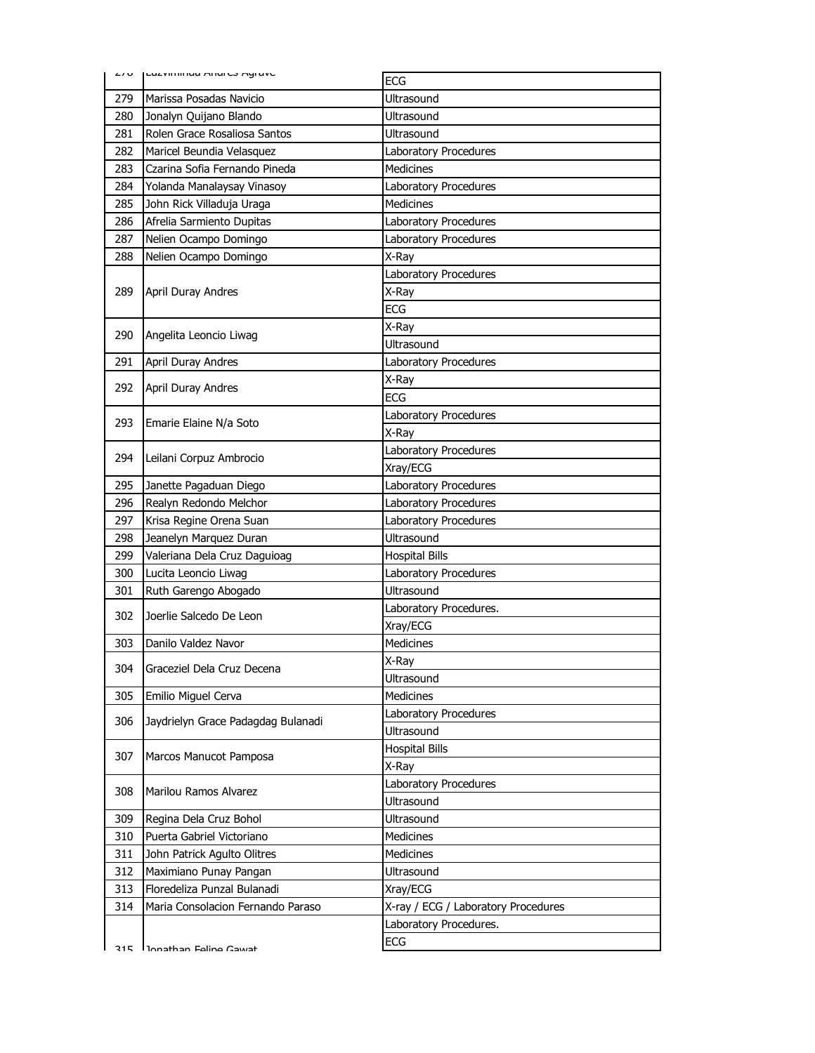| د ، ب | LUZVIIIIIIIU MIUI CO MYI AVC                           | <b>ECG</b>                          |
|-------|--------------------------------------------------------|-------------------------------------|
|       |                                                        | Ultrasound                          |
| 279   | Marissa Posadas Navicio                                | Ultrasound                          |
| 280   | Jonalyn Quijano Blando<br>Rolen Grace Rosaliosa Santos |                                     |
| 281   |                                                        | Ultrasound                          |
| 282   | Maricel Beundia Velasquez                              | Laboratory Procedures               |
| 283   | Czarina Sofia Fernando Pineda                          | <b>Medicines</b>                    |
| 284   | Yolanda Manalaysay Vinasoy                             | Laboratory Procedures               |
| 285   | John Rick Villaduja Uraga                              | <b>Medicines</b>                    |
| 286   | Afrelia Sarmiento Dupitas                              | Laboratory Procedures               |
| 287   | Nelien Ocampo Domingo                                  | Laboratory Procedures               |
| 288   | Nelien Ocampo Domingo                                  | X-Ray                               |
|       |                                                        | Laboratory Procedures               |
| 289   | April Duray Andres                                     | X-Ray                               |
|       |                                                        | <b>ECG</b>                          |
| 290   | Angelita Leoncio Liwag                                 | X-Ray                               |
|       |                                                        | <b>Ultrasound</b>                   |
| 291   | April Duray Andres                                     | Laboratory Procedures               |
| 292   | April Duray Andres                                     | X-Ray                               |
|       |                                                        | <b>ECG</b>                          |
| 293   | Emarie Elaine N/a Soto                                 | Laboratory Procedures               |
|       |                                                        | X-Ray                               |
| 294   |                                                        | Laboratory Procedures               |
|       | Leilani Corpuz Ambrocio                                | Xray/ECG                            |
| 295   | Janette Pagaduan Diego                                 | Laboratory Procedures               |
| 296   | Realyn Redondo Melchor                                 | Laboratory Procedures               |
|       |                                                        |                                     |
| 297   | Krisa Regine Orena Suan                                | Laboratory Procedures               |
| 298   | Jeanelyn Marquez Duran                                 | Ultrasound                          |
| 299   | Valeriana Dela Cruz Daguioag                           | <b>Hospital Bills</b>               |
| 300   | Lucita Leoncio Liwag                                   | Laboratory Procedures               |
| 301   | Ruth Garengo Abogado                                   | Ultrasound                          |
|       |                                                        | Laboratory Procedures.              |
| 302   | Joerlie Salcedo De Leon                                | Xray/ECG                            |
| 303   | Danilo Valdez Navor                                    | Medicines                           |
|       |                                                        | X-Ray                               |
| 304   | Graceziel Dela Cruz Decena                             | Ultrasound                          |
| 305   | Emilio Miguel Cerva                                    | <b>Medicines</b>                    |
|       |                                                        | Laboratory Procedures               |
| 306   | Jaydrielyn Grace Padagdag Bulanadi                     | Ultrasound                          |
|       |                                                        | <b>Hospital Bills</b>               |
| 307   | Marcos Manucot Pamposa                                 |                                     |
|       |                                                        | X-Ray                               |
| 308   | Marilou Ramos Alvarez                                  | Laboratory Procedures<br>Ultrasound |
| 309   | Regina Dela Cruz Bohol                                 | Ultrasound                          |
| 310   | Puerta Gabriel Victoriano                              | Medicines                           |
| 311   |                                                        | Medicines                           |
|       | John Patrick Agulto Olitres                            | Ultrasound                          |
| 312   | Maximiano Punay Pangan                                 |                                     |
| 313   | Floredeliza Punzal Bulanadi                            | Xray/ECG                            |
| 314   | Maria Consolacion Fernando Paraso                      | X-ray / ECG / Laboratory Procedures |
|       | Ionathan Falina Cawat                                  | Laboratory Procedures.<br>ECG       |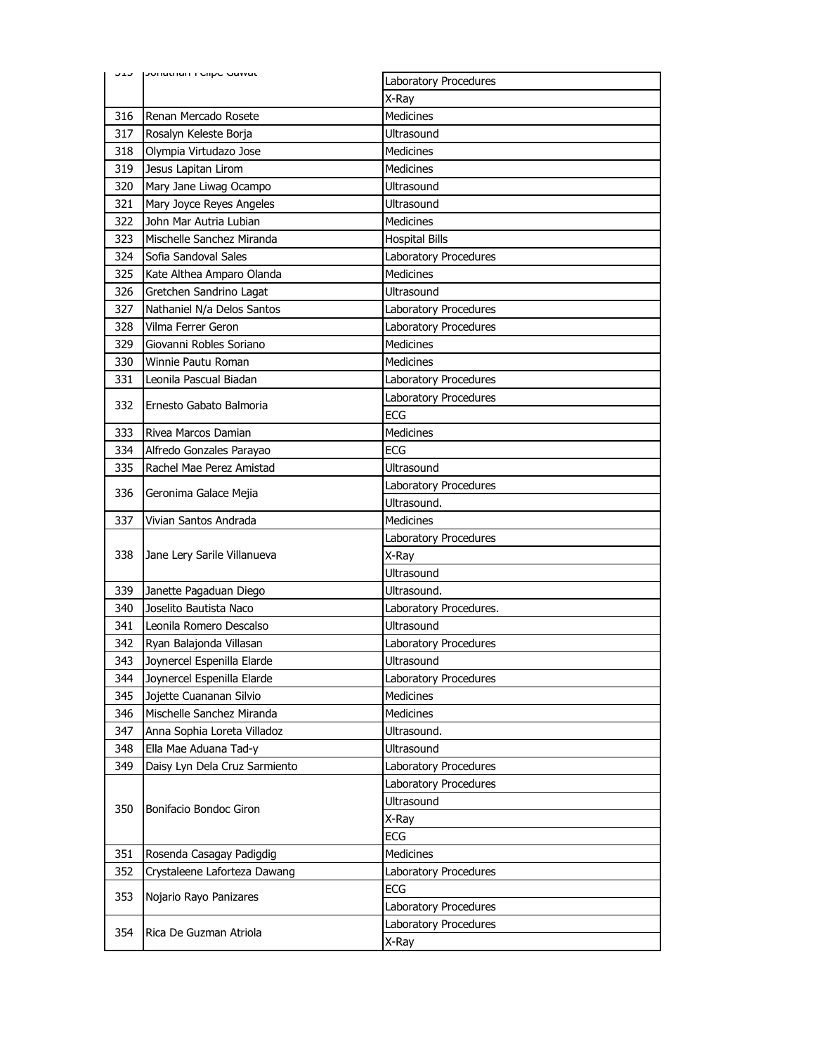|     | <b>JIJ</b> JUHALHAH FORD GAMAL | Laboratory Procedures  |
|-----|--------------------------------|------------------------|
|     |                                | X-Ray                  |
| 316 | Renan Mercado Rosete           | <b>Medicines</b>       |
| 317 | Rosalyn Keleste Borja          | Ultrasound             |
| 318 | Olympia Virtudazo Jose         | <b>Medicines</b>       |
| 319 | Jesus Lapitan Lirom            | <b>Medicines</b>       |
| 320 | Mary Jane Liwag Ocampo         | Ultrasound             |
| 321 | Mary Joyce Reyes Angeles       | Ultrasound             |
| 322 | John Mar Autria Lubian         | <b>Medicines</b>       |
| 323 | Mischelle Sanchez Miranda      | <b>Hospital Bills</b>  |
| 324 | Sofia Sandoval Sales           | Laboratory Procedures  |
| 325 | Kate Althea Amparo Olanda      | <b>Medicines</b>       |
| 326 | Gretchen Sandrino Lagat        | Ultrasound             |
| 327 | Nathaniel N/a Delos Santos     | Laboratory Procedures  |
| 328 | Vilma Ferrer Geron             | Laboratory Procedures  |
| 329 | Giovanni Robles Soriano        | <b>Medicines</b>       |
| 330 | Winnie Pautu Roman             | <b>Medicines</b>       |
| 331 | Leonila Pascual Biadan         | Laboratory Procedures  |
|     |                                | Laboratory Procedures  |
| 332 | Ernesto Gabato Balmoria        | ECG                    |
| 333 | Rivea Marcos Damian            | Medicines              |
| 334 | Alfredo Gonzales Parayao       | <b>ECG</b>             |
| 335 | Rachel Mae Perez Amistad       | Ultrasound             |
|     |                                | Laboratory Procedures  |
| 336 | Geronima Galace Mejia          | Ultrasound.            |
| 337 | Vivian Santos Andrada          | <b>Medicines</b>       |
|     |                                | Laboratory Procedures  |
| 338 | Jane Lery Sarile Villanueva    | X-Ray                  |
|     |                                |                        |
| 339 |                                | Ultrasound             |
|     | Janette Pagaduan Diego         | Ultrasound.            |
| 340 | Joselito Bautista Naco         | Laboratory Procedures. |
| 341 | Leonila Romero Descalso        | Ultrasound             |
| 342 | Ryan Balajonda Villasan        | Laboratory Procedures  |
| 343 | Joynercel Espenilla Elarde     | Ultrasound             |
| 344 | Joynercel Espenilla Elarde     | Laboratory Procedures  |
| 345 | Jojette Cuananan Silvio        | Medicines              |
| 346 | Mischelle Sanchez Miranda      | <b>Medicines</b>       |
| 347 | Anna Sophia Loreta Villadoz    | Ultrasound.            |
| 348 | Ella Mae Aduana Tad-y          | Ultrasound             |
| 349 | Daisy Lyn Dela Cruz Sarmiento  | Laboratory Procedures  |
|     |                                | Laboratory Procedures  |
|     |                                | Ultrasound             |
| 350 | Bonifacio Bondoc Giron         | X-Ray                  |
|     |                                | <b>ECG</b>             |
| 351 | Rosenda Casagay Padigdig       | Medicines              |
| 352 | Crystaleene Laforteza Dawang   | Laboratory Procedures  |
|     |                                | ECG                    |
| 353 | Nojario Rayo Panizares         | Laboratory Procedures  |
| 354 | Rica De Guzman Atriola         | Laboratory Procedures  |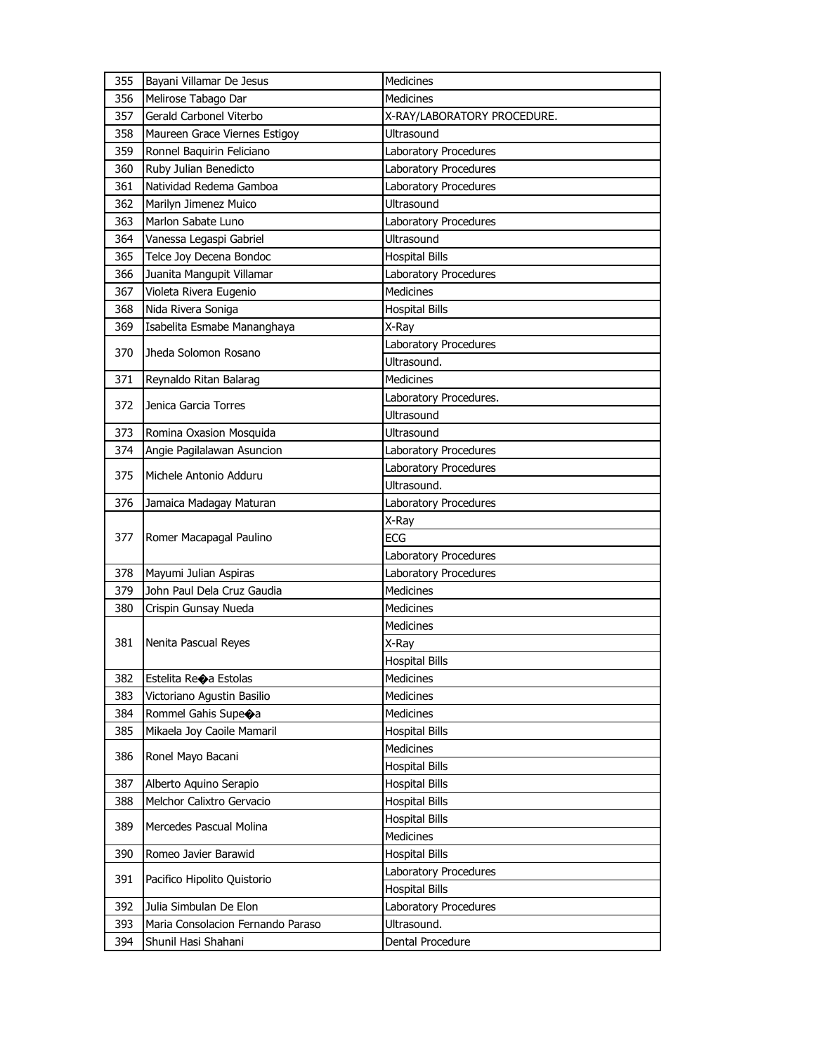| 355 | Bayani Villamar De Jesus          | Medicines                   |
|-----|-----------------------------------|-----------------------------|
| 356 | Melirose Tabago Dar               | <b>Medicines</b>            |
| 357 | Gerald Carbonel Viterbo           | X-RAY/LABORATORY PROCEDURE. |
| 358 | Maureen Grace Viernes Estigoy     | Ultrasound                  |
| 359 | Ronnel Baquirin Feliciano         | Laboratory Procedures       |
| 360 | Ruby Julian Benedicto             | Laboratory Procedures       |
| 361 | Natividad Redema Gamboa           | Laboratory Procedures       |
| 362 | Marilyn Jimenez Muico             | Ultrasound                  |
| 363 | Marlon Sabate Luno                | Laboratory Procedures       |
| 364 | Vanessa Legaspi Gabriel           | Ultrasound                  |
| 365 | Telce Joy Decena Bondoc           | <b>Hospital Bills</b>       |
| 366 | Juanita Mangupit Villamar         | Laboratory Procedures       |
| 367 | Violeta Rivera Eugenio            | <b>Medicines</b>            |
| 368 | Nida Rivera Soniga                | <b>Hospital Bills</b>       |
| 369 | Isabelita Esmabe Mananghaya       | X-Ray                       |
| 370 | Jheda Solomon Rosano              | Laboratory Procedures       |
|     |                                   | Ultrasound.                 |
| 371 | Reynaldo Ritan Balarag            | <b>Medicines</b>            |
| 372 | Jenica Garcia Torres              | Laboratory Procedures.      |
|     |                                   | Ultrasound                  |
| 373 | Romina Oxasion Mosquida           | Ultrasound                  |
| 374 | Angie Pagilalawan Asuncion        | Laboratory Procedures       |
| 375 | Michele Antonio Adduru            | Laboratory Procedures       |
|     |                                   | Ultrasound.                 |
| 376 | Jamaica Madagay Maturan           | Laboratory Procedures       |
|     |                                   | X-Ray                       |
| 377 | Romer Macapagal Paulino           | <b>ECG</b>                  |
|     |                                   | Laboratory Procedures       |
| 378 | Mayumi Julian Aspiras             | Laboratory Procedures       |
| 379 | John Paul Dela Cruz Gaudia        | <b>Medicines</b>            |
| 380 | Crispin Gunsay Nueda              | <b>Medicines</b>            |
|     |                                   | <b>Medicines</b>            |
| 381 | Nenita Pascual Reyes              | X-Ray                       |
|     |                                   | <b>Hospital Bills</b>       |
| 382 | Estelita Re $\bigcirc$ a Estolas  | Medicines                   |
| 383 | Victoriano Agustin Basilio        | <b>Medicines</b>            |
| 384 | Rommel Gahis Supe $\bigcirc$ a    | Medicines                   |
| 385 | Mikaela Joy Caoile Mamaril        | <b>Hospital Bills</b>       |
| 386 | Ronel Mayo Bacani                 | <b>Medicines</b>            |
|     |                                   | <b>Hospital Bills</b>       |
| 387 | Alberto Aquino Serapio            | <b>Hospital Bills</b>       |
| 388 | Melchor Calixtro Gervacio         | <b>Hospital Bills</b>       |
| 389 | Mercedes Pascual Molina           | <b>Hospital Bills</b>       |
|     |                                   | Medicines                   |
| 390 | Romeo Javier Barawid              | <b>Hospital Bills</b>       |
| 391 | Pacifico Hipolito Quistorio       | Laboratory Procedures       |
|     |                                   | <b>Hospital Bills</b>       |
| 392 | Julia Simbulan De Elon            | Laboratory Procedures       |
| 393 | Maria Consolacion Fernando Paraso | Ultrasound.                 |
| 394 | Shunil Hasi Shahani               | Dental Procedure            |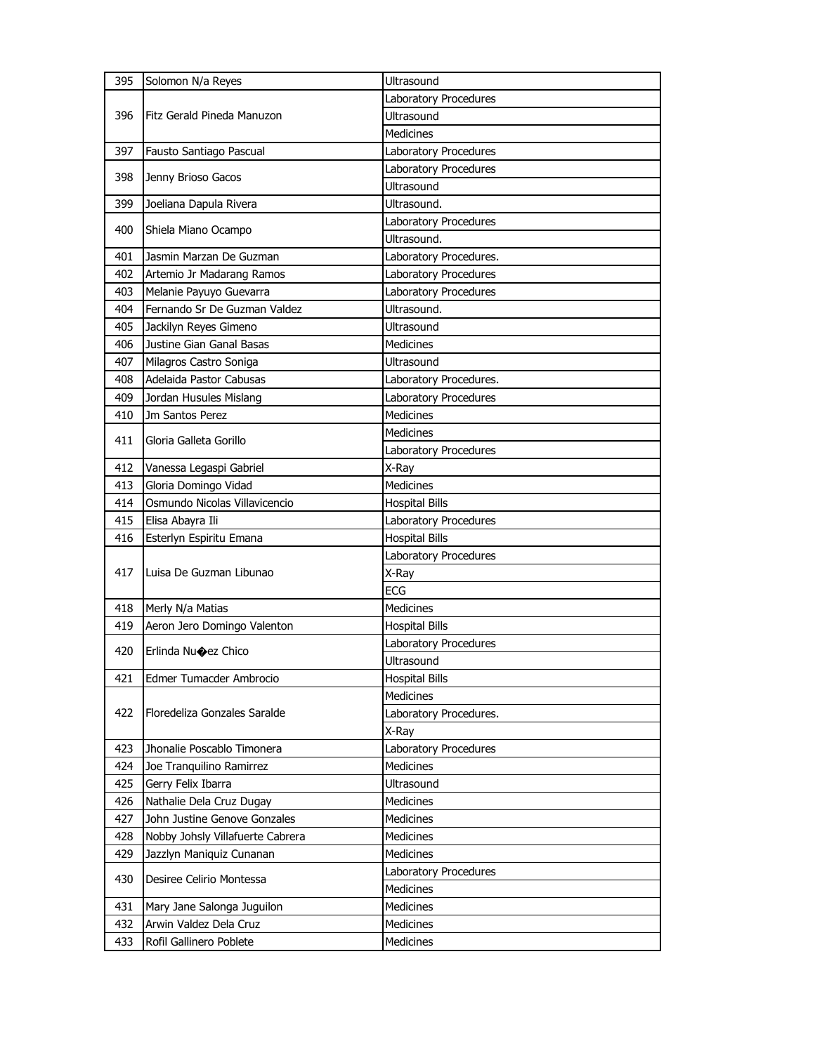| 395 | Solomon N/a Reyes                | Ultrasound             |
|-----|----------------------------------|------------------------|
|     |                                  | Laboratory Procedures  |
| 396 | Fitz Gerald Pineda Manuzon       | <b>Ultrasound</b>      |
|     |                                  | <b>Medicines</b>       |
| 397 | Fausto Santiago Pascual          | Laboratory Procedures  |
|     |                                  | Laboratory Procedures  |
| 398 | Jenny Brioso Gacos               | Ultrasound             |
| 399 | Joeliana Dapula Rivera           | Ultrasound.            |
| 400 | Shiela Miano Ocampo              | Laboratory Procedures  |
|     |                                  | Ultrasound.            |
| 401 | Jasmin Marzan De Guzman          | Laboratory Procedures. |
| 402 | Artemio Jr Madarang Ramos        | Laboratory Procedures  |
| 403 | Melanie Payuyo Guevarra          | Laboratory Procedures  |
| 404 | Fernando Sr De Guzman Valdez     | Ultrasound.            |
| 405 | Jackilyn Reyes Gimeno            | Ultrasound             |
| 406 | Justine Gian Ganal Basas         | Medicines              |
| 407 | Milagros Castro Soniga           | Ultrasound             |
| 408 | Adelaida Pastor Cabusas          | Laboratory Procedures. |
| 409 | Jordan Husules Mislang           | Laboratory Procedures  |
| 410 | Jm Santos Perez                  | <b>Medicines</b>       |
| 411 | Gloria Galleta Gorillo           | <b>Medicines</b>       |
|     |                                  | Laboratory Procedures  |
| 412 | Vanessa Legaspi Gabriel          | X-Ray                  |
| 413 | Gloria Domingo Vidad             | <b>Medicines</b>       |
| 414 | Osmundo Nicolas Villavicencio    | <b>Hospital Bills</b>  |
|     |                                  |                        |
| 415 | Elisa Abayra Ili                 | Laboratory Procedures  |
| 416 | Esterlyn Espiritu Emana          | <b>Hospital Bills</b>  |
|     |                                  | Laboratory Procedures  |
| 417 | Luisa De Guzman Libunao          | X-Ray                  |
|     |                                  | <b>ECG</b>             |
| 418 | Merly N/a Matias                 | Medicines              |
| 419 | Aeron Jero Domingo Valenton      | <b>Hospital Bills</b>  |
|     |                                  | Laboratory Procedures  |
| 420 | Erlinda Nu�ez Chico              | Ultrasound             |
| 421 | Edmer Tumacder Ambrocio          | <b>Hospital Bills</b>  |
|     |                                  | Medicines              |
| 422 | Floredeliza Gonzales Saralde     | Laboratory Procedures. |
|     |                                  | X-Ray                  |
| 423 | Jhonalie Poscablo Timonera       | Laboratory Procedures  |
| 424 | Joe Tranquilino Ramirrez         | <b>Medicines</b>       |
| 425 | Gerry Felix Ibarra               | Ultrasound             |
| 426 | Nathalie Dela Cruz Dugay         | Medicines              |
| 427 | John Justine Genove Gonzales     | Medicines              |
| 428 | Nobby Johsly Villafuerte Cabrera | <b>Medicines</b>       |
| 429 | Jazzlyn Maniquiz Cunanan         | Medicines              |
|     |                                  | Laboratory Procedures  |
| 430 | Desiree Celirio Montessa         | Medicines              |
| 431 | Mary Jane Salonga Juguilon       | Medicines              |
| 432 | Arwin Valdez Dela Cruz           | Medicines              |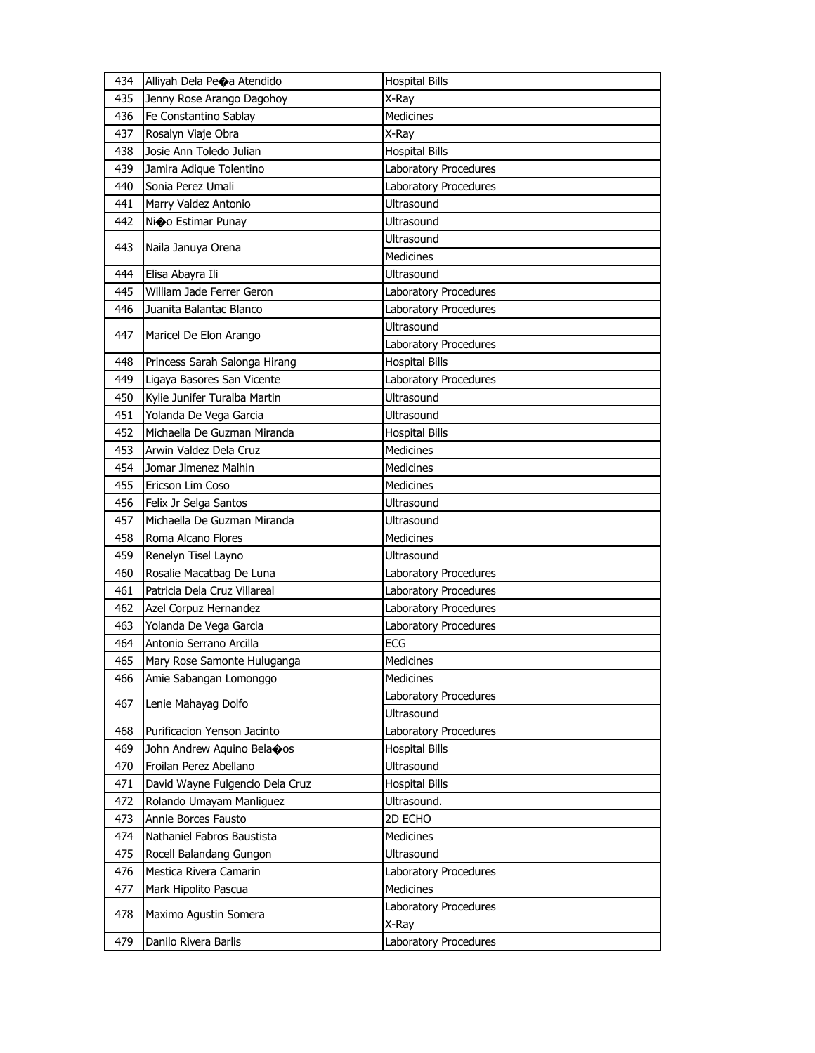| 434 | Alliyah Dela Peoa Atendido      | <b>Hospital Bills</b> |
|-----|---------------------------------|-----------------------|
| 435 | Jenny Rose Arango Dagohoy       | X-Ray                 |
| 436 | Fe Constantino Sablay           | <b>Medicines</b>      |
| 437 | Rosalyn Viaje Obra              | X-Ray                 |
| 438 | Josie Ann Toledo Julian         | <b>Hospital Bills</b> |
| 439 | Jamira Adique Tolentino         | Laboratory Procedures |
| 440 | Sonia Perez Umali               | Laboratory Procedures |
| 441 | Marry Valdez Antonio            | Ultrasound            |
| 442 | Nio Estimar Punay               | Ultrasound            |
|     |                                 | Ultrasound            |
| 443 | Naila Januya Orena              | Medicines             |
| 444 | Elisa Abayra Ili                | <b>Ultrasound</b>     |
| 445 | William Jade Ferrer Geron       | Laboratory Procedures |
| 446 | Juanita Balantac Blanco         | Laboratory Procedures |
|     |                                 | Ultrasound            |
| 447 | Maricel De Elon Arango          | Laboratory Procedures |
| 448 | Princess Sarah Salonga Hirang   | <b>Hospital Bills</b> |
| 449 | Ligaya Basores San Vicente      | Laboratory Procedures |
| 450 | Kylie Junifer Turalba Martin    | <b>Ultrasound</b>     |
| 451 | Yolanda De Vega Garcia          | Ultrasound            |
| 452 | Michaella De Guzman Miranda     | <b>Hospital Bills</b> |
| 453 | Arwin Valdez Dela Cruz          | <b>Medicines</b>      |
| 454 | Jomar Jimenez Malhin            | <b>Medicines</b>      |
| 455 | Ericson Lim Coso                | <b>Medicines</b>      |
| 456 | Felix Jr Selga Santos           | Ultrasound            |
|     |                                 |                       |
| 457 | Michaella De Guzman Miranda     | Ultrasound            |
| 458 | Roma Alcano Flores              | <b>Medicines</b>      |
| 459 | Renelyn Tisel Layno             | Ultrasound            |
| 460 | Rosalie Macatbag De Luna        | Laboratory Procedures |
| 461 | Patricia Dela Cruz Villareal    | Laboratory Procedures |
| 462 | Azel Corpuz Hernandez           | Laboratory Procedures |
| 463 | Yolanda De Vega Garcia          | Laboratory Procedures |
| 464 | Antonio Serrano Arcilla         | <b>ECG</b>            |
| 465 | Mary Rose Samonte Huluganga     | <b>Medicines</b>      |
| 466 | Amie Sabangan Lomonggo          | Medicines             |
|     |                                 | Laboratory Procedures |
| 467 | Lenie Mahayag Dolfo             | Ultrasound            |
| 468 | Purificacion Yenson Jacinto     | Laboratory Procedures |
| 469 | John Andrew Aquino Belaoos      | <b>Hospital Bills</b> |
| 470 | Froilan Perez Abellano          | Ultrasound            |
| 471 | David Wayne Fulgencio Dela Cruz | <b>Hospital Bills</b> |
| 472 | Rolando Umayam Manliguez        | Ultrasound.           |
| 473 | Annie Borces Fausto             | 2D ECHO               |
| 474 | Nathaniel Fabros Baustista      | <b>Medicines</b>      |
| 475 | Rocell Balandang Gungon         | Ultrasound            |
| 476 | Mestica Rivera Camarin          | Laboratory Procedures |
| 477 | Mark Hipolito Pascua            | Medicines             |
|     |                                 | Laboratory Procedures |
| 478 | Maximo Agustin Somera           | X-Ray                 |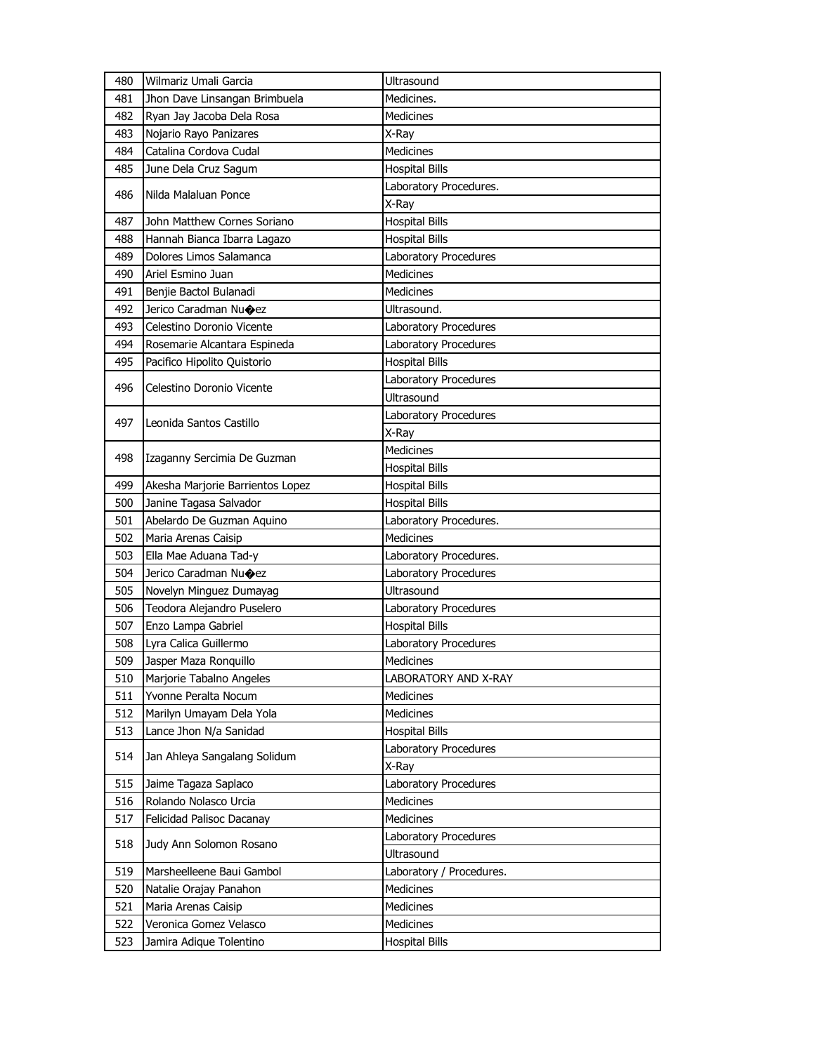| 480 | Wilmariz Umali Garcia            | Ultrasound                   |
|-----|----------------------------------|------------------------------|
| 481 | Jhon Dave Linsangan Brimbuela    | Medicines.                   |
| 482 | Ryan Jay Jacoba Dela Rosa        | Medicines                    |
| 483 | Nojario Rayo Panizares           | X-Ray                        |
| 484 | Catalina Cordova Cudal           | <b>Medicines</b>             |
| 485 | June Dela Cruz Sagum             | <b>Hospital Bills</b>        |
|     |                                  | Laboratory Procedures.       |
| 486 | Nilda Malaluan Ponce             | X-Ray                        |
| 487 | John Matthew Cornes Soriano      | <b>Hospital Bills</b>        |
| 488 | Hannah Bianca Ibarra Lagazo      | <b>Hospital Bills</b>        |
| 489 | Dolores Limos Salamanca          | Laboratory Procedures        |
| 490 | Ariel Esmino Juan                | <b>Medicines</b>             |
| 491 | Benjie Bactol Bulanadi           | Medicines                    |
| 492 | Jerico Caradman Nu $\bigcirc$ ez | Ultrasound.                  |
| 493 | Celestino Doronio Vicente        | Laboratory Procedures        |
| 494 | Rosemarie Alcantara Espineda     | <b>Laboratory Procedures</b> |
| 495 | Pacifico Hipolito Quistorio      | <b>Hospital Bills</b>        |
|     |                                  | Laboratory Procedures        |
| 496 | Celestino Doronio Vicente        | <b>Ultrasound</b>            |
|     | Leonida Santos Castillo          | Laboratory Procedures        |
| 497 |                                  | X-Ray                        |
|     |                                  | <b>Medicines</b>             |
| 498 | Izaganny Sercimia De Guzman      | <b>Hospital Bills</b>        |
| 499 | Akesha Marjorie Barrientos Lopez | <b>Hospital Bills</b>        |
| 500 | Janine Tagasa Salvador           | <b>Hospital Bills</b>        |
| 501 | Abelardo De Guzman Aguino        | Laboratory Procedures.       |
| 502 | Maria Arenas Caisip              | <b>Medicines</b>             |
| 503 | Ella Mae Aduana Tad-y            | Laboratory Procedures.       |
| 504 | Jerico Caradman Nu $\bigcirc$ ez | Laboratory Procedures        |
| 505 | Novelyn Minguez Dumayag          | <b>Ultrasound</b>            |
| 506 | Teodora Alejandro Puselero       | Laboratory Procedures        |
| 507 | Enzo Lampa Gabriel               | <b>Hospital Bills</b>        |
| 508 | Lyra Calica Guillermo            | Laboratory Procedures        |
| 509 | Jasper Maza Ronquillo            | Medicines                    |
| 510 | Marjorie Tabalno Angeles         | <b>LABORATORY AND X-RAY</b>  |
| 511 | Yvonne Peralta Nocum             | <b>Medicines</b>             |
| 512 | Marilyn Umayam Dela Yola         | Medicines                    |
| 513 | Lance Jhon N/a Sanidad           | <b>Hospital Bills</b>        |
| 514 | Jan Ahleya Sangalang Solidum     | Laboratory Procedures        |
|     |                                  | X-Ray                        |
| 515 | Jaime Tagaza Saplaco             | Laboratory Procedures        |
| 516 | Rolando Nolasco Urcia            | Medicines                    |
| 517 | Felicidad Palisoc Dacanay        | Medicines                    |
| 518 | Judy Ann Solomon Rosano          | Laboratory Procedures        |
|     |                                  | Ultrasound                   |
| 519 | Marsheelleene Baui Gambol        | Laboratory / Procedures.     |
| 520 | Natalie Orajay Panahon           | Medicines                    |
| 521 | Maria Arenas Caisip              | Medicines                    |
| 522 | Veronica Gomez Velasco           | Medicines                    |
| 523 | Jamira Adique Tolentino          | <b>Hospital Bills</b>        |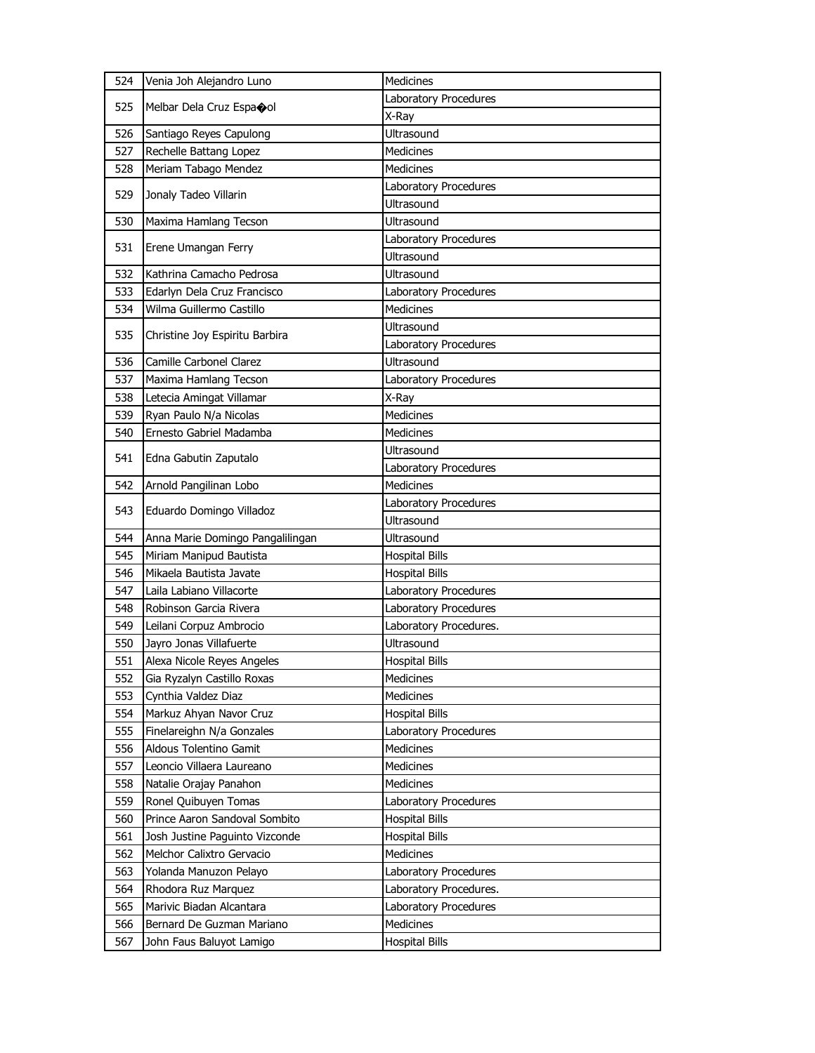| 524 | Venia Joh Alejandro Luno         | <b>Medicines</b>       |
|-----|----------------------------------|------------------------|
| 525 |                                  | Laboratory Procedures  |
|     | Melbar Dela Cruz Espaool         | X-Ray                  |
| 526 | Santiago Reyes Capulong          | Ultrasound             |
| 527 | Rechelle Battang Lopez           | <b>Medicines</b>       |
| 528 | Meriam Tabago Mendez             | <b>Medicines</b>       |
|     |                                  | Laboratory Procedures  |
| 529 | Jonaly Tadeo Villarin            | Ultrasound             |
| 530 | Maxima Hamlang Tecson            | Ultrasound             |
|     |                                  | Laboratory Procedures  |
| 531 | Erene Umangan Ferry              | Ultrasound             |
| 532 | Kathrina Camacho Pedrosa         | Ultrasound             |
| 533 | Edarlyn Dela Cruz Francisco      | Laboratory Procedures  |
| 534 | Wilma Guillermo Castillo         | <b>Medicines</b>       |
|     |                                  | Ultrasound             |
| 535 | Christine Joy Espiritu Barbira   | Laboratory Procedures  |
| 536 | Camille Carbonel Clarez          | Ultrasound             |
| 537 | Maxima Hamlang Tecson            | Laboratory Procedures  |
| 538 | Letecia Amingat Villamar         | X-Ray                  |
| 539 | Ryan Paulo N/a Nicolas           | <b>Medicines</b>       |
| 540 | Ernesto Gabriel Madamba          | <b>Medicines</b>       |
|     |                                  | Ultrasound             |
| 541 | Edna Gabutin Zaputalo            | Laboratory Procedures  |
| 542 | Arnold Pangilinan Lobo           | <b>Medicines</b>       |
|     |                                  | Laboratory Procedures  |
| 543 | Eduardo Domingo Villadoz         | <b>Ultrasound</b>      |
|     |                                  |                        |
| 544 | Anna Marie Domingo Pangalilingan | Ultrasound             |
| 545 | Miriam Manipud Bautista          | <b>Hospital Bills</b>  |
| 546 | Mikaela Bautista Javate          | <b>Hospital Bills</b>  |
| 547 | Laila Labiano Villacorte         | Laboratory Procedures  |
| 548 | Robinson Garcia Rivera           | Laboratory Procedures  |
| 549 | Leilani Corpuz Ambrocio          | Laboratory Procedures. |
| 550 | Jayro Jonas Villafuerte          | Ultrasound             |
| 551 | Alexa Nicole Reyes Angeles       | <b>Hospital Bills</b>  |
| 552 | Gia Ryzalyn Castillo Roxas       | <b>Medicines</b>       |
| 553 | Cynthia Valdez Diaz              | <b>Medicines</b>       |
| 554 | Markuz Ahyan Navor Cruz          | <b>Hospital Bills</b>  |
| 555 | Finelareighn N/a Gonzales        | Laboratory Procedures  |
| 556 | Aldous Tolentino Gamit           | <b>Medicines</b>       |
| 557 | Leoncio Villaera Laureano        | <b>Medicines</b>       |
| 558 | Natalie Orajay Panahon           | <b>Medicines</b>       |
| 559 | Ronel Quibuyen Tomas             | Laboratory Procedures  |
| 560 | Prince Aaron Sandoval Sombito    | <b>Hospital Bills</b>  |
| 561 | Josh Justine Paguinto Vizconde   | <b>Hospital Bills</b>  |
| 562 | Melchor Calixtro Gervacio        | Medicines              |
| 563 | Yolanda Manuzon Pelayo           | Laboratory Procedures  |
| 564 | Rhodora Ruz Marquez              | Laboratory Procedures. |
| 565 | Marivic Biadan Alcantara         | Laboratory Procedures  |
| 566 | Bernard De Guzman Mariano        | <b>Medicines</b>       |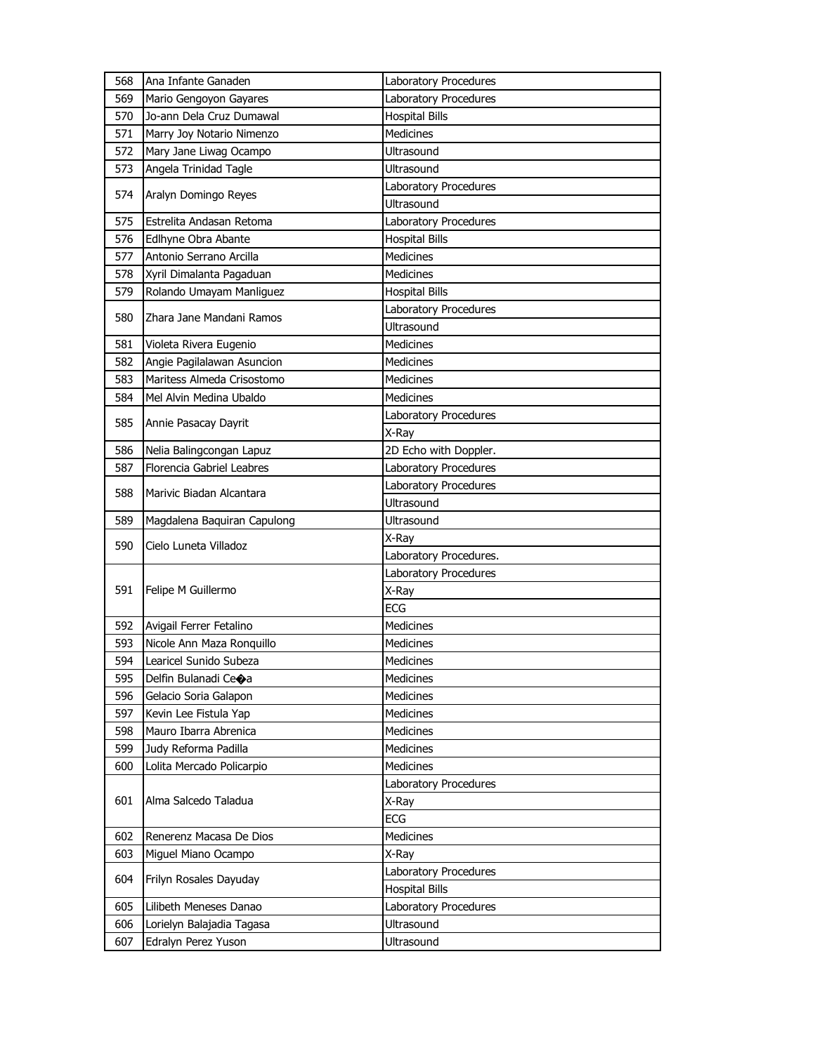| 568 | Ana Infante Ganaden                              | Laboratory Procedures  |
|-----|--------------------------------------------------|------------------------|
| 569 | Mario Gengoyon Gayares                           | Laboratory Procedures  |
| 570 | Jo-ann Dela Cruz Dumawal                         | <b>Hospital Bills</b>  |
| 571 | Marry Joy Notario Nimenzo                        | <b>Medicines</b>       |
| 572 | Mary Jane Liwag Ocampo                           | Ultrasound             |
| 573 | Angela Trinidad Tagle                            | Ultrasound             |
|     |                                                  | Laboratory Procedures  |
| 574 | Aralyn Domingo Reyes                             | Ultrasound             |
| 575 | Estrelita Andasan Retoma                         | Laboratory Procedures  |
| 576 | Edlhyne Obra Abante                              | <b>Hospital Bills</b>  |
| 577 | Antonio Serrano Arcilla                          | <b>Medicines</b>       |
| 578 | Xyril Dimalanta Pagaduan                         | <b>Medicines</b>       |
| 579 | Rolando Umayam Manliguez                         | <b>Hospital Bills</b>  |
|     | Zhara Jane Mandani Ramos                         | Laboratory Procedures  |
| 580 |                                                  | Ultrasound             |
| 581 | Violeta Rivera Eugenio                           | <b>Medicines</b>       |
| 582 | Angie Pagilalawan Asuncion                       | Medicines              |
| 583 | Maritess Almeda Crisostomo                       | <b>Medicines</b>       |
| 584 | Mel Alvin Medina Ubaldo                          | <b>Medicines</b>       |
|     | Annie Pasacay Dayrit                             | Laboratory Procedures  |
| 585 |                                                  | X-Ray                  |
| 586 | Nelia Balingcongan Lapuz                         | 2D Echo with Doppler.  |
| 587 | Florencia Gabriel Leabres                        | Laboratory Procedures  |
| 588 |                                                  | Laboratory Procedures  |
|     | Marivic Biadan Alcantara                         | <b>Ultrasound</b>      |
|     |                                                  |                        |
| 589 | Magdalena Baquiran Capulong                      | Ultrasound             |
|     |                                                  | X-Ray                  |
| 590 | Cielo Luneta Villadoz                            | Laboratory Procedures. |
|     |                                                  | Laboratory Procedures  |
| 591 | Felipe M Guillermo                               | X-Ray                  |
|     |                                                  | <b>ECG</b>             |
| 592 | Avigail Ferrer Fetalino                          | Medicines              |
| 593 | Nicole Ann Maza Ronquillo                        | Medicines              |
| 594 | Learicel Sunido Subeza                           | Medicines              |
| 595 | Delfin Bulanadi Ce�a                             | <b>Medicines</b>       |
| 596 | Gelacio Soria Galapon                            | Medicines              |
| 597 | Kevin Lee Fistula Yap                            | Medicines              |
| 598 | Mauro Ibarra Abrenica                            | <b>Medicines</b>       |
| 599 | Judy Reforma Padilla                             | Medicines              |
| 600 | Lolita Mercado Policarpio                        | <b>Medicines</b>       |
|     |                                                  | Laboratory Procedures  |
| 601 | Alma Salcedo Taladua                             | X-Ray                  |
|     |                                                  | ECG                    |
| 602 | Renerenz Macasa De Dios                          | <b>Medicines</b>       |
| 603 | Miguel Miano Ocampo                              | X-Ray                  |
|     |                                                  | Laboratory Procedures  |
| 604 | Frilyn Rosales Dayuday                           | <b>Hospital Bills</b>  |
| 605 | Lilibeth Meneses Danao                           | Laboratory Procedures  |
| 606 | Lorielyn Balajadia Tagasa<br>Edralyn Perez Yuson | <b>Ultrasound</b>      |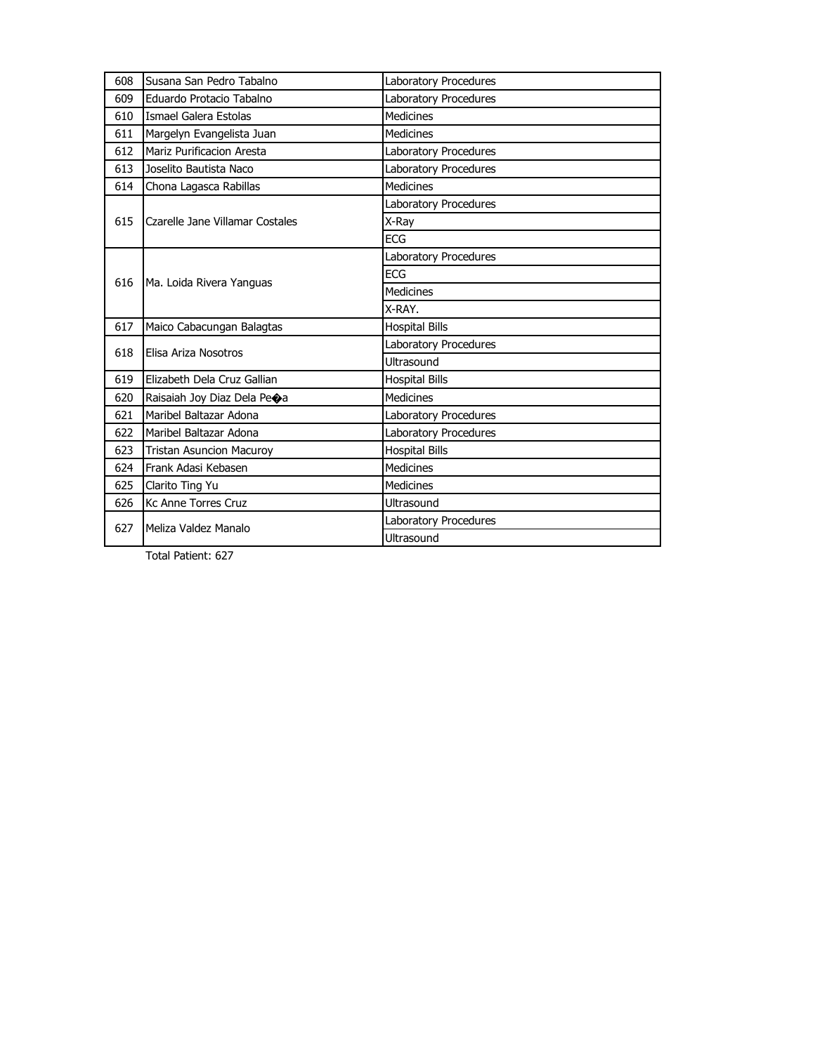| 608<br>Susana San Pedro Tabalno<br>Laboratory Procedures<br>Laboratory Procedures<br>Eduardo Protacio Tabalno<br>609<br><b>Medicines</b><br>Ismael Galera Estolas<br>610<br><b>Medicines</b><br>611<br>Margelyn Evangelista Juan<br>Mariz Purificacion Aresta<br>612<br>Laboratory Procedures<br>Laboratory Procedures<br>613<br>Joselito Bautista Naco<br><b>Medicines</b><br>614<br>Chona Lagasca Rabillas<br>Laboratory Procedures<br>615<br>Czarelle Jane Villamar Costales<br>X-Ray<br><b>ECG</b><br><b>Laboratory Procedures</b><br><b>ECG</b><br>616<br>Ma. Loida Rivera Yanguas<br><b>Medicines</b><br>X-RAY.<br>617<br>Maico Cabacungan Balagtas<br><b>Hospital Bills</b><br>Laboratory Procedures<br>618<br>Elisa Ariza Nosotros<br>Ultrasound<br>619<br>Elizabeth Dela Cruz Gallian<br><b>Hospital Bills</b><br><b>Medicines</b><br>620<br>Raisaiah Joy Diaz Dela Peoa<br>Maribel Baltazar Adona<br>621<br>Laboratory Procedures<br>Maribel Baltazar Adona<br>Laboratory Procedures<br>622<br><b>Hospital Bills</b><br>623<br><b>Tristan Asuncion Macuroy</b><br>Frank Adasi Kebasen<br><b>Medicines</b><br>624<br>625<br>Clarito Ting Yu<br><b>Medicines</b><br>626<br><b>Kc Anne Torres Cruz</b><br>Ultrasound<br>Laboratory Procedures<br>627<br>Meliza Valdez Manalo |  |  |
|-------------------------------------------------------------------------------------------------------------------------------------------------------------------------------------------------------------------------------------------------------------------------------------------------------------------------------------------------------------------------------------------------------------------------------------------------------------------------------------------------------------------------------------------------------------------------------------------------------------------------------------------------------------------------------------------------------------------------------------------------------------------------------------------------------------------------------------------------------------------------------------------------------------------------------------------------------------------------------------------------------------------------------------------------------------------------------------------------------------------------------------------------------------------------------------------------------------------------------------------------------------------------------------|--|--|
|                                                                                                                                                                                                                                                                                                                                                                                                                                                                                                                                                                                                                                                                                                                                                                                                                                                                                                                                                                                                                                                                                                                                                                                                                                                                                     |  |  |
|                                                                                                                                                                                                                                                                                                                                                                                                                                                                                                                                                                                                                                                                                                                                                                                                                                                                                                                                                                                                                                                                                                                                                                                                                                                                                     |  |  |
|                                                                                                                                                                                                                                                                                                                                                                                                                                                                                                                                                                                                                                                                                                                                                                                                                                                                                                                                                                                                                                                                                                                                                                                                                                                                                     |  |  |
|                                                                                                                                                                                                                                                                                                                                                                                                                                                                                                                                                                                                                                                                                                                                                                                                                                                                                                                                                                                                                                                                                                                                                                                                                                                                                     |  |  |
|                                                                                                                                                                                                                                                                                                                                                                                                                                                                                                                                                                                                                                                                                                                                                                                                                                                                                                                                                                                                                                                                                                                                                                                                                                                                                     |  |  |
|                                                                                                                                                                                                                                                                                                                                                                                                                                                                                                                                                                                                                                                                                                                                                                                                                                                                                                                                                                                                                                                                                                                                                                                                                                                                                     |  |  |
|                                                                                                                                                                                                                                                                                                                                                                                                                                                                                                                                                                                                                                                                                                                                                                                                                                                                                                                                                                                                                                                                                                                                                                                                                                                                                     |  |  |
|                                                                                                                                                                                                                                                                                                                                                                                                                                                                                                                                                                                                                                                                                                                                                                                                                                                                                                                                                                                                                                                                                                                                                                                                                                                                                     |  |  |
|                                                                                                                                                                                                                                                                                                                                                                                                                                                                                                                                                                                                                                                                                                                                                                                                                                                                                                                                                                                                                                                                                                                                                                                                                                                                                     |  |  |
|                                                                                                                                                                                                                                                                                                                                                                                                                                                                                                                                                                                                                                                                                                                                                                                                                                                                                                                                                                                                                                                                                                                                                                                                                                                                                     |  |  |
|                                                                                                                                                                                                                                                                                                                                                                                                                                                                                                                                                                                                                                                                                                                                                                                                                                                                                                                                                                                                                                                                                                                                                                                                                                                                                     |  |  |
|                                                                                                                                                                                                                                                                                                                                                                                                                                                                                                                                                                                                                                                                                                                                                                                                                                                                                                                                                                                                                                                                                                                                                                                                                                                                                     |  |  |
|                                                                                                                                                                                                                                                                                                                                                                                                                                                                                                                                                                                                                                                                                                                                                                                                                                                                                                                                                                                                                                                                                                                                                                                                                                                                                     |  |  |
|                                                                                                                                                                                                                                                                                                                                                                                                                                                                                                                                                                                                                                                                                                                                                                                                                                                                                                                                                                                                                                                                                                                                                                                                                                                                                     |  |  |
|                                                                                                                                                                                                                                                                                                                                                                                                                                                                                                                                                                                                                                                                                                                                                                                                                                                                                                                                                                                                                                                                                                                                                                                                                                                                                     |  |  |
|                                                                                                                                                                                                                                                                                                                                                                                                                                                                                                                                                                                                                                                                                                                                                                                                                                                                                                                                                                                                                                                                                                                                                                                                                                                                                     |  |  |
|                                                                                                                                                                                                                                                                                                                                                                                                                                                                                                                                                                                                                                                                                                                                                                                                                                                                                                                                                                                                                                                                                                                                                                                                                                                                                     |  |  |
|                                                                                                                                                                                                                                                                                                                                                                                                                                                                                                                                                                                                                                                                                                                                                                                                                                                                                                                                                                                                                                                                                                                                                                                                                                                                                     |  |  |
|                                                                                                                                                                                                                                                                                                                                                                                                                                                                                                                                                                                                                                                                                                                                                                                                                                                                                                                                                                                                                                                                                                                                                                                                                                                                                     |  |  |
|                                                                                                                                                                                                                                                                                                                                                                                                                                                                                                                                                                                                                                                                                                                                                                                                                                                                                                                                                                                                                                                                                                                                                                                                                                                                                     |  |  |
|                                                                                                                                                                                                                                                                                                                                                                                                                                                                                                                                                                                                                                                                                                                                                                                                                                                                                                                                                                                                                                                                                                                                                                                                                                                                                     |  |  |
|                                                                                                                                                                                                                                                                                                                                                                                                                                                                                                                                                                                                                                                                                                                                                                                                                                                                                                                                                                                                                                                                                                                                                                                                                                                                                     |  |  |
|                                                                                                                                                                                                                                                                                                                                                                                                                                                                                                                                                                                                                                                                                                                                                                                                                                                                                                                                                                                                                                                                                                                                                                                                                                                                                     |  |  |
|                                                                                                                                                                                                                                                                                                                                                                                                                                                                                                                                                                                                                                                                                                                                                                                                                                                                                                                                                                                                                                                                                                                                                                                                                                                                                     |  |  |
|                                                                                                                                                                                                                                                                                                                                                                                                                                                                                                                                                                                                                                                                                                                                                                                                                                                                                                                                                                                                                                                                                                                                                                                                                                                                                     |  |  |
|                                                                                                                                                                                                                                                                                                                                                                                                                                                                                                                                                                                                                                                                                                                                                                                                                                                                                                                                                                                                                                                                                                                                                                                                                                                                                     |  |  |
| Ultrasound                                                                                                                                                                                                                                                                                                                                                                                                                                                                                                                                                                                                                                                                                                                                                                                                                                                                                                                                                                                                                                                                                                                                                                                                                                                                          |  |  |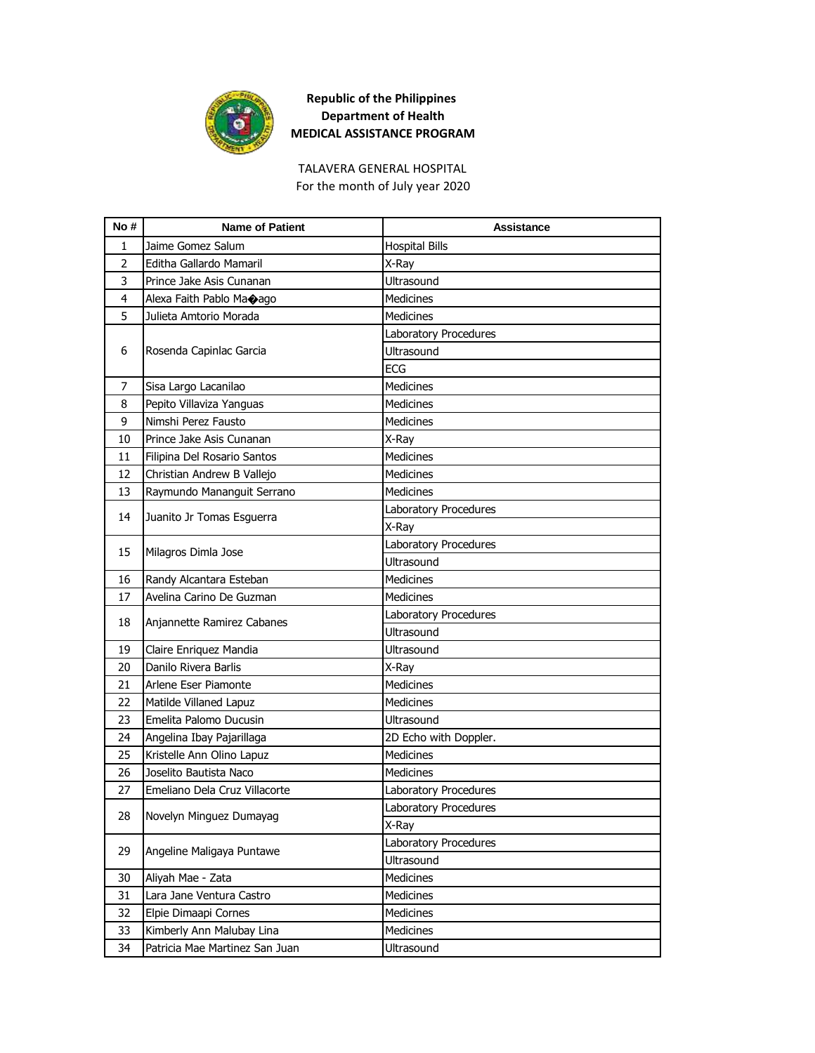

TALAVERA GENERAL HOSPITAL For the month of July year 2020

| No #           | <b>Name of Patient</b>         | Assistance            |
|----------------|--------------------------------|-----------------------|
| 1              | Jaime Gomez Salum              | <b>Hospital Bills</b> |
| $\overline{2}$ | Editha Gallardo Mamaril        | X-Ray                 |
| 3              | Prince Jake Asis Cunanan       | Ultrasound            |
| 4              | Alexa Faith Pablo Maoago       | <b>Medicines</b>      |
| 5              | Julieta Amtorio Morada         | <b>Medicines</b>      |
|                |                                | Laboratory Procedures |
| 6              | Rosenda Capinlac Garcia        | Ultrasound            |
|                |                                | ECG                   |
| 7              | Sisa Largo Lacanilao           | <b>Medicines</b>      |
| 8              | Pepito Villaviza Yanguas       | <b>Medicines</b>      |
| 9              | Nimshi Perez Fausto            | <b>Medicines</b>      |
| 10             | Prince Jake Asis Cunanan       | X-Ray                 |
| 11             | Filipina Del Rosario Santos    | <b>Medicines</b>      |
| 12             | Christian Andrew B Vallejo     | <b>Medicines</b>      |
| 13             | Raymundo Mananguit Serrano     | <b>Medicines</b>      |
|                |                                | Laboratory Procedures |
| 14             | Juanito Jr Tomas Esguerra      | X-Ray                 |
| 15             | Milagros Dimla Jose            | Laboratory Procedures |
|                |                                | <b>Ultrasound</b>     |
| 16             | Randy Alcantara Esteban        | <b>Medicines</b>      |
| 17             | Avelina Carino De Guzman       | <b>Medicines</b>      |
| 18             |                                | Laboratory Procedures |
|                | Anjannette Ramirez Cabanes     | <b>Ultrasound</b>     |
| 19             | Claire Enriquez Mandia         | Ultrasound            |
| 20             | Danilo Rivera Barlis           | X-Ray                 |
| 21             | Arlene Eser Piamonte           | Medicines             |
| 22             | Matilde Villaned Lapuz         | <b>Medicines</b>      |
| 23             | Emelita Palomo Ducusin         | <b>Ultrasound</b>     |
| 24             | Angelina Ibay Pajarillaga      | 2D Echo with Doppler. |
| 25             | Kristelle Ann Olino Lapuz      | <b>Medicines</b>      |
| 26             | Joselito Bautista Naco         | <b>Medicines</b>      |
| 27             | Emeliano Dela Cruz Villacorte  | Laboratory Procedures |
| 28             | Novelyn Minguez Dumayag        | Laboratory Procedures |
|                |                                | X-Ray                 |
| 29             | Angeline Maligaya Puntawe      | Laboratory Procedures |
|                |                                | Ultrasound            |
| 30             | Aliyah Mae - Zata              | Medicines             |
| 31             | Lara Jane Ventura Castro       | Medicines             |
| 32             | Elpie Dimaapi Cornes           | Medicines             |
| 33             | Kimberly Ann Malubay Lina      | Medicines             |
| 34             | Patricia Mae Martinez San Juan | Ultrasound            |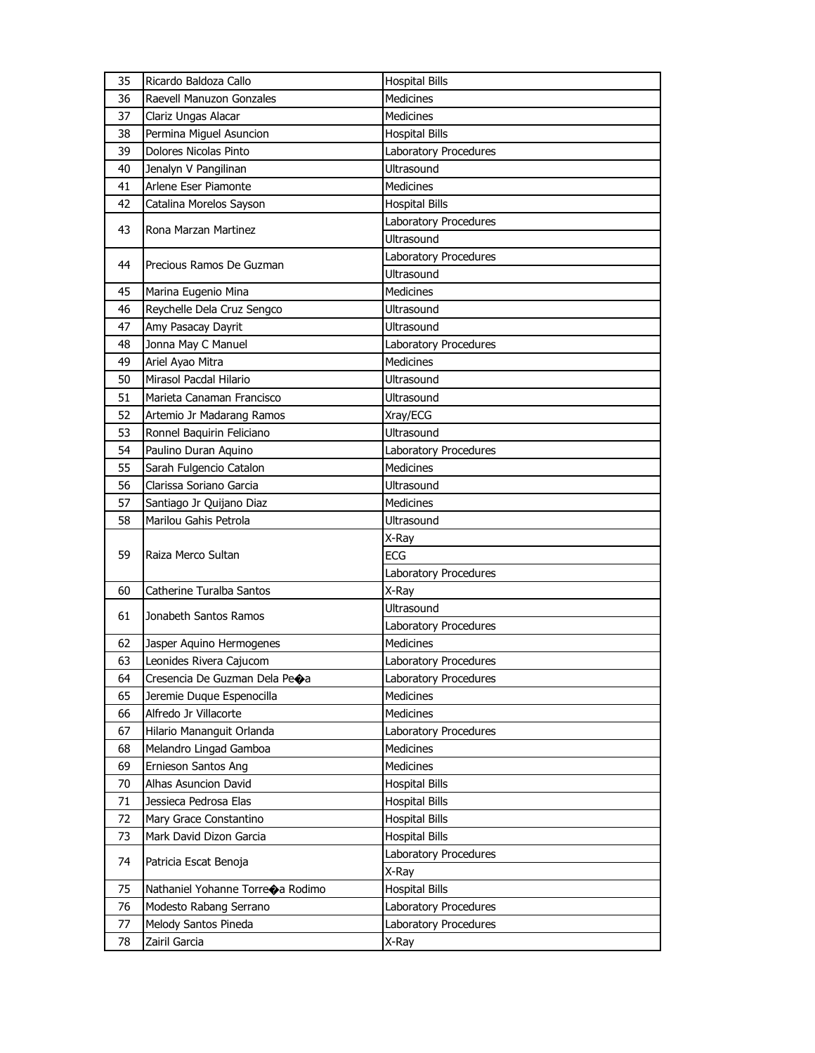| 35 | Ricardo Baldoza Callo            | <b>Hospital Bills</b> |
|----|----------------------------------|-----------------------|
| 36 | Raevell Manuzon Gonzales         | <b>Medicines</b>      |
| 37 | Clariz Ungas Alacar              | <b>Medicines</b>      |
| 38 | Permina Miguel Asuncion          | <b>Hospital Bills</b> |
| 39 | Dolores Nicolas Pinto            | Laboratory Procedures |
| 40 | Jenalyn V Pangilinan             | <b>Ultrasound</b>     |
| 41 | Arlene Eser Piamonte             | <b>Medicines</b>      |
| 42 | Catalina Morelos Sayson          | <b>Hospital Bills</b> |
|    |                                  | Laboratory Procedures |
| 43 | Rona Marzan Martinez             | Ultrasound            |
| 44 | Precious Ramos De Guzman         | Laboratory Procedures |
|    |                                  | <b>Ultrasound</b>     |
| 45 | Marina Eugenio Mina              | <b>Medicines</b>      |
| 46 | Reychelle Dela Cruz Sengco       | Ultrasound            |
| 47 | Amy Pasacay Dayrit               | Ultrasound            |
| 48 | Jonna May C Manuel               | Laboratory Procedures |
| 49 | Ariel Ayao Mitra                 | <b>Medicines</b>      |
| 50 | Mirasol Pacdal Hilario           | Ultrasound            |
| 51 | Marieta Canaman Francisco        | <b>Ultrasound</b>     |
| 52 | Artemio Jr Madarang Ramos        | Xray/ECG              |
| 53 | Ronnel Baquirin Feliciano        | <b>Ultrasound</b>     |
| 54 | Paulino Duran Aquino             | Laboratory Procedures |
| 55 | Sarah Fulgencio Catalon          | <b>Medicines</b>      |
| 56 | Clarissa Soriano Garcia          | <b>Ultrasound</b>     |
| 57 | Santiago Jr Quijano Diaz         | <b>Medicines</b>      |
|    |                                  |                       |
| 58 | Marilou Gahis Petrola            | <b>Ultrasound</b>     |
|    |                                  | X-Ray                 |
| 59 | Raiza Merco Sultan               | <b>ECG</b>            |
|    |                                  | Laboratory Procedures |
| 60 | Catherine Turalba Santos         | X-Ray                 |
|    |                                  | <b>Ultrasound</b>     |
| 61 | Jonabeth Santos Ramos            | Laboratory Procedures |
| 62 | Jasper Aquino Hermogenes         | <b>Medicines</b>      |
| 63 | Leonides Rivera Cajucom          | Laboratory Procedures |
| 64 | Cresencia De Guzman Dela Peoa    | Laboratory Procedures |
| 65 | Jeremie Duque Espenocilla        | <b>Medicines</b>      |
| 66 | Alfredo Jr Villacorte            | Medicines             |
| 67 | Hilario Mananguit Orlanda        | Laboratory Procedures |
| 68 | Melandro Lingad Gamboa           | Medicines             |
| 69 | Ernieson Santos Ang              | Medicines             |
| 70 | Alhas Asuncion David             | <b>Hospital Bills</b> |
| 71 | Jessieca Pedrosa Elas            | <b>Hospital Bills</b> |
| 72 | Mary Grace Constantino           | <b>Hospital Bills</b> |
| 73 | Mark David Dizon Garcia          | <b>Hospital Bills</b> |
|    |                                  | Laboratory Procedures |
| 74 | Patricia Escat Benoja            | X-Ray                 |
| 75 | Nathaniel Yohanne Torreoa Rodimo | <b>Hospital Bills</b> |
| 76 | Modesto Rabang Serrano           | Laboratory Procedures |
| 77 | Melody Santos Pineda             | Laboratory Procedures |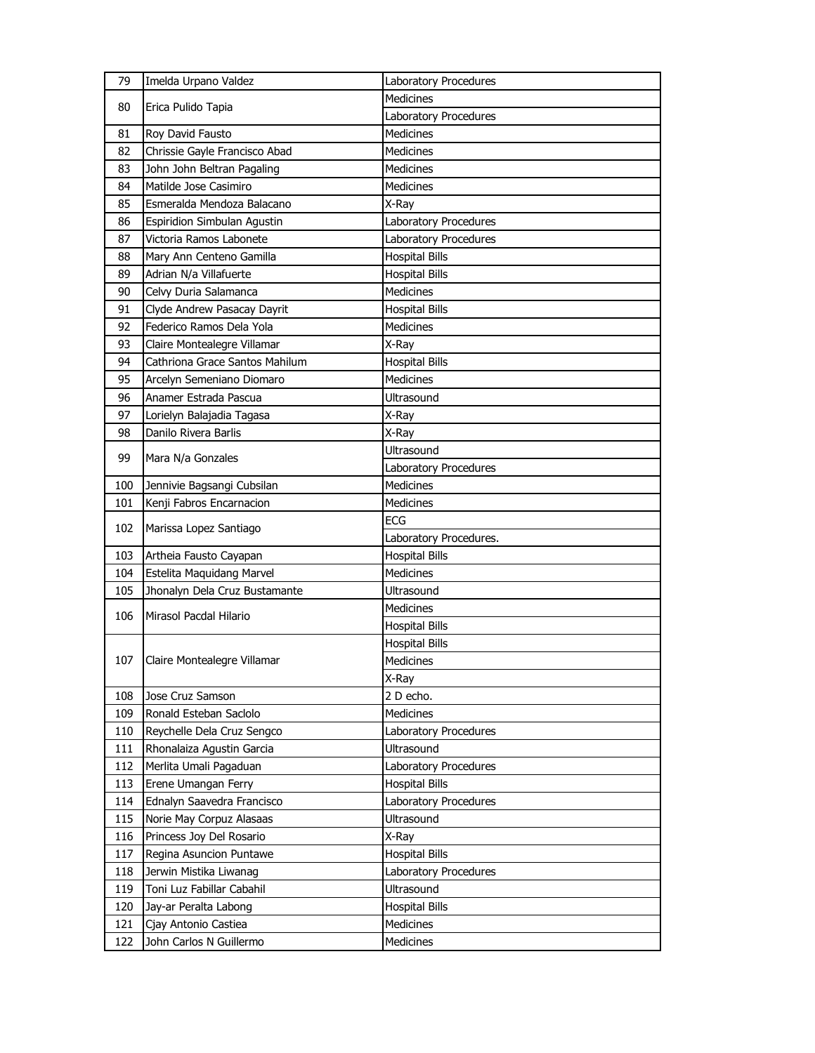| 79  | Imelda Urpano Valdez           | Laboratory Procedures  |
|-----|--------------------------------|------------------------|
| 80  | Erica Pulido Tapia             | <b>Medicines</b>       |
|     |                                | Laboratory Procedures  |
| 81  | Roy David Fausto               | <b>Medicines</b>       |
| 82  | Chrissie Gayle Francisco Abad  | <b>Medicines</b>       |
| 83  | John John Beltran Pagaling     | <b>Medicines</b>       |
| 84  | Matilde Jose Casimiro          | <b>Medicines</b>       |
| 85  | Esmeralda Mendoza Balacano     | X-Ray                  |
| 86  | Espiridion Simbulan Agustin    | Laboratory Procedures  |
| 87  | Victoria Ramos Labonete        | Laboratory Procedures  |
| 88  | Mary Ann Centeno Gamilla       | <b>Hospital Bills</b>  |
| 89  | Adrian N/a Villafuerte         | <b>Hospital Bills</b>  |
| 90  | Celvy Duria Salamanca          | <b>Medicines</b>       |
| 91  | Clyde Andrew Pasacay Dayrit    | <b>Hospital Bills</b>  |
| 92  | Federico Ramos Dela Yola       | <b>Medicines</b>       |
| 93  | Claire Montealegre Villamar    | X-Ray                  |
| 94  | Cathriona Grace Santos Mahilum | <b>Hospital Bills</b>  |
| 95  | Arcelyn Semeniano Diomaro      | <b>Medicines</b>       |
| 96  | Anamer Estrada Pascua          | <b>Ultrasound</b>      |
| 97  | Lorielyn Balajadia Tagasa      | X-Ray                  |
| 98  | Danilo Rivera Barlis           | X-Ray                  |
|     |                                | <b>Ultrasound</b>      |
| 99  | Mara N/a Gonzales              | Laboratory Procedures  |
| 100 | Jennivie Bagsangi Cubsilan     | <b>Medicines</b>       |
| 101 | Kenji Fabros Encarnacion       | <b>Medicines</b>       |
| 102 |                                | <b>ECG</b>             |
|     | Marissa Lopez Santiago         | Laboratory Procedures. |
| 103 | Artheia Fausto Cayapan         | <b>Hospital Bills</b>  |
| 104 | Estelita Maquidang Marvel      | <b>Medicines</b>       |
| 105 | Jhonalyn Dela Cruz Bustamante  | Ultrasound             |
|     | Mirasol Pacdal Hilario         | Medicines              |
| 106 |                                | <b>Hospital Bills</b>  |
|     |                                | <b>Hospital Bills</b>  |
| 107 | Claire Montealegre Villamar    | Medicines              |
|     |                                | X-Ray                  |
| 108 | Jose Cruz Samson               | 2 D echo.              |
| 109 | Ronald Esteban Saclolo         | <b>Medicines</b>       |
| 110 | Reychelle Dela Cruz Sengco     | Laboratory Procedures  |
| 111 | Rhonalaiza Agustin Garcia      | Ultrasound             |
| 112 | Merlita Umali Pagaduan         | Laboratory Procedures  |
| 113 | Erene Umangan Ferry            | <b>Hospital Bills</b>  |
| 114 | Ednalyn Saavedra Francisco     | Laboratory Procedures  |
| 115 | Norie May Corpuz Alasaas       | Ultrasound             |
| 116 | Princess Joy Del Rosario       | X-Ray                  |
| 117 | Regina Asuncion Puntawe        | <b>Hospital Bills</b>  |
| 118 | Jerwin Mistika Liwanag         | Laboratory Procedures  |
| 119 | Toni Luz Fabillar Cabahil      | <b>Ultrasound</b>      |
| 120 | Jay-ar Peralta Labong          | <b>Hospital Bills</b>  |
| 121 | Cjay Antonio Castiea           | <b>Medicines</b>       |
| 122 | John Carlos N Guillermo        | <b>Medicines</b>       |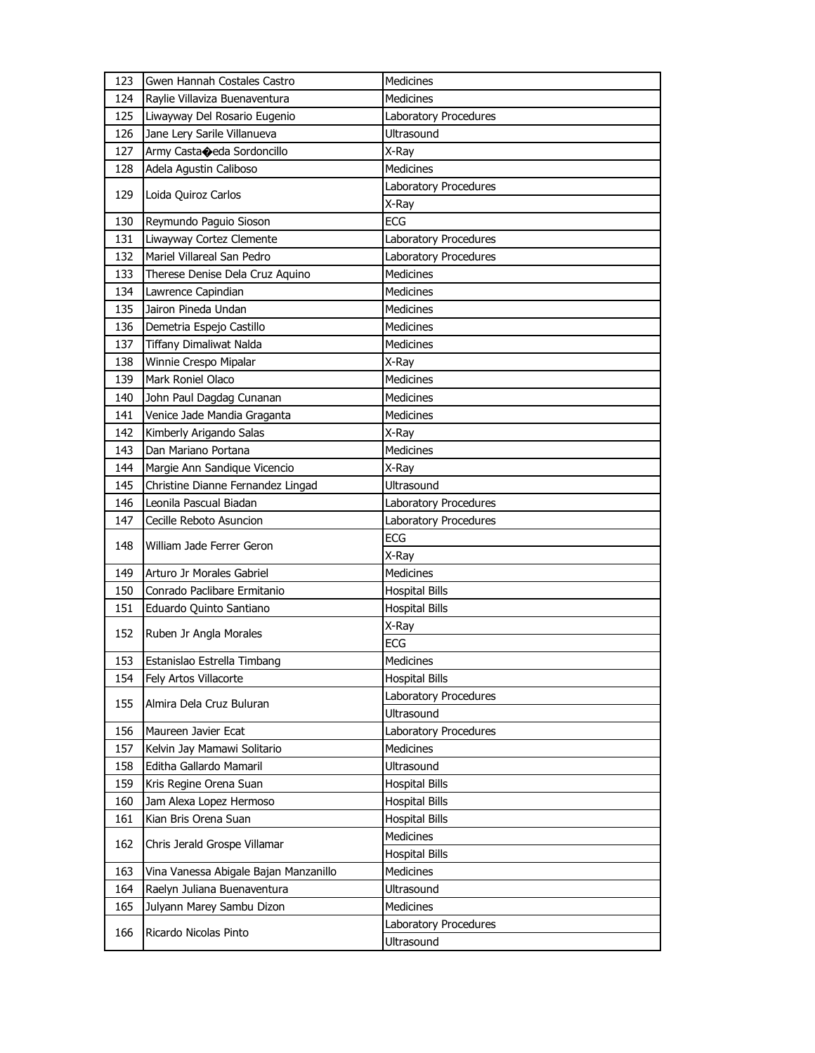| 123 | Gwen Hannah Costales Castro           | Medicines             |
|-----|---------------------------------------|-----------------------|
| 124 | Raylie Villaviza Buenaventura         | <b>Medicines</b>      |
| 125 | Liwayway Del Rosario Eugenio          | Laboratory Procedures |
| 126 | Jane Lery Sarile Villanueva           | Ultrasound            |
| 127 | Army Castaceda Sordoncillo            | X-Ray                 |
| 128 | Adela Agustin Caliboso                | Medicines             |
|     |                                       | Laboratory Procedures |
| 129 | Loida Quiroz Carlos                   | X-Ray                 |
| 130 | Reymundo Paguio Sioson                | <b>ECG</b>            |
| 131 | Liwayway Cortez Clemente              | Laboratory Procedures |
| 132 | Mariel Villareal San Pedro            | Laboratory Procedures |
| 133 | Therese Denise Dela Cruz Aquino       | <b>Medicines</b>      |
| 134 | Lawrence Capindian                    | <b>Medicines</b>      |
| 135 | Jairon Pineda Undan                   | <b>Medicines</b>      |
| 136 | Demetria Espejo Castillo              | Medicines             |
| 137 | <b>Tiffany Dimaliwat Nalda</b>        | Medicines             |
| 138 | Winnie Crespo Mipalar                 | X-Ray                 |
| 139 | Mark Roniel Olaco                     | <b>Medicines</b>      |
| 140 | John Paul Dagdag Cunanan              | <b>Medicines</b>      |
| 141 | Venice Jade Mandia Graganta           | Medicines             |
| 142 | Kimberly Arigando Salas               | X-Ray                 |
| 143 | Dan Mariano Portana                   | <b>Medicines</b>      |
| 144 | Margie Ann Sandique Vicencio          | X-Ray                 |
| 145 | Christine Dianne Fernandez Lingad     | <b>Ultrasound</b>     |
| 146 | Leonila Pascual Biadan                | Laboratory Procedures |
|     |                                       |                       |
| 147 | Cecille Reboto Asuncion               | Laboratory Procedures |
|     |                                       | <b>ECG</b>            |
| 148 | William Jade Ferrer Geron             | X-Ray                 |
| 149 | Arturo Jr Morales Gabriel             | Medicines             |
| 150 | Conrado Paclibare Ermitanio           | <b>Hospital Bills</b> |
| 151 | Eduardo Quinto Santiano               | <b>Hospital Bills</b> |
|     |                                       | X-Ray                 |
| 152 | Ruben Jr Angla Morales                | ECG                   |
| 153 | Estanislao Estrella Timbang           | Medicines             |
| 154 | Fely Artos Villacorte                 | <b>Hospital Bills</b> |
|     |                                       | Laboratory Procedures |
| 155 | Almira Dela Cruz Buluran              | Ultrasound            |
| 156 | Maureen Javier Ecat                   | Laboratory Procedures |
| 157 | Kelvin Jay Mamawi Solitario           | <b>Medicines</b>      |
| 158 | Editha Gallardo Mamaril               | <b>Ultrasound</b>     |
| 159 | Kris Regine Orena Suan                | <b>Hospital Bills</b> |
| 160 | Jam Alexa Lopez Hermoso               | <b>Hospital Bills</b> |
| 161 | Kian Bris Orena Suan                  | <b>Hospital Bills</b> |
|     |                                       | Medicines             |
| 162 | Chris Jerald Grospe Villamar          | <b>Hospital Bills</b> |
| 163 | Vina Vanessa Abigale Bajan Manzanillo | Medicines             |
| 164 | Raelyn Juliana Buenaventura           | Ultrasound            |
| 165 | Julyann Marey Sambu Dizon             | Medicines             |
| 166 | Ricardo Nicolas Pinto                 | Laboratory Procedures |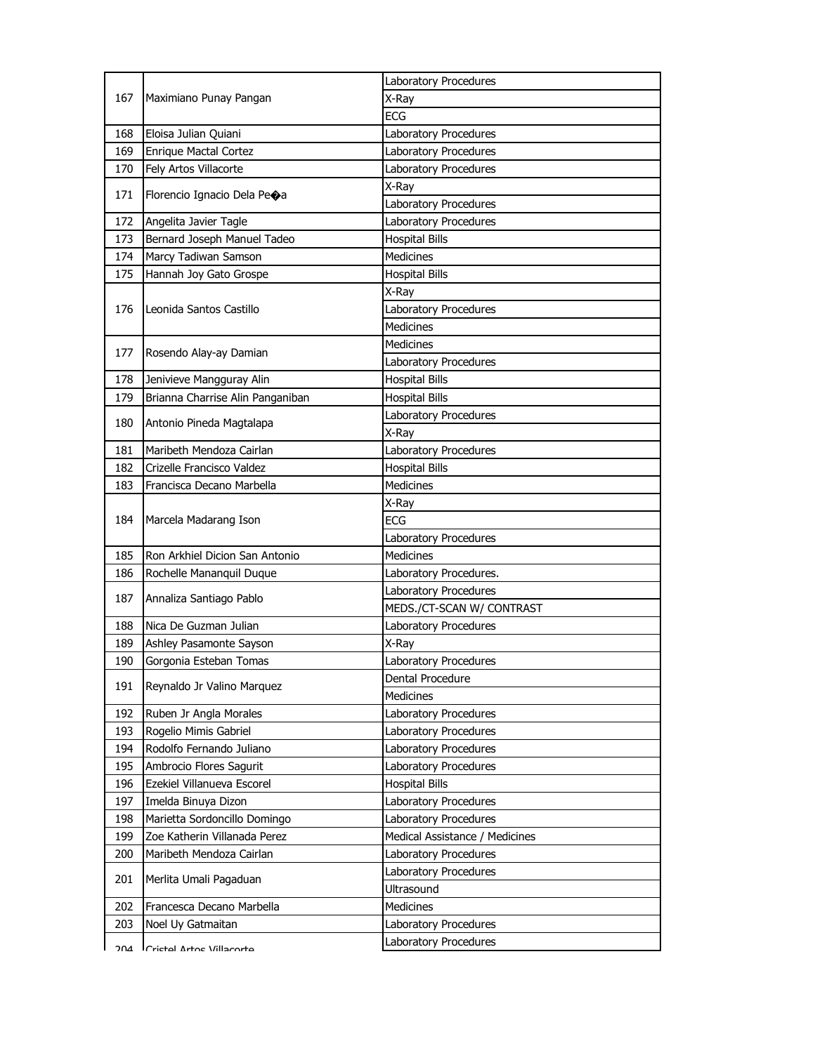|     | Maximiano Punay Pangan           | Laboratory Procedures          |
|-----|----------------------------------|--------------------------------|
| 167 |                                  | X-Ray                          |
|     |                                  | <b>ECG</b>                     |
| 168 | Eloisa Julian Quiani             | Laboratory Procedures          |
| 169 | Enrique Mactal Cortez            | Laboratory Procedures          |
| 170 | Fely Artos Villacorte            | Laboratory Procedures          |
|     |                                  | X-Ray                          |
| 171 | Florencio Ignacio Dela Peoa      | Laboratory Procedures          |
| 172 | Angelita Javier Tagle            | Laboratory Procedures          |
| 173 | Bernard Joseph Manuel Tadeo      | <b>Hospital Bills</b>          |
| 174 | Marcy Tadiwan Samson             | <b>Medicines</b>               |
| 175 | Hannah Joy Gato Grospe           | <b>Hospital Bills</b>          |
|     |                                  | X-Ray                          |
| 176 | Leonida Santos Castillo          | Laboratory Procedures          |
|     |                                  | <b>Medicines</b>               |
|     |                                  | <b>Medicines</b>               |
| 177 | Rosendo Alay-ay Damian           | Laboratory Procedures          |
| 178 | Jenivieve Mangguray Alin         | <b>Hospital Bills</b>          |
| 179 | Brianna Charrise Alin Panganiban | <b>Hospital Bills</b>          |
|     |                                  | Laboratory Procedures          |
| 180 | Antonio Pineda Magtalapa         | X-Ray                          |
| 181 | Maribeth Mendoza Cairlan         | Laboratory Procedures          |
| 182 | Crizelle Francisco Valdez        | <b>Hospital Bills</b>          |
| 183 | Francisca Decano Marbella        | Medicines                      |
|     |                                  | X-Ray                          |
| 184 | Marcela Madarang Ison            | <b>ECG</b>                     |
|     |                                  | Laboratory Procedures          |
| 185 | Ron Arkhiel Dicion San Antonio   | Medicines                      |
| 186 | Rochelle Mananquil Duque         | Laboratory Procedures.         |
|     |                                  | Laboratory Procedures          |
| 187 | Annaliza Santiago Pablo          | MEDS./CT-SCAN W/ CONTRAST      |
| 188 | Nica De Guzman Julian            | Laboratory Procedures          |
| 189 | Ashley Pasamonte Sayson          | X-Ray                          |
| 190 | Gorgonia Esteban Tomas           | Laboratory Procedures          |
|     |                                  | Dental Procedure               |
| 191 | Reynaldo Jr Valino Marquez       | Medicines                      |
| 192 | Ruben Jr Angla Morales           | Laboratory Procedures          |
| 193 | Rogelio Mimis Gabriel            | Laboratory Procedures          |
| 194 | Rodolfo Fernando Juliano         | Laboratory Procedures          |
| 195 | Ambrocio Flores Sagurit          | Laboratory Procedures          |
| 196 | Ezekiel Villanueva Escorel       | <b>Hospital Bills</b>          |
| 197 | Imelda Binuya Dizon              | Laboratory Procedures          |
| 198 | Marietta Sordoncillo Domingo     | Laboratory Procedures          |
| 199 | Zoe Katherin Villanada Perez     | Medical Assistance / Medicines |
| 200 | Maribeth Mendoza Cairlan         | Laboratory Procedures          |
|     |                                  | Laboratory Procedures          |
| 201 | Merlita Umali Pagaduan           | Ultrasound                     |
| 202 | Francesca Decano Marbella        | Medicines                      |
| 203 | Noel Uy Gatmaitan                | Laboratory Procedures          |
|     |                                  | Laboratory Procedures          |
| ገበ⊿ | Crictal Artoc Villacorta         |                                |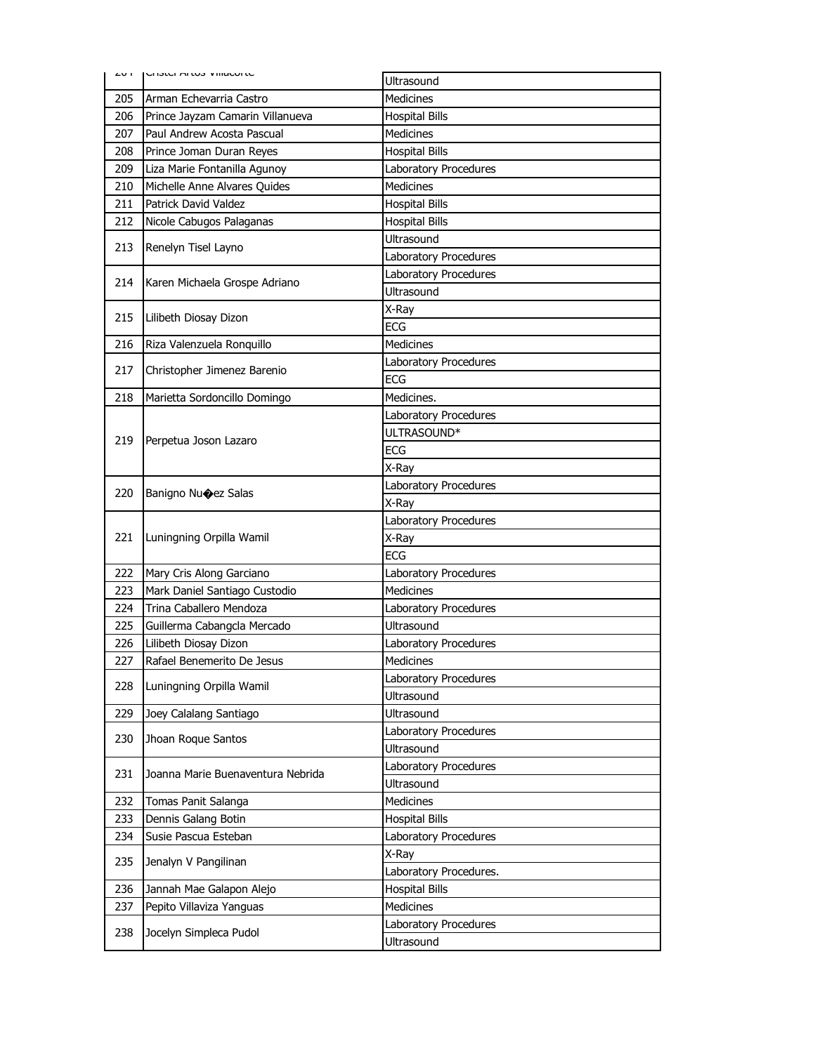| דש∠ | LIJICI MILUJ VIIIGLUILE           | Ultrasound                          |
|-----|-----------------------------------|-------------------------------------|
| 205 | Arman Echevarria Castro           | <b>Medicines</b>                    |
| 206 | Prince Jayzam Camarin Villanueva  | <b>Hospital Bills</b>               |
| 207 | Paul Andrew Acosta Pascual        | Medicines                           |
| 208 | Prince Joman Duran Reyes          | <b>Hospital Bills</b>               |
| 209 | Liza Marie Fontanilla Agunoy      | Laboratory Procedures               |
| 210 | Michelle Anne Alvares Quides      | <b>Medicines</b>                    |
| 211 | <b>Patrick David Valdez</b>       | <b>Hospital Bills</b>               |
| 212 | Nicole Cabugos Palaganas          | <b>Hospital Bills</b>               |
|     |                                   | Ultrasound                          |
| 213 | Renelyn Tisel Layno               | Laboratory Procedures               |
|     |                                   | Laboratory Procedures               |
| 214 | Karen Michaela Grospe Adriano     | <b>Ultrasound</b>                   |
| 215 | Lilibeth Diosay Dizon             | X-Ray                               |
|     |                                   | <b>ECG</b>                          |
| 216 | Riza Valenzuela Ronquillo         | <b>Medicines</b>                    |
| 217 | Christopher Jimenez Barenio       | Laboratory Procedures               |
|     |                                   | <b>ECG</b>                          |
| 218 | Marietta Sordoncillo Domingo      | Medicines.                          |
|     |                                   | Laboratory Procedures               |
| 219 | Perpetua Joson Lazaro             | ULTRASOUND*                         |
|     |                                   | <b>ECG</b>                          |
|     |                                   | X-Ray                               |
| 220 | Banigno Nuoez Salas               | Laboratory Procedures               |
|     |                                   | X-Ray                               |
|     |                                   | Laboratory Procedures               |
| 221 | Luningning Orpilla Wamil          | X-Ray                               |
|     |                                   | <b>ECG</b>                          |
| 222 | Mary Cris Along Garciano          | Laboratory Procedures               |
| 223 | Mark Daniel Santiago Custodio     | <b>Medicines</b>                    |
| 224 | Trina Caballero Mendoza           | Laboratory Procedures               |
| 225 | Guillerma Cabangcla Mercado       | Ultrasound                          |
| 226 | Lilibeth Diosay Dizon             | Laboratory Procedures               |
| 227 | Rafael Benemerito De Jesus        | Medicines                           |
| 228 | Luningning Orpilla Wamil          | Laboratory Procedures               |
|     |                                   | <b>Ultrasound</b>                   |
| 229 | Joey Calalang Santiago            | Ultrasound                          |
| 230 | Jhoan Roque Santos                | Laboratory Procedures               |
|     |                                   | Ultrasound                          |
| 231 |                                   |                                     |
|     | Joanna Marie Buenaventura Nebrida | Laboratory Procedures               |
|     |                                   | Ultrasound                          |
| 232 | Tomas Panit Salanga               | Medicines                           |
| 233 | Dennis Galang Botin               | <b>Hospital Bills</b>               |
| 234 | Susie Pascua Esteban              | Laboratory Procedures               |
| 235 | Jenalyn V Pangilinan              | X-Ray                               |
|     |                                   | Laboratory Procedures.              |
| 236 | Jannah Mae Galapon Alejo          | <b>Hospital Bills</b>               |
| 237 | Pepito Villaviza Yanguas          | Medicines                           |
| 238 | Jocelyn Simpleca Pudol            | Laboratory Procedures<br>Ultrasound |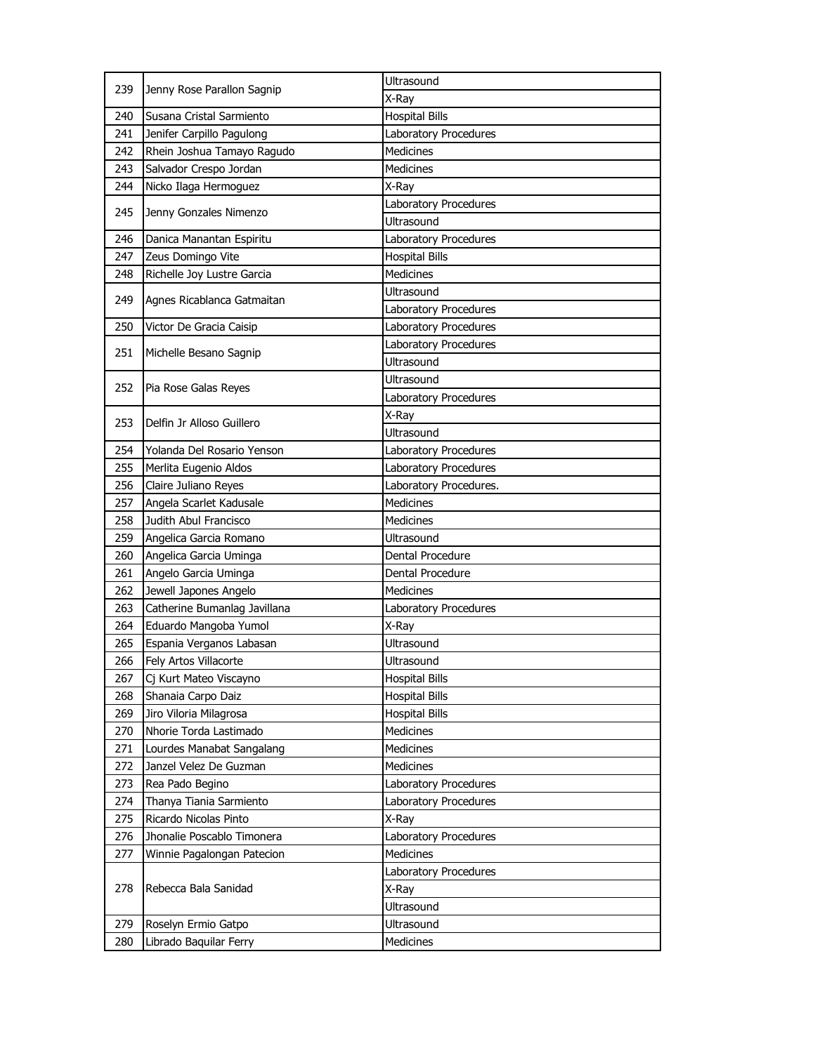| 239 | Jenny Rose Parallon Sagnip   | Ultrasound             |
|-----|------------------------------|------------------------|
|     |                              | X-Ray                  |
| 240 | Susana Cristal Sarmiento     | <b>Hospital Bills</b>  |
| 241 | Jenifer Carpillo Pagulong    | Laboratory Procedures  |
| 242 | Rhein Joshua Tamayo Ragudo   | <b>Medicines</b>       |
| 243 | Salvador Crespo Jordan       | <b>Medicines</b>       |
| 244 | Nicko Ilaga Hermoguez        | X-Ray                  |
|     |                              | Laboratory Procedures  |
| 245 | Jenny Gonzales Nimenzo       | <b>Ultrasound</b>      |
| 246 | Danica Manantan Espiritu     | Laboratory Procedures  |
| 247 | Zeus Domingo Vite            | <b>Hospital Bills</b>  |
| 248 | Richelle Joy Lustre Garcia   | <b>Medicines</b>       |
| 249 |                              | Ultrasound             |
|     | Agnes Ricablanca Gatmaitan   | Laboratory Procedures  |
| 250 | Victor De Gracia Caisip      | Laboratory Procedures  |
| 251 |                              | Laboratory Procedures  |
|     | Michelle Besano Sagnip       | Ultrasound             |
|     |                              | Ultrasound             |
| 252 | Pia Rose Galas Reyes         | Laboratory Procedures  |
|     | Delfin Jr Alloso Guillero    | X-Ray                  |
| 253 |                              | Ultrasound             |
| 254 | Yolanda Del Rosario Yenson   | Laboratory Procedures  |
| 255 | Merlita Eugenio Aldos        | Laboratory Procedures  |
| 256 | Claire Juliano Reyes         | Laboratory Procedures. |
| 257 | Angela Scarlet Kadusale      | <b>Medicines</b>       |
| 258 | Judith Abul Francisco        | Medicines              |
| 259 | Angelica Garcia Romano       | <b>Ultrasound</b>      |
| 260 | Angelica Garcia Uminga       | Dental Procedure       |
| 261 | Angelo Garcia Uminga         | Dental Procedure       |
| 262 | Jewell Japones Angelo        | <b>Medicines</b>       |
| 263 | Catherine Bumanlag Javillana | Laboratory Procedures  |
| 264 | Eduardo Mangoba Yumol        | X-Ray                  |
| 265 | Espania Verganos Labasan     | Ultrasound             |
| 266 | Fely Artos Villacorte        | Ultrasound             |
| 267 | Cj Kurt Mateo Viscayno       | <b>Hospital Bills</b>  |
| 268 | Shanaia Carpo Daiz           | <b>Hospital Bills</b>  |
| 269 | Jiro Viloria Milagrosa       | <b>Hospital Bills</b>  |
| 270 | Nhorie Torda Lastimado       | Medicines              |
| 271 | Lourdes Manabat Sangalang    | <b>Medicines</b>       |
| 272 | Janzel Velez De Guzman       | <b>Medicines</b>       |
| 273 | Rea Pado Begino              | Laboratory Procedures  |
| 274 | Thanya Tiania Sarmiento      | Laboratory Procedures  |
| 275 | Ricardo Nicolas Pinto        | X-Ray                  |
| 276 | Jhonalie Poscablo Timonera   | Laboratory Procedures  |
| 277 | Winnie Pagalongan Patecion   | Medicines              |
|     |                              | Laboratory Procedures  |
| 278 | Rebecca Bala Sanidad         | X-Ray                  |
|     |                              | Ultrasound             |
| 279 | Roselyn Ermio Gatpo          | Ultrasound             |
| 280 | Librado Baquilar Ferry       | Medicines              |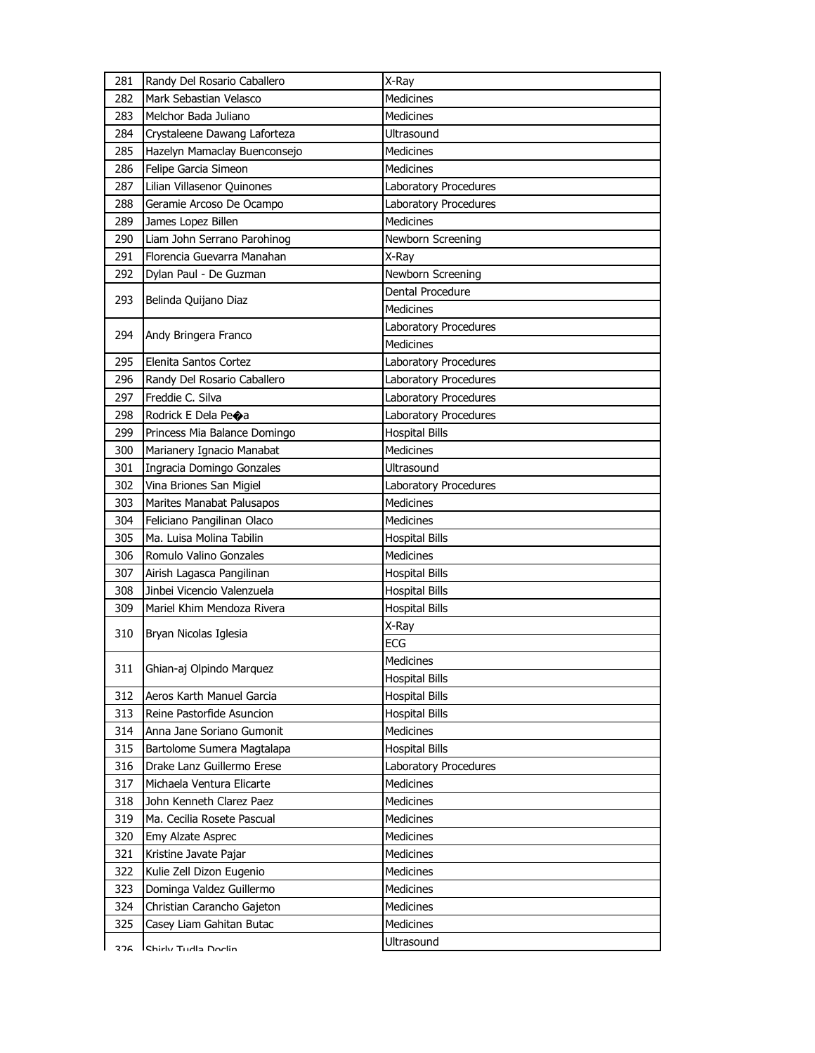| 281 | Randy Del Rosario Caballero  | X-Ray                 |
|-----|------------------------------|-----------------------|
| 282 | Mark Sebastian Velasco       | Medicines             |
| 283 | Melchor Bada Juliano         | <b>Medicines</b>      |
| 284 | Crystaleene Dawang Laforteza | Ultrasound            |
| 285 | Hazelyn Mamaclay Buenconsejo | Medicines             |
| 286 | Felipe Garcia Simeon         | Medicines             |
| 287 | Lilian Villasenor Quinones   | Laboratory Procedures |
| 288 | Geramie Arcoso De Ocampo     | Laboratory Procedures |
| 289 | James Lopez Billen           | <b>Medicines</b>      |
| 290 | Liam John Serrano Parohinog  | Newborn Screening     |
| 291 | Florencia Guevarra Manahan   | X-Ray                 |
| 292 | Dylan Paul - De Guzman       | Newborn Screening     |
| 293 | Belinda Quijano Diaz         | Dental Procedure      |
|     |                              | Medicines             |
| 294 | Andy Bringera Franco         | Laboratory Procedures |
|     |                              | <b>Medicines</b>      |
| 295 | Elenita Santos Cortez        | Laboratory Procedures |
| 296 | Randy Del Rosario Caballero  | Laboratory Procedures |
| 297 | Freddie C. Silva             | Laboratory Procedures |
| 298 | Rodrick E Dela Peoa          | Laboratory Procedures |
| 299 | Princess Mia Balance Domingo | <b>Hospital Bills</b> |
| 300 | Marianery Ignacio Manabat    | <b>Medicines</b>      |
| 301 | Ingracia Domingo Gonzales    | <b>Ultrasound</b>     |
| 302 | Vina Briones San Migiel      | Laboratory Procedures |
| 303 | Marites Manabat Palusapos    | <b>Medicines</b>      |
| 304 | Feliciano Pangilinan Olaco   | Medicines             |
| 305 | Ma. Luisa Molina Tabilin     | <b>Hospital Bills</b> |
| 306 | Romulo Valino Gonzales       | Medicines             |
| 307 | Airish Lagasca Pangilinan    | <b>Hospital Bills</b> |
| 308 | Jinbei Vicencio Valenzuela   | <b>Hospital Bills</b> |
| 309 | Mariel Khim Mendoza Rivera   | <b>Hospital Bills</b> |
| 310 | Bryan Nicolas Iglesia        | X-Ray                 |
|     |                              | <b>ECG</b>            |
| 311 | Ghian-aj Olpindo Marquez     | Medicines             |
|     |                              | <b>Hospital Bills</b> |
| 312 | Aeros Karth Manuel Garcia    | <b>Hospital Bills</b> |
| 313 | Reine Pastorfide Asuncion    | <b>Hospital Bills</b> |
| 314 | Anna Jane Soriano Gumonit    | Medicines             |
| 315 | Bartolome Sumera Magtalapa   | <b>Hospital Bills</b> |
| 316 | Drake Lanz Guillermo Erese   | Laboratory Procedures |
| 317 | Michaela Ventura Elicarte    | <b>Medicines</b>      |
| 318 | John Kenneth Clarez Paez     | <b>Medicines</b>      |
| 319 | Ma. Cecilia Rosete Pascual   | <b>Medicines</b>      |
| 320 | Emy Alzate Asprec            | <b>Medicines</b>      |
| 321 | Kristine Javate Pajar        | <b>Medicines</b>      |
| 322 | Kulie Zell Dizon Eugenio     | <b>Medicines</b>      |
| 323 | Dominga Valdez Guillermo     | <b>Medicines</b>      |
| 324 | Christian Carancho Gajeton   | <b>Medicines</b>      |
| 325 | Casey Liam Gahitan Butac     | <b>Medicines</b>      |
| つつに | Chirly Tudla Doclin          | Ultrasound            |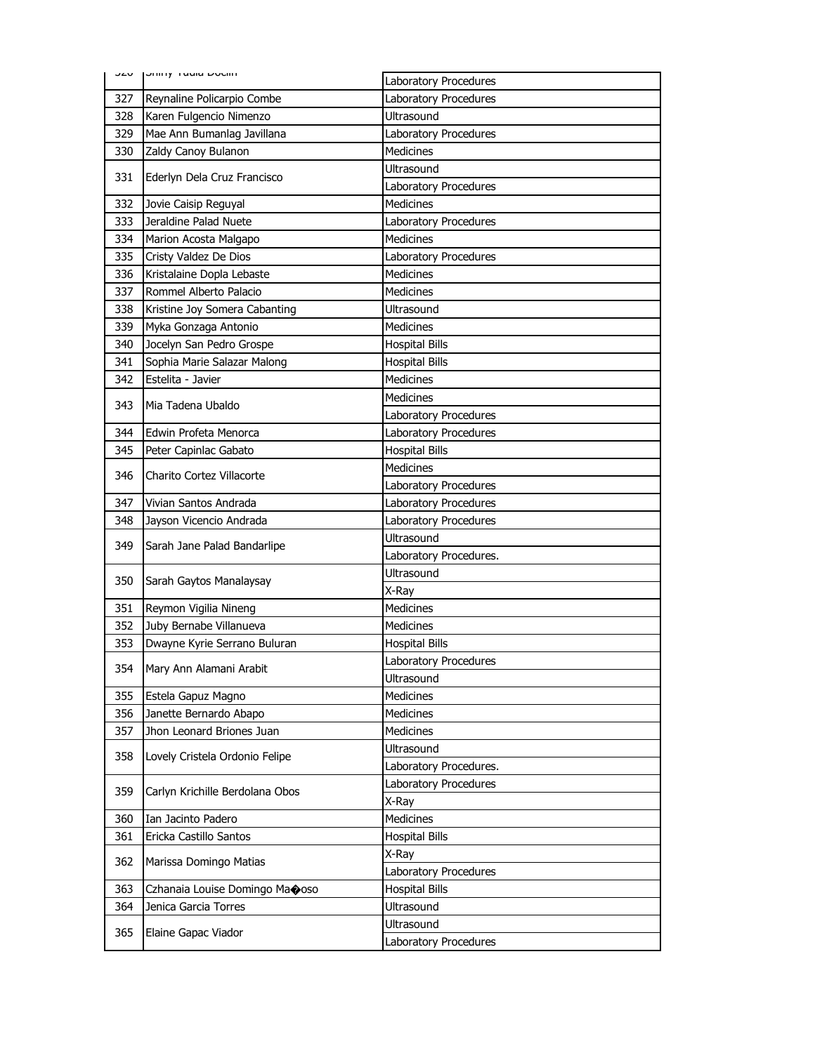|     | <b>JZU JUMIY TUUR DUCHIT</b>    |                              |
|-----|---------------------------------|------------------------------|
|     |                                 | Laboratory Procedures        |
| 327 | Reynaline Policarpio Combe      | Laboratory Procedures        |
| 328 | Karen Fulgencio Nimenzo         | <b>Ultrasound</b>            |
| 329 | Mae Ann Bumanlag Javillana      | Laboratory Procedures        |
| 330 | Zaldy Canoy Bulanon             | <b>Medicines</b>             |
| 331 | Ederlyn Dela Cruz Francisco     | Ultrasound                   |
|     |                                 | Laboratory Procedures        |
| 332 | Jovie Caisip Reguyal            | <b>Medicines</b>             |
| 333 | Jeraldine Palad Nuete           | Laboratory Procedures        |
| 334 | Marion Acosta Malgapo           | <b>Medicines</b>             |
| 335 | Cristy Valdez De Dios           | Laboratory Procedures        |
| 336 | Kristalaine Dopla Lebaste       | <b>Medicines</b>             |
| 337 | Rommel Alberto Palacio          | Medicines                    |
| 338 | Kristine Joy Somera Cabanting   | <b>Ultrasound</b>            |
| 339 | Myka Gonzaga Antonio            | <b>Medicines</b>             |
| 340 | Jocelyn San Pedro Grospe        | <b>Hospital Bills</b>        |
| 341 | Sophia Marie Salazar Malong     | <b>Hospital Bills</b>        |
| 342 | Estelita - Javier               | <b>Medicines</b>             |
| 343 | Mia Tadena Ubaldo               | <b>Medicines</b>             |
|     |                                 | Laboratory Procedures        |
| 344 | Edwin Profeta Menorca           | Laboratory Procedures        |
| 345 | Peter Capinlac Gabato           | <b>Hospital Bills</b>        |
| 346 | Charito Cortez Villacorte       | <b>Medicines</b>             |
|     |                                 | Laboratory Procedures        |
| 347 | Vivian Santos Andrada           | Laboratory Procedures        |
| 348 | Jayson Vicencio Andrada         | Laboratory Procedures        |
| 349 | Sarah Jane Palad Bandarlipe     | Ultrasound                   |
|     |                                 | Laboratory Procedures.       |
| 350 | Sarah Gaytos Manalaysay         | Ultrasound                   |
|     |                                 | X-Ray                        |
| 351 | Reymon Vigilia Nineng           | <b>Medicines</b>             |
| 352 | Juby Bernabe Villanueva         | <b>Medicines</b>             |
| 353 | Dwayne Kyrie Serrano Buluran    | <b>Hospital Bills</b>        |
| 354 |                                 | <b>Laboratory Procedures</b> |
|     | Mary Ann Alamani Arabit         | Ultrasound                   |
| 355 | Estela Gapuz Magno              | <b>Medicines</b>             |
| 356 | Janette Bernardo Abapo          | <b>Medicines</b>             |
| 357 | Jhon Leonard Briones Juan       | Medicines                    |
|     |                                 | Ultrasound                   |
| 358 | Lovely Cristela Ordonio Felipe  | Laboratory Procedures.       |
|     |                                 | Laboratory Procedures        |
| 359 | Carlyn Krichille Berdolana Obos | X-Ray                        |
| 360 | Ian Jacinto Padero              | Medicines                    |
| 361 | Ericka Castillo Santos          | <b>Hospital Bills</b>        |
|     |                                 | X-Ray                        |
| 362 | Marissa Domingo Matias          | Laboratory Procedures        |
| 363 | Czhanaia Louise Domingo Maooso  | <b>Hospital Bills</b>        |
| 364 | Jenica Garcia Torres            | Ultrasound                   |
|     |                                 | Ultrasound                   |
| 365 | Elaine Gapac Viador             | Laboratory Procedures        |
|     |                                 |                              |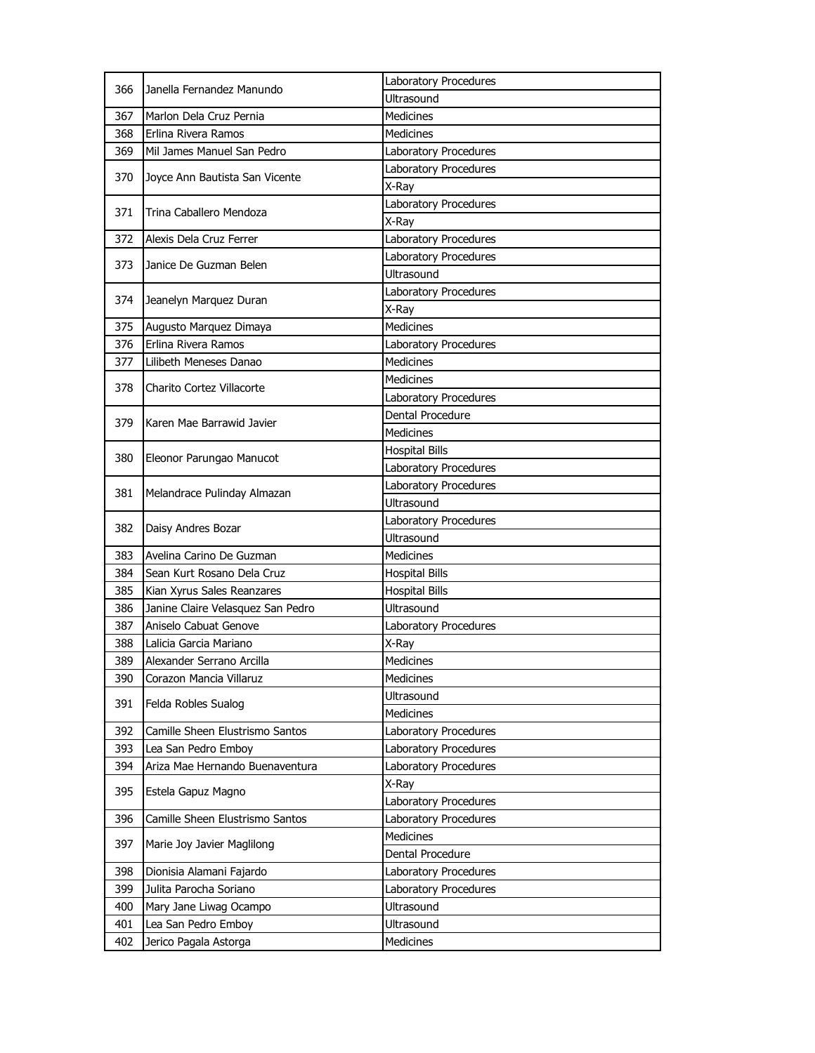| 366 | Janella Fernandez Manundo         | Laboratory Procedures |
|-----|-----------------------------------|-----------------------|
|     |                                   | Ultrasound            |
| 367 | Marlon Dela Cruz Pernia           | Medicines             |
| 368 | Erlina Rivera Ramos               | <b>Medicines</b>      |
| 369 | Mil James Manuel San Pedro        | Laboratory Procedures |
| 370 | Joyce Ann Bautista San Vicente    | Laboratory Procedures |
|     |                                   | X-Ray                 |
| 371 | Trina Caballero Mendoza           | Laboratory Procedures |
|     |                                   | X-Ray                 |
| 372 | Alexis Dela Cruz Ferrer           | Laboratory Procedures |
| 373 | Janice De Guzman Belen            | Laboratory Procedures |
|     |                                   | Ultrasound            |
| 374 | Jeanelyn Marquez Duran            | Laboratory Procedures |
|     |                                   | X-Ray                 |
| 375 | Augusto Marquez Dimaya            | <b>Medicines</b>      |
| 376 | Erlina Rivera Ramos               | Laboratory Procedures |
| 377 | Lilibeth Meneses Danao            | <b>Medicines</b>      |
|     |                                   | <b>Medicines</b>      |
| 378 | Charito Cortez Villacorte         | Laboratory Procedures |
|     |                                   | Dental Procedure      |
| 379 | Karen Mae Barrawid Javier         | Medicines             |
|     |                                   | <b>Hospital Bills</b> |
| 380 | Eleonor Parungao Manucot          | Laboratory Procedures |
|     |                                   | Laboratory Procedures |
| 381 | Melandrace Pulinday Almazan       | <b>Ultrasound</b>     |
| 382 |                                   | Laboratory Procedures |
|     | Daisy Andres Bozar                | Ultrasound            |
| 383 | Avelina Carino De Guzman          | <b>Medicines</b>      |
| 384 | Sean Kurt Rosano Dela Cruz        | <b>Hospital Bills</b> |
| 385 | Kian Xyrus Sales Reanzares        | <b>Hospital Bills</b> |
| 386 | Janine Claire Velasquez San Pedro | <b>Ultrasound</b>     |
| 387 | Aniselo Cabuat Genove             | Laboratory Procedures |
| 388 | Lalicia Garcia Mariano            | X-Ray                 |
| 389 | Alexander Serrano Arcilla         | <b>Medicines</b>      |
| 390 | Corazon Mancia Villaruz           | Medicines             |
|     | Felda Robles Sualog               | <b>Ultrasound</b>     |
| 391 |                                   | Medicines             |
| 392 | Camille Sheen Elustrismo Santos   | Laboratory Procedures |
| 393 | Lea San Pedro Emboy               | Laboratory Procedures |
| 394 | Ariza Mae Hernando Buenaventura   | Laboratory Procedures |
| 395 |                                   | X-Ray                 |
|     | Estela Gapuz Magno                | Laboratory Procedures |
| 396 | Camille Sheen Elustrismo Santos   | Laboratory Procedures |
| 397 |                                   | <b>Medicines</b>      |
|     | Marie Joy Javier Maglilong        | Dental Procedure      |
| 398 | Dionisia Alamani Fajardo          | Laboratory Procedures |
| 399 | Julita Parocha Soriano            | Laboratory Procedures |
| 400 | Mary Jane Liwag Ocampo            | <b>Ultrasound</b>     |
| 401 | Lea San Pedro Emboy               | Ultrasound            |
| 402 | Jerico Pagala Astorga             | <b>Medicines</b>      |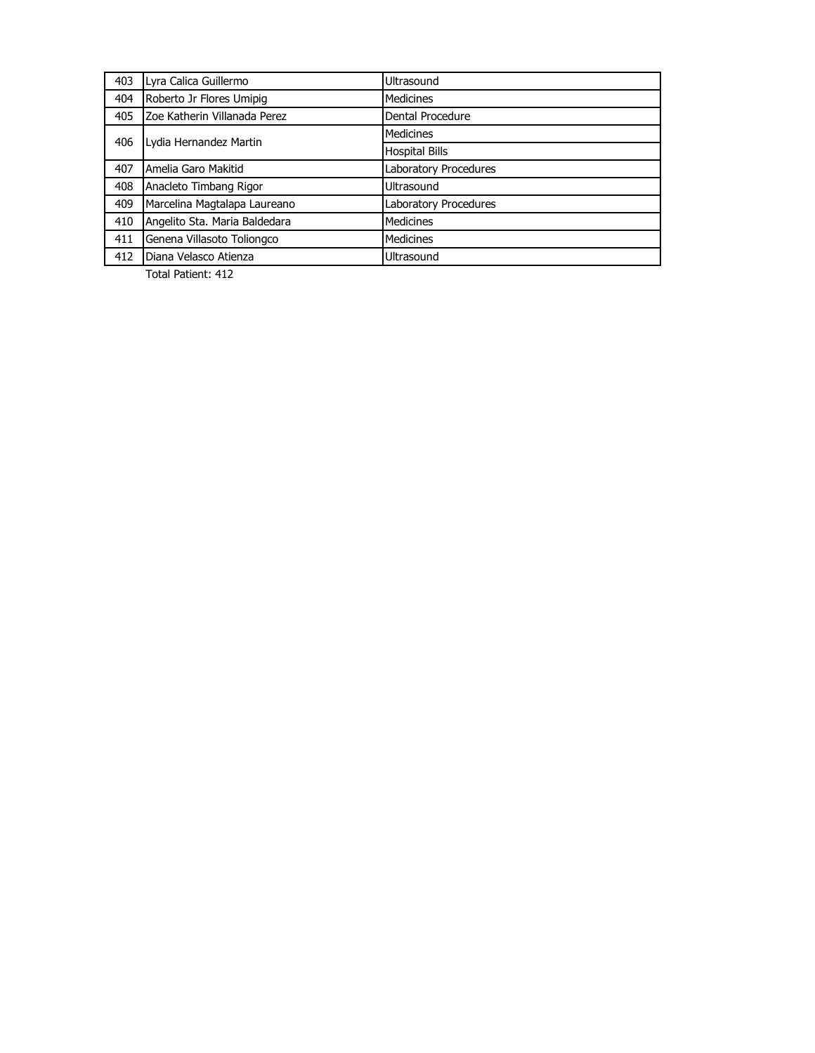| 403 | Lyra Calica Guillermo         | Ultrasound            |
|-----|-------------------------------|-----------------------|
| 404 | Roberto Jr Flores Umipig      | <b>Medicines</b>      |
| 405 | Zoe Katherin Villanada Perez  | Dental Procedure      |
| 406 | Lydia Hernandez Martin        | Medicines             |
|     |                               | <b>Hospital Bills</b> |
| 407 | Amelia Garo Makitid           | Laboratory Procedures |
| 408 | Anacleto Timbang Rigor        | Ultrasound            |
| 409 | Marcelina Magtalapa Laureano  | Laboratory Procedures |
| 410 | Angelito Sta. Maria Baldedara | Medicines             |
| 411 | Genena Villasoto Toliongco    | Medicines             |
| 412 | Diana Velasco Atienza         | Ultrasound            |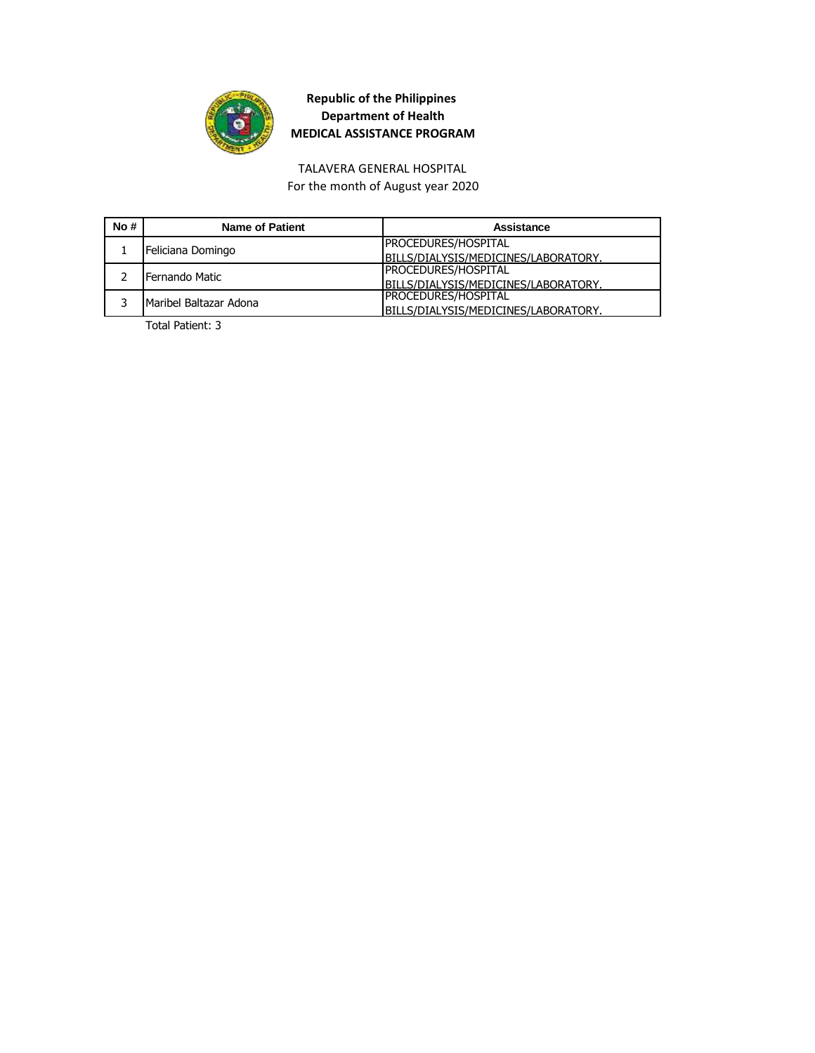

TALAVERA GENERAL HOSPITAL

For the month of August year 2020

| No# | Name of Patient        | Assistance                           |
|-----|------------------------|--------------------------------------|
|     | Feliciana Domingo      | <b>PROCEDURES/HOSPITAL</b>           |
|     |                        | BILLS/DIALYSIS/MEDICINES/LABORATORY. |
|     | Fernando Matic         | <b>PROCEDURES/HOSPITAL</b>           |
|     |                        | BILLS/DIALYSIS/MEDICINES/LABORATORY. |
|     | Maribel Baltazar Adona | <b>PROCEDURES/HOSPITAL</b>           |
|     |                        | BILLS/DIALYSIS/MEDICINES/LABORATORY. |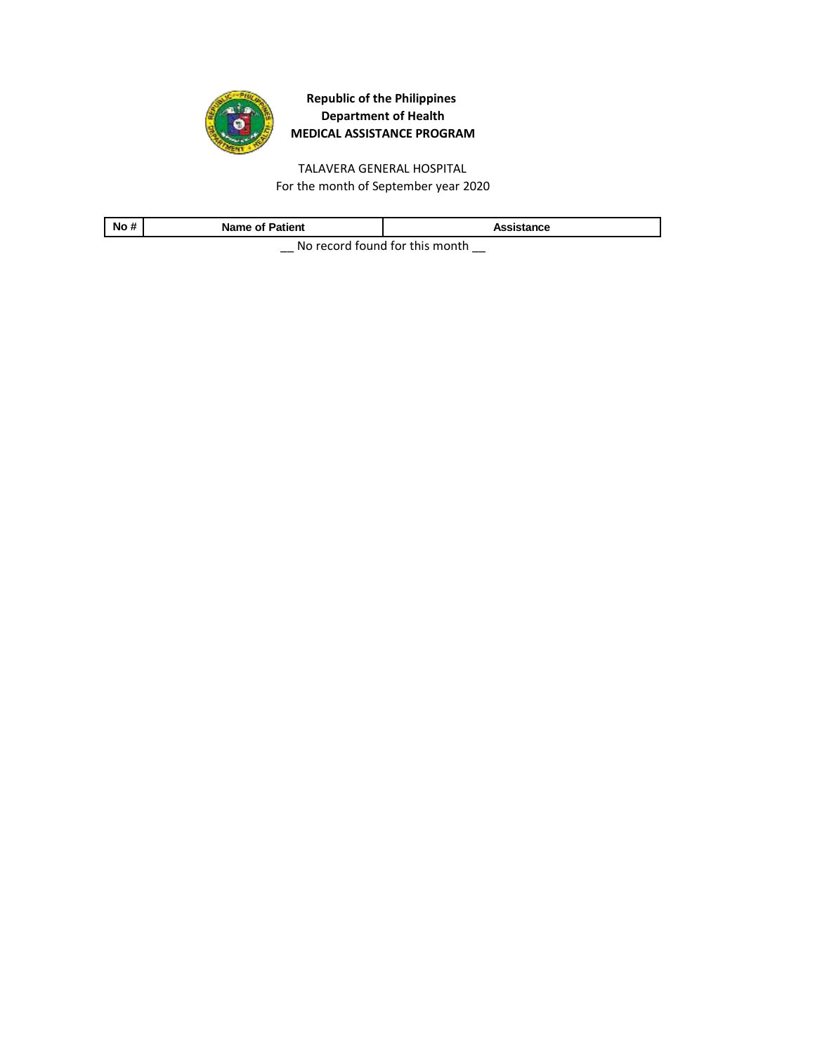

TALAVERA GENERAL HOSPITAL For the month of September year 2020

| No# | Name of <b>F</b><br>Patient | ssistance |
|-----|-----------------------------|-----------|
|     |                             |           |

\_\_ No record found for this month \_\_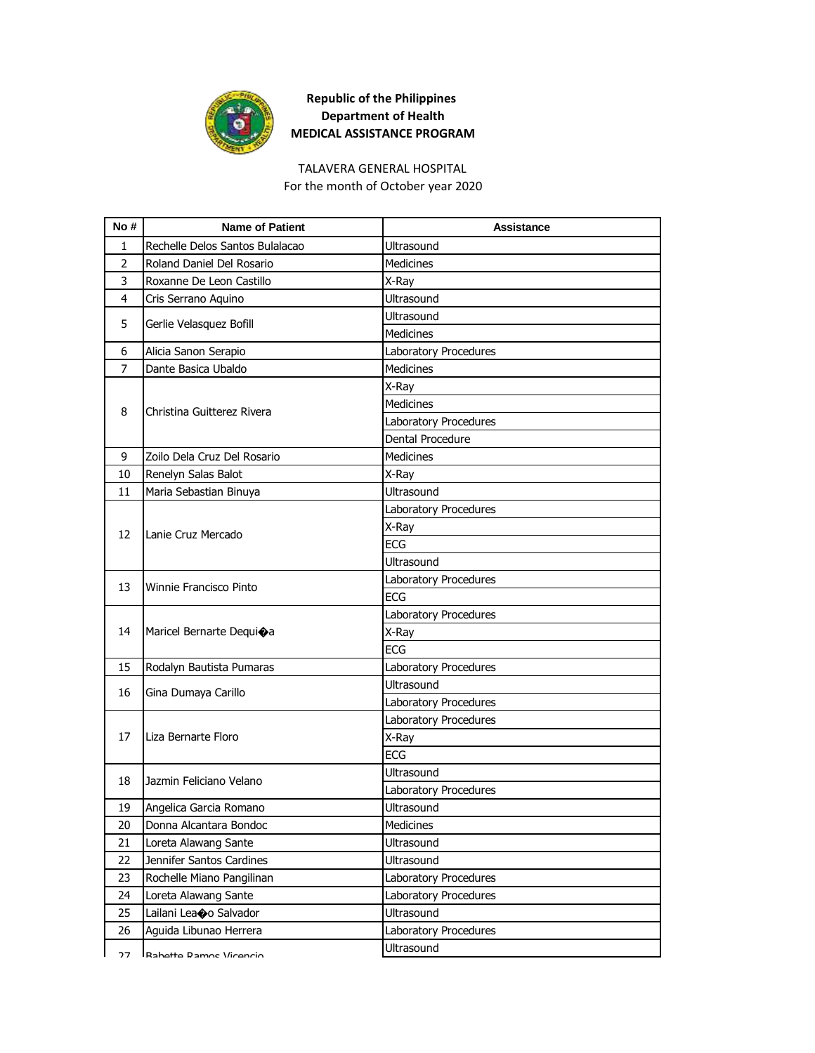

#### TALAVERA GENERAL HOSPITAL

For the month of October year 2020

| No #           | <b>Name of Patient</b>          | <b>Assistance</b>     |
|----------------|---------------------------------|-----------------------|
| 1              | Rechelle Delos Santos Bulalacao | <b>Ultrasound</b>     |
| $\overline{2}$ | Roland Daniel Del Rosario       | <b>Medicines</b>      |
| 3              | Roxanne De Leon Castillo        | X-Ray                 |
| 4              | Cris Serrano Aquino             | <b>Ultrasound</b>     |
| 5              |                                 | <b>Ultrasound</b>     |
|                | Gerlie Velasquez Bofill         | <b>Medicines</b>      |
| 6              | Alicia Sanon Serapio            | Laboratory Procedures |
| $\overline{7}$ | Dante Basica Ubaldo             | <b>Medicines</b>      |
|                |                                 | X-Ray                 |
| 8              | Christina Guitterez Rivera      | <b>Medicines</b>      |
|                |                                 | Laboratory Procedures |
|                |                                 | Dental Procedure      |
| 9              | Zoilo Dela Cruz Del Rosario     | <b>Medicines</b>      |
| 10             | Renelyn Salas Balot             | X-Ray                 |
| 11             | Maria Sebastian Binuya          | Ultrasound            |
|                |                                 | Laboratory Procedures |
| 12             | Lanie Cruz Mercado              | X-Ray                 |
|                |                                 | <b>ECG</b>            |
|                |                                 | Ultrasound            |
| 13             | <b>Winnie Francisco Pinto</b>   | Laboratory Procedures |
|                |                                 | <b>ECG</b>            |
|                |                                 | Laboratory Procedures |
| 14             | Maricel Bernarte Dequioa        | X-Ray                 |
|                |                                 | <b>ECG</b>            |
| 15             | Rodalyn Bautista Pumaras        | Laboratory Procedures |
| 16             | Gina Dumaya Carillo             | <b>Ultrasound</b>     |
|                |                                 | Laboratory Procedures |
|                |                                 | Laboratory Procedures |
| 17             | Liza Bernarte Floro             | X-Ray                 |
|                |                                 | <b>ECG</b>            |
| 18             | Jazmin Feliciano Velano         | <b>Ultrasound</b>     |
|                |                                 | Laboratory Procedures |
| 19             | Angelica Garcia Romano          | Ultrasound            |
| 20             | Donna Alcantara Bondoc          | Medicines             |
| 21             | Loreta Alawang Sante            | Ultrasound            |
| 22             | Jennifer Santos Cardines        | Ultrasound            |
| 23             | Rochelle Miano Pangilinan       | Laboratory Procedures |
| 24             | Loreta Alawang Sante            | Laboratory Procedures |
| 25             | Lailani Leaoo Salvador          | <b>Ultrasound</b>     |
| 26             | Aguida Libunao Herrera          | Laboratory Procedures |
| つフ             | Rahatta Damne Viranrin          | Ultrasound            |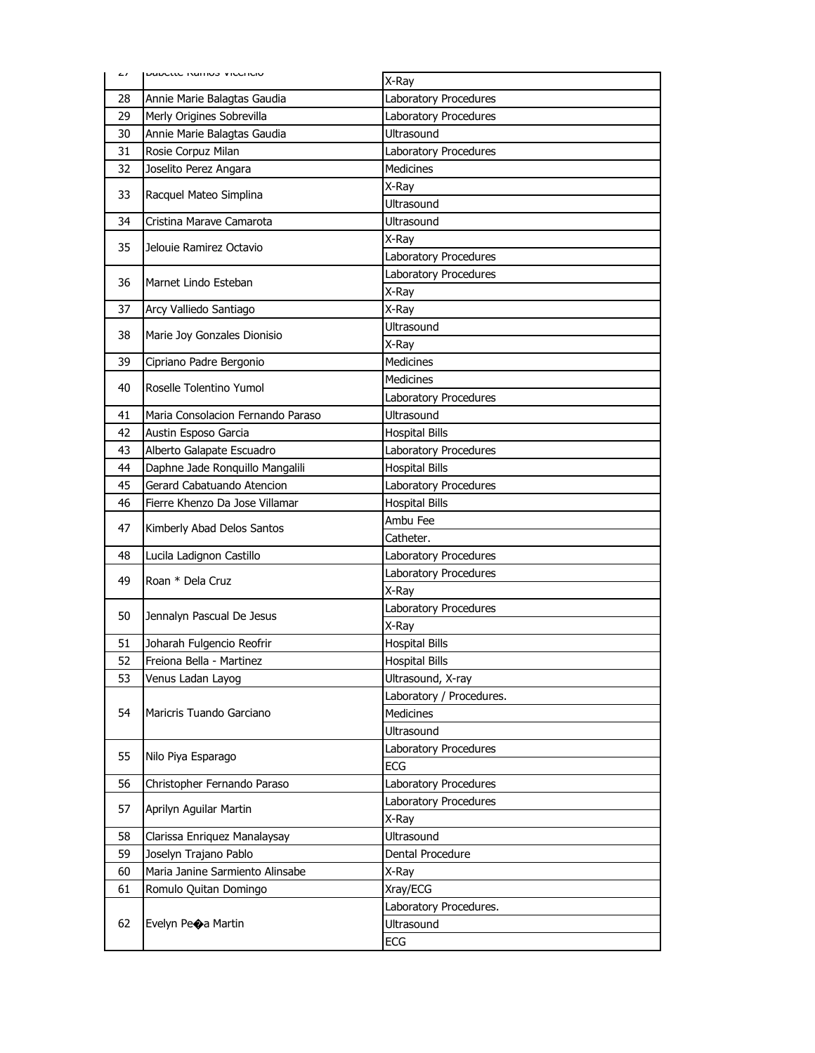| $\sqrt{ }$ | ו שמעכננכ ולמוזוט זיונכוונוט                             | X-Ray                     |
|------------|----------------------------------------------------------|---------------------------|
| 28         | Annie Marie Balagtas Gaudia                              | Laboratory Procedures     |
| 29         | Merly Origines Sobrevilla                                | Laboratory Procedures     |
| 30         | Annie Marie Balagtas Gaudia                              | Ultrasound                |
| 31         | Rosie Corpuz Milan                                       | Laboratory Procedures     |
| 32         | Joselito Perez Angara                                    | <b>Medicines</b>          |
|            |                                                          | X-Ray                     |
| 33         | Racquel Mateo Simplina                                   | Ultrasound                |
| 34         | Cristina Marave Camarota                                 | Ultrasound                |
|            | Jelouie Ramirez Octavio                                  | X-Ray                     |
| 35         |                                                          | Laboratory Procedures     |
| 36         | Marnet Lindo Esteban                                     | Laboratory Procedures     |
|            |                                                          | X-Ray                     |
| 37         | Arcy Valliedo Santiago                                   | X-Ray                     |
| 38         | Marie Joy Gonzales Dionisio                              | Ultrasound                |
|            |                                                          | X-Ray                     |
| 39         | Cipriano Padre Bergonio                                  | <b>Medicines</b>          |
| 40         | Roselle Tolentino Yumol                                  | <b>Medicines</b>          |
|            |                                                          | Laboratory Procedures     |
| 41         | Maria Consolacion Fernando Paraso                        | Ultrasound                |
| 42         | Austin Esposo Garcia                                     | <b>Hospital Bills</b>     |
| 43         | Alberto Galapate Escuadro                                | Laboratory Procedures     |
| 44         | Daphne Jade Ronquillo Mangalili                          | <b>Hospital Bills</b>     |
| 45         | Gerard Cabatuando Atencion                               | Laboratory Procedures     |
| 46         | Fierre Khenzo Da Jose Villamar                           | <b>Hospital Bills</b>     |
| 47         | Kimberly Abad Delos Santos                               | Ambu Fee                  |
|            |                                                          | Catheter.                 |
| 48         | Lucila Ladignon Castillo                                 | Laboratory Procedures     |
| 49         | Roan * Dela Cruz<br>Jennalyn Pascual De Jesus            | Laboratory Procedures     |
|            |                                                          | X-Ray                     |
| 50         |                                                          | Laboratory Procedures     |
|            |                                                          | X-Ray                     |
| 51         | Joharah Fulgencio Reofrir                                | <b>Hospital Bills</b>     |
| 52         | Freiona Bella - Martinez                                 | <b>Hospital Bills</b>     |
| 53         | Venus Ladan Layog                                        | Ultrasound, X-ray         |
|            | Maricris Tuando Garciano                                 | Laboratory / Procedures.  |
| 54         |                                                          | <b>Medicines</b>          |
|            |                                                          | Ultrasound                |
| 55         | Nilo Piya Esparago                                       | Laboratory Procedures     |
|            |                                                          | <b>ECG</b>                |
| 56         | Christopher Fernando Paraso                              | Laboratory Procedures     |
| 57         | Aprilyn Aguilar Martin                                   | Laboratory Procedures     |
|            |                                                          | X-Ray<br>Ultrasound       |
| 58         | Clarissa Enriquez Manalaysay                             |                           |
| 59<br>60   | Joselyn Trajano Pablo<br>Maria Janine Sarmiento Alinsabe | Dental Procedure<br>X-Ray |
| 61         | Romulo Quitan Domingo                                    | Xray/ECG                  |
|            |                                                          | Laboratory Procedures.    |
| 62         | Evelyn Peoa Martin                                       | <b>Ultrasound</b>         |
|            |                                                          | ECG                       |
|            |                                                          |                           |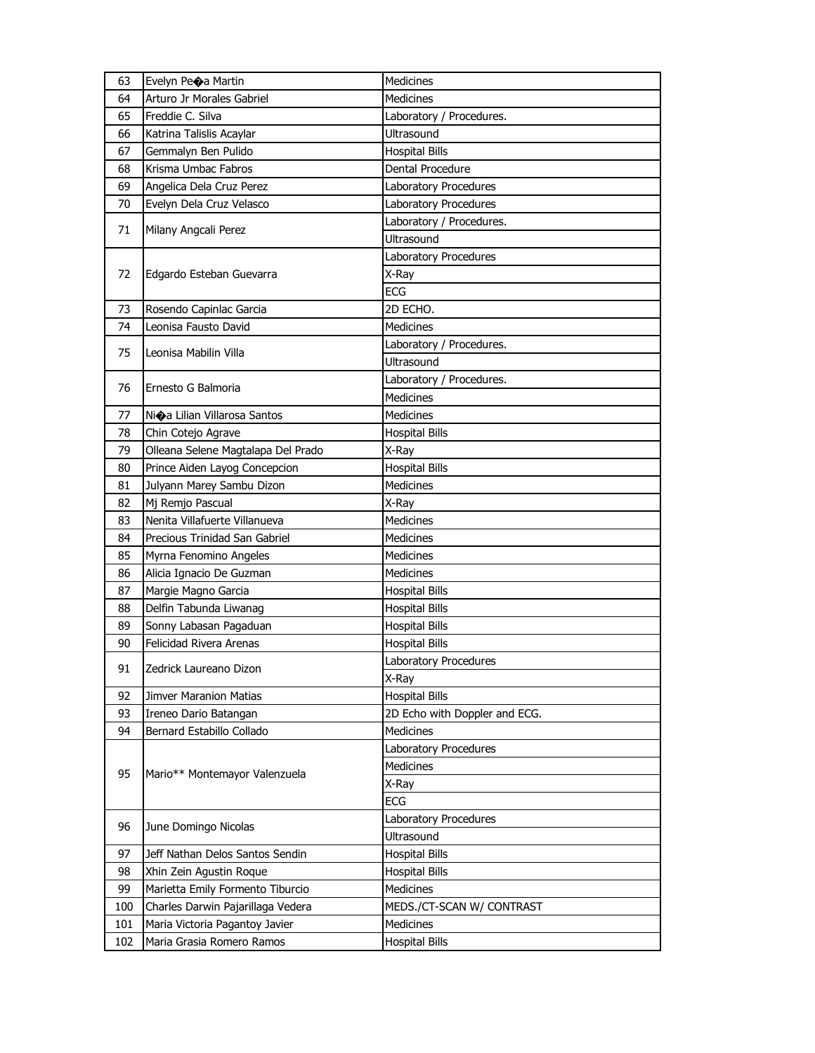| 63  | Evelyn Peoa Martin                 | Medicines                     |
|-----|------------------------------------|-------------------------------|
| 64  | Arturo Jr Morales Gabriel          | <b>Medicines</b>              |
| 65  | Freddie C. Silva                   | Laboratory / Procedures.      |
| 66  | Katrina Talislis Acaylar           | <b>Ultrasound</b>             |
| 67  | Gemmalyn Ben Pulido                | <b>Hospital Bills</b>         |
| 68  | Krisma Umbac Fabros                | Dental Procedure              |
| 69  | Angelica Dela Cruz Perez           | Laboratory Procedures         |
| 70  | Evelyn Dela Cruz Velasco           | Laboratory Procedures         |
| 71  | Milany Angcali Perez               | Laboratory / Procedures.      |
|     |                                    | Ultrasound                    |
|     |                                    | Laboratory Procedures         |
| 72  | Edgardo Esteban Guevarra           | X-Ray                         |
|     |                                    | <b>ECG</b>                    |
| 73  | Rosendo Capinlac Garcia            | 2D ECHO.                      |
| 74  | Leonisa Fausto David               | <b>Medicines</b>              |
| 75  | Leonisa Mabilin Villa              | Laboratory / Procedures.      |
|     |                                    | Ultrasound                    |
| 76  | Ernesto G Balmoria                 | Laboratory / Procedures.      |
|     |                                    | <b>Medicines</b>              |
| 77  | Nioa Lilian Villarosa Santos       | <b>Medicines</b>              |
| 78  | Chin Cotejo Agrave                 | <b>Hospital Bills</b>         |
| 79  | Olleana Selene Magtalapa Del Prado | X-Ray                         |
| 80  | Prince Aiden Layog Concepcion      | <b>Hospital Bills</b>         |
| 81  | Julyann Marey Sambu Dizon          | <b>Medicines</b>              |
| 82  | Mj Remjo Pascual                   | X-Ray                         |
| 83  | Nenita Villafuerte Villanueva      | Medicines                     |
| 84  | Precious Trinidad San Gabriel      | <b>Medicines</b>              |
| 85  | Myrna Fenomino Angeles             | <b>Medicines</b>              |
| 86  | Alicia Ignacio De Guzman           | Medicines                     |
| 87  | Margie Magno Garcia                | <b>Hospital Bills</b>         |
| 88  | Delfin Tabunda Liwanag             | <b>Hospital Bills</b>         |
| 89  | Sonny Labasan Pagaduan             | <b>Hospital Bills</b>         |
| 90  | Felicidad Rivera Arenas            | <b>Hospital Bills</b>         |
| 91  | Zedrick Laureano Dizon             | Laboratory Procedures         |
|     |                                    | X-Ray                         |
| 92  | <b>Jimver Maranion Matias</b>      | <b>Hospital Bills</b>         |
| 93  | Ireneo Dario Batangan              | 2D Echo with Doppler and ECG. |
| 94  | Bernard Estabillo Collado          | Medicines                     |
|     |                                    | Laboratory Procedures         |
| 95  | Mario** Montemayor Valenzuela      | Medicines                     |
|     |                                    | X-Ray                         |
|     |                                    | ECG                           |
| 96  | June Domingo Nicolas               | Laboratory Procedures         |
|     |                                    | Ultrasound                    |
| 97  | Jeff Nathan Delos Santos Sendin    | <b>Hospital Bills</b>         |
| 98  | Xhin Zein Agustin Roque            | <b>Hospital Bills</b>         |
| 99  | Marietta Emily Formento Tiburcio   | Medicines                     |
| 100 | Charles Darwin Pajarillaga Vedera  | MEDS./CT-SCAN W/ CONTRAST     |
| 101 | Maria Victoria Pagantoy Javier     | <b>Medicines</b>              |
| 102 | Maria Grasia Romero Ramos          | <b>Hospital Bills</b>         |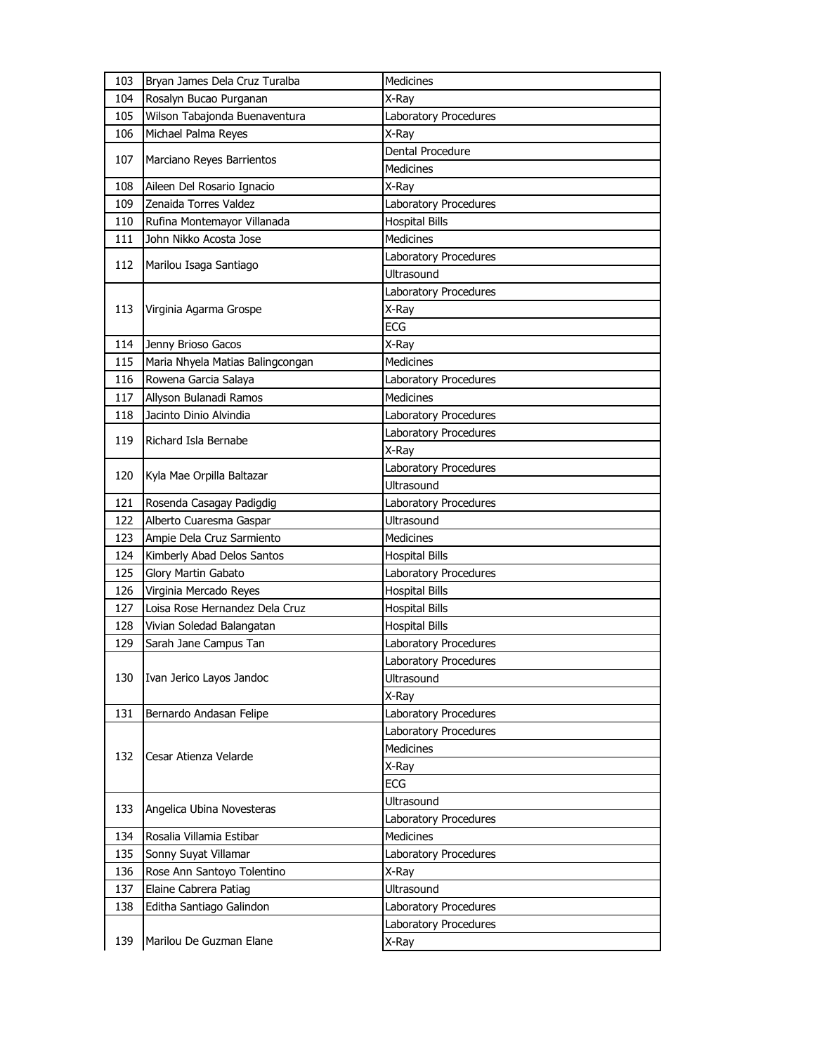| 103 | Bryan James Dela Cruz Turalba    | <b>Medicines</b>      |
|-----|----------------------------------|-----------------------|
| 104 | Rosalyn Bucao Purganan           | X-Ray                 |
| 105 | Wilson Tabajonda Buenaventura    | Laboratory Procedures |
| 106 | Michael Palma Reyes              | X-Ray                 |
| 107 | Marciano Reyes Barrientos        | Dental Procedure      |
|     |                                  | Medicines             |
| 108 | Aileen Del Rosario Ignacio       | X-Ray                 |
| 109 | Zenaida Torres Valdez            | Laboratory Procedures |
| 110 | Rufina Montemayor Villanada      | <b>Hospital Bills</b> |
| 111 | John Nikko Acosta Jose           | <b>Medicines</b>      |
| 112 | Marilou Isaga Santiago           | Laboratory Procedures |
|     |                                  | <b>Ultrasound</b>     |
|     |                                  | Laboratory Procedures |
| 113 | Virginia Agarma Grospe           | X-Ray                 |
|     |                                  | <b>ECG</b>            |
| 114 | Jenny Brioso Gacos               | X-Ray                 |
| 115 | Maria Nhyela Matias Balingcongan | Medicines             |
| 116 | Rowena Garcia Salaya             | Laboratory Procedures |
| 117 | Allyson Bulanadi Ramos           | <b>Medicines</b>      |
| 118 | Jacinto Dinio Alvindia           | Laboratory Procedures |
| 119 | Richard Isla Bernabe             | Laboratory Procedures |
|     |                                  | X-Ray                 |
| 120 | Kyla Mae Orpilla Baltazar        | Laboratory Procedures |
|     |                                  | <b>Ultrasound</b>     |
| 121 | Rosenda Casagay Padigdig         | Laboratory Procedures |
| 122 | Alberto Cuaresma Gaspar          | <b>Ultrasound</b>     |
| 123 | Ampie Dela Cruz Sarmiento        | Medicines             |
| 124 | Kimberly Abad Delos Santos       | <b>Hospital Bills</b> |
| 125 | Glory Martin Gabato              | Laboratory Procedures |
| 126 | Virginia Mercado Reyes           | <b>Hospital Bills</b> |
| 127 | Loisa Rose Hernandez Dela Cruz   | <b>Hospital Bills</b> |
| 128 | Vivian Soledad Balangatan        | <b>Hospital Bills</b> |
| 129 | Sarah Jane Campus Tan            | Laboratory Procedures |
|     |                                  | Laboratory Procedures |
| 130 | Ivan Jerico Layos Jandoc         | Ultrasound            |
|     |                                  | X-Ray                 |
| 131 | Bernardo Andasan Felipe          | Laboratory Procedures |
|     |                                  | Laboratory Procedures |
| 132 | Cesar Atienza Velarde            | <b>Medicines</b>      |
|     |                                  | X-Ray                 |
|     |                                  | <b>ECG</b>            |
| 133 | Angelica Ubina Novesteras        | Ultrasound            |
|     |                                  | Laboratory Procedures |
| 134 | Rosalia Villamia Estibar         | Medicines             |
| 135 | Sonny Suyat Villamar             | Laboratory Procedures |
| 136 | Rose Ann Santoyo Tolentino       | X-Ray                 |
| 137 | Elaine Cabrera Patiag            | Ultrasound            |
| 138 | Editha Santiago Galindon         | Laboratory Procedures |
|     |                                  | Laboratory Procedures |
| 139 | Marilou De Guzman Elane          | X-Ray                 |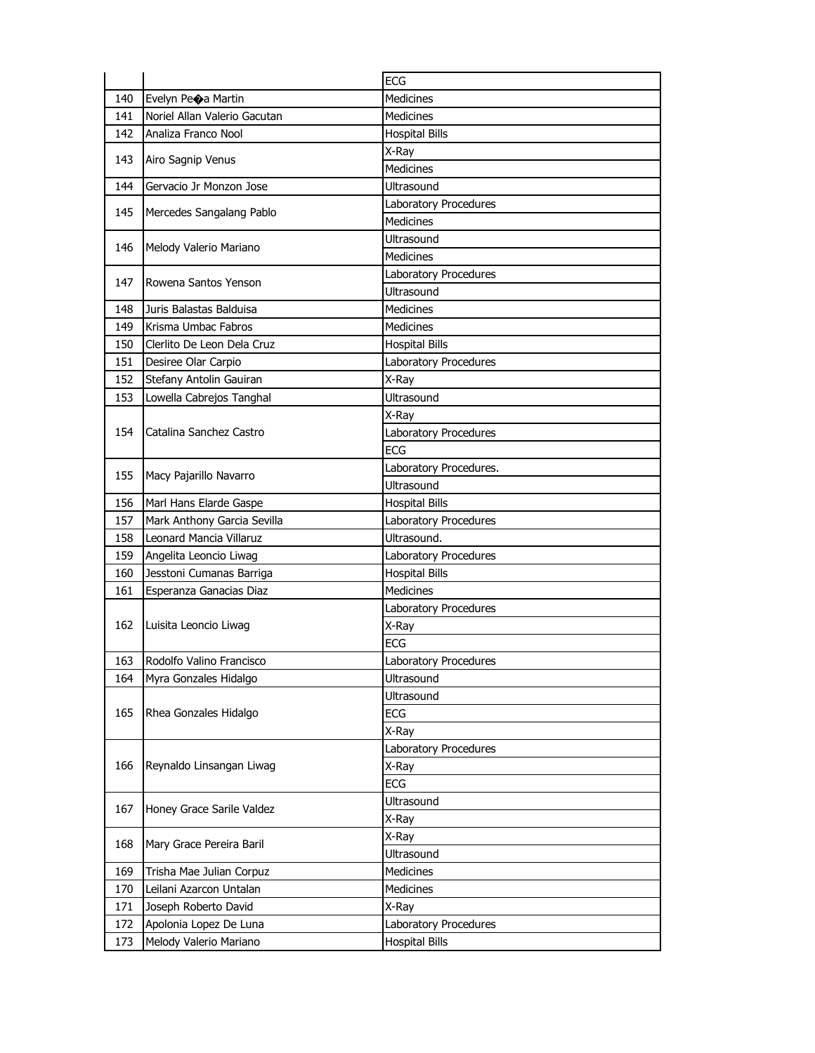|     |                              | ECG                    |
|-----|------------------------------|------------------------|
| 140 | Evelyn Peoa Martin           | <b>Medicines</b>       |
| 141 | Noriel Allan Valerio Gacutan | <b>Medicines</b>       |
| 142 | Analiza Franco Nool          | <b>Hospital Bills</b>  |
|     |                              | X-Ray                  |
| 143 | Airo Sagnip Venus            | <b>Medicines</b>       |
| 144 | Gervacio Jr Monzon Jose      | Ultrasound             |
|     |                              | Laboratory Procedures  |
| 145 | Mercedes Sangalang Pablo     | <b>Medicines</b>       |
|     |                              | Ultrasound             |
| 146 | Melody Valerio Mariano       | <b>Medicines</b>       |
|     |                              | Laboratory Procedures  |
| 147 | Rowena Santos Yenson         | Ultrasound             |
| 148 | Juris Balastas Balduisa      | <b>Medicines</b>       |
| 149 | Krisma Umbac Fabros          | <b>Medicines</b>       |
| 150 | Clerlito De Leon Dela Cruz   | <b>Hospital Bills</b>  |
| 151 | Desiree Olar Carpio          | Laboratory Procedures  |
| 152 | Stefany Antolin Gauiran      | X-Ray                  |
| 153 | Lowella Cabrejos Tanghal     | Ultrasound             |
|     |                              | X-Ray                  |
| 154 | Catalina Sanchez Castro      | Laboratory Procedures  |
|     |                              | ECG                    |
|     |                              | Laboratory Procedures. |
| 155 | Macy Pajarillo Navarro       | Ultrasound             |
| 156 | Marl Hans Elarde Gaspe       | <b>Hospital Bills</b>  |
| 157 | Mark Anthony Garcia Sevilla  | Laboratory Procedures  |
| 158 | Leonard Mancia Villaruz      | Ultrasound.            |
| 159 | Angelita Leoncio Liwag       | Laboratory Procedures  |
| 160 | Jesstoni Cumanas Barriga     | <b>Hospital Bills</b>  |
| 161 | Esperanza Ganacias Diaz      | <b>Medicines</b>       |
|     |                              | Laboratory Procedures  |
| 162 | Luisita Leoncio Liwag        | X-Ray                  |
|     |                              | <b>ECG</b>             |
| 163 | Rodolfo Valino Francisco     | Laboratory Procedures  |
| 164 |                              |                        |
|     | Myra Gonzales Hidalgo        | Ultrasound             |
|     |                              | Ultrasound             |
| 165 | Rhea Gonzales Hidalgo        | ECG                    |
|     |                              | X-Ray                  |
|     |                              | Laboratory Procedures  |
| 166 | Reynaldo Linsangan Liwag     | X-Ray                  |
|     |                              | <b>ECG</b>             |
|     |                              | Ultrasound             |
| 167 | Honey Grace Sarile Valdez    | X-Ray                  |
|     |                              | X-Ray                  |
| 168 | Mary Grace Pereira Baril     | Ultrasound             |
| 169 | Trisha Mae Julian Corpuz     | <b>Medicines</b>       |
| 170 | Leilani Azarcon Untalan      | Medicines              |
| 171 | Joseph Roberto David         | X-Ray                  |
| 172 | Apolonia Lopez De Luna       | Laboratory Procedures  |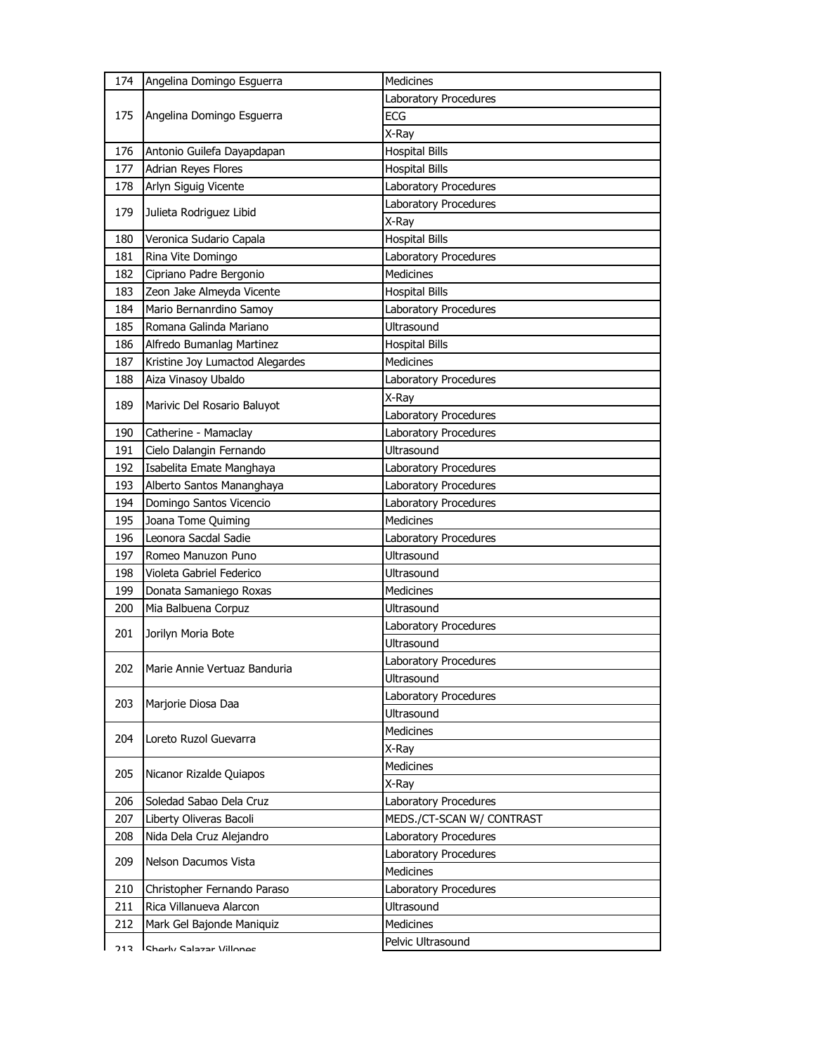| 174  | Angelina Domingo Esguerra        | Medicines                 |
|------|----------------------------------|---------------------------|
| 175  |                                  | Laboratory Procedures     |
|      | Angelina Domingo Esguerra        | <b>ECG</b>                |
|      |                                  | X-Ray                     |
| 176  | Antonio Guilefa Dayapdapan       | <b>Hospital Bills</b>     |
| 177  | Adrian Reyes Flores              | <b>Hospital Bills</b>     |
| 178  | Arlyn Siguig Vicente             | Laboratory Procedures     |
| 179  |                                  | Laboratory Procedures     |
|      | Julieta Rodriguez Libid          | X-Ray                     |
| 180  | Veronica Sudario Capala          | <b>Hospital Bills</b>     |
| 181  | Rina Vite Domingo                | Laboratory Procedures     |
| 182  | Cipriano Padre Bergonio          | Medicines                 |
| 183  | Zeon Jake Almeyda Vicente        | <b>Hospital Bills</b>     |
| 184  | Mario Bernanrdino Samoy          | Laboratory Procedures     |
| 185  | Romana Galinda Mariano           | <b>Ultrasound</b>         |
| 186  | Alfredo Bumanlag Martinez        | <b>Hospital Bills</b>     |
| 187  | Kristine Joy Lumactod Alegardes  | <b>Medicines</b>          |
| 188  | Aiza Vinasoy Ubaldo              | Laboratory Procedures     |
| 189  | Marivic Del Rosario Baluyot      | X-Ray                     |
|      |                                  | Laboratory Procedures     |
| 190  | Catherine - Mamaclay             | Laboratory Procedures     |
| 191  | Cielo Dalangin Fernando          | Ultrasound                |
| 192  | Isabelita Emate Manghaya         | Laboratory Procedures     |
| 193  | Alberto Santos Mananghaya        | Laboratory Procedures     |
| 194  | Domingo Santos Vicencio          | Laboratory Procedures     |
| 195  | Joana Tome Quiming               | Medicines                 |
| 196  | Leonora Sacdal Sadie             | Laboratory Procedures     |
| 197  | Romeo Manuzon Puno               | Ultrasound                |
| 198  | Violeta Gabriel Federico         | <b>Ultrasound</b>         |
| 199  | Donata Samaniego Roxas           | <b>Medicines</b>          |
| 200  | Mia Balbuena Corpuz              | Ultrasound                |
| 201  | Jorilyn Moria Bote               | Laboratory Procedures     |
|      |                                  | Ultrasound                |
|      | 202 Marie Annie Vertuaz Banduria | Laboratory Procedures     |
|      |                                  | Ultrasound                |
| 203  | Marjorie Diosa Daa               | Laboratory Procedures     |
|      |                                  | Ultrasound                |
| 204  | Loreto Ruzol Guevarra            | <b>Medicines</b>          |
|      |                                  | X-Ray                     |
| 205  | Nicanor Rizalde Quiapos          | Medicines                 |
|      |                                  | X-Ray                     |
| 206  | Soledad Sabao Dela Cruz          | Laboratory Procedures     |
| 207  | Liberty Oliveras Bacoli          | MEDS./CT-SCAN W/ CONTRAST |
| 208  | Nida Dela Cruz Alejandro         | Laboratory Procedures     |
| 209  | Nelson Dacumos Vista             | Laboratory Procedures     |
|      |                                  | Medicines                 |
| 210  | Christopher Fernando Paraso      | Laboratory Procedures     |
| 211  | Rica Villanueva Alarcon          | Ultrasound                |
| 212  | Mark Gel Bajonde Maniquiz        | Medicines                 |
| 713. | Charly Salazar Villonge          | Pelvic Ultrasound         |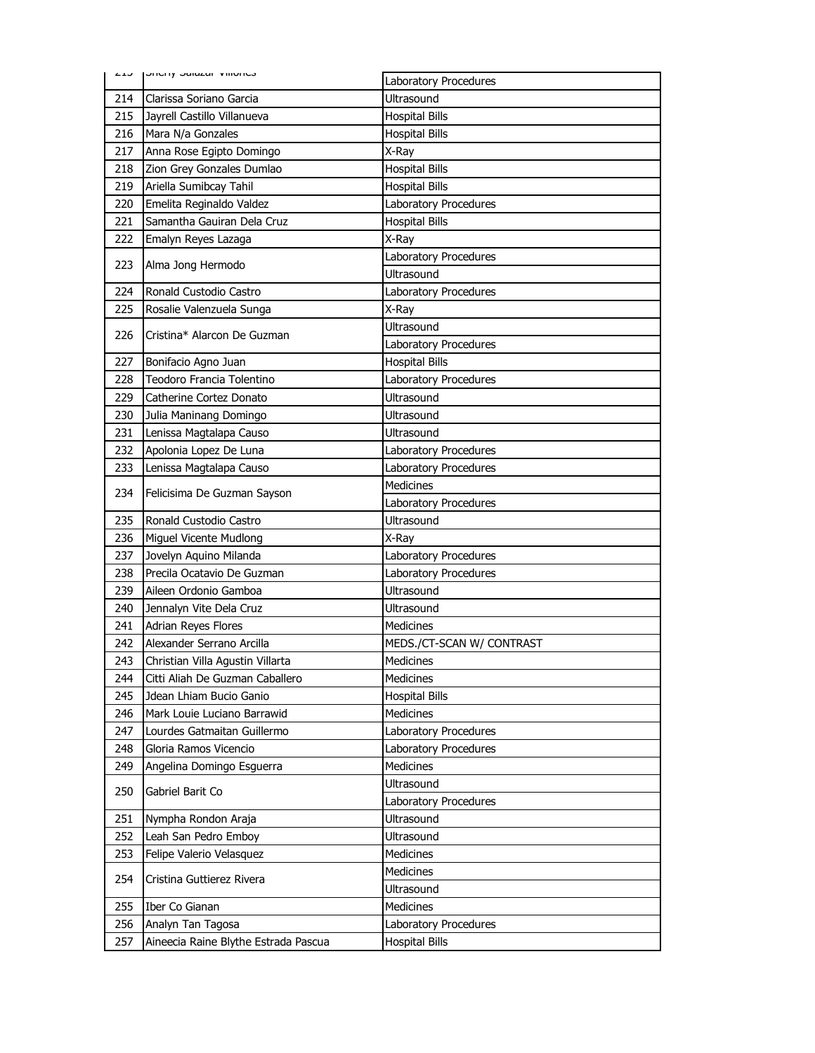|     | כבווטוווע וD ששמות הוכן כבע      | Laboratory Procedures               |
|-----|----------------------------------|-------------------------------------|
| 214 | Clarissa Soriano Garcia          | Ultrasound                          |
| 215 | Jayrell Castillo Villanueva      | <b>Hospital Bills</b>               |
| 216 | Mara N/a Gonzales                | <b>Hospital Bills</b>               |
| 217 | Anna Rose Egipto Domingo         | X-Ray                               |
| 218 | Zion Grey Gonzales Dumlao        | <b>Hospital Bills</b>               |
| 219 | Ariella Sumibcay Tahil           | <b>Hospital Bills</b>               |
| 220 | Emelita Reginaldo Valdez         | Laboratory Procedures               |
| 221 | Samantha Gauiran Dela Cruz       | <b>Hospital Bills</b>               |
| 222 | Emalyn Reyes Lazaga              | X-Ray                               |
| 223 | Alma Jong Hermodo                | Laboratory Procedures               |
|     |                                  | Ultrasound                          |
| 224 | Ronald Custodio Castro           | Laboratory Procedures               |
| 225 | Rosalie Valenzuela Sunga         | X-Ray                               |
| 226 | Cristina* Alarcon De Guzman      | <b>Ultrasound</b>                   |
|     |                                  | Laboratory Procedures               |
| 227 | Bonifacio Agno Juan              | <b>Hospital Bills</b>               |
| 228 | Teodoro Francia Tolentino        | Laboratory Procedures               |
| 229 | Catherine Cortez Donato          | Ultrasound                          |
| 230 | Julia Maninang Domingo           | Ultrasound                          |
| 231 | Lenissa Magtalapa Causo          | Ultrasound                          |
| 232 | Apolonia Lopez De Luna           | Laboratory Procedures               |
| 233 | Lenissa Magtalapa Causo          | Laboratory Procedures               |
| 234 | Felicisima De Guzman Sayson      | <b>Medicines</b>                    |
|     |                                  | Laboratory Procedures               |
| 235 | Ronald Custodio Castro           | <b>Ultrasound</b>                   |
| 236 | Miguel Vicente Mudlong           | X-Ray                               |
|     |                                  |                                     |
| 237 | Jovelyn Aquino Milanda           | Laboratory Procedures               |
| 238 | Precila Ocatavio De Guzman       | Laboratory Procedures               |
| 239 | Aileen Ordonio Gamboa            | <b>Ultrasound</b>                   |
| 240 | Jennalyn Vite Dela Cruz          | Ultrasound                          |
| 241 | Adrian Reyes Flores              | Medicines                           |
| 242 | Alexander Serrano Arcilla        | MEDS./CT-SCAN W/ CONTRAST           |
| 243 | Christian Villa Agustin Villarta | Medicines                           |
| 244 | Citti Aliah De Guzman Caballero  | Medicines                           |
| 245 | Jdean Lhiam Bucio Ganio          | <b>Hospital Bills</b>               |
| 246 | Mark Louie Luciano Barrawid      | Medicines                           |
| 247 | Lourdes Gatmaitan Guillermo      | Laboratory Procedures               |
| 248 | Gloria Ramos Vicencio            | Laboratory Procedures               |
| 249 | Angelina Domingo Esguerra        | Medicines                           |
| 250 | Gabriel Barit Co                 | Ultrasound                          |
| 251 | Nympha Rondon Araja              | Laboratory Procedures<br>Ultrasound |
| 252 | Leah San Pedro Emboy             | Ultrasound                          |
| 253 | Felipe Valerio Velasquez         | Medicines                           |
|     |                                  | <b>Medicines</b>                    |
| 254 | Cristina Guttierez Rivera        | Ultrasound                          |
| 255 | Iber Co Gianan                   | Medicines                           |
| 256 | Analyn Tan Tagosa                | Laboratory Procedures               |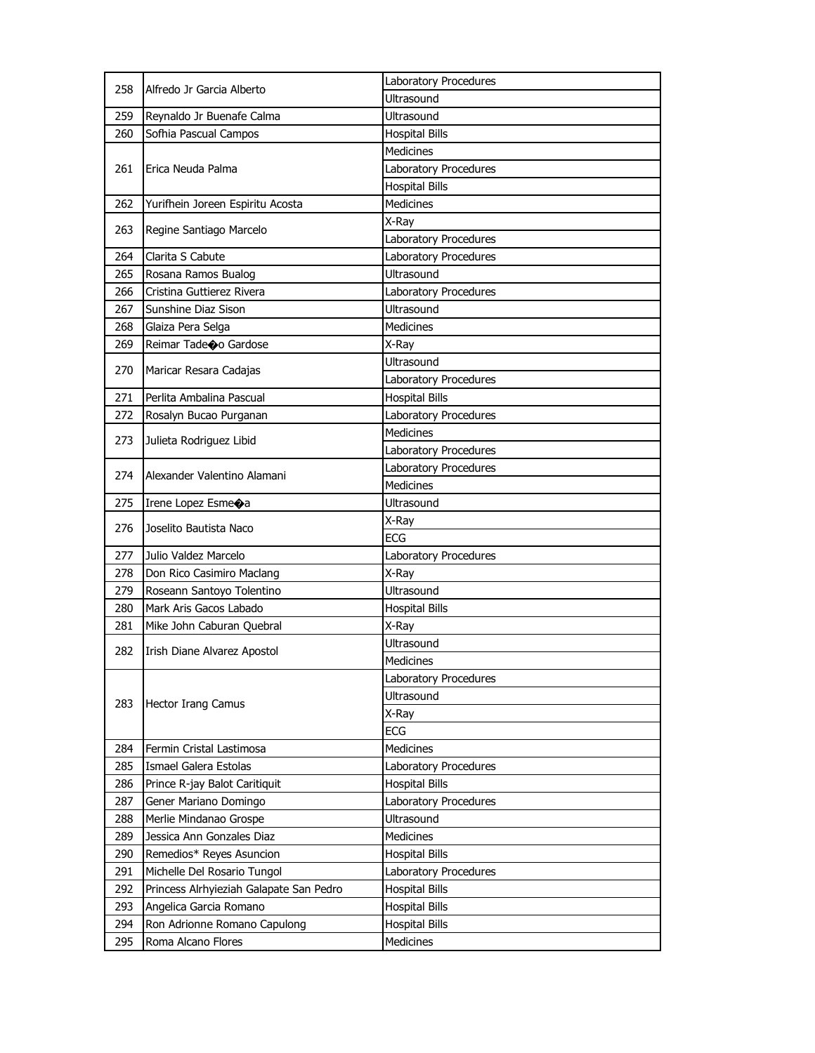| 258 | Alfredo Jr Garcia Alberto               | Laboratory Procedures |
|-----|-----------------------------------------|-----------------------|
|     |                                         | Ultrasound            |
| 259 | Reynaldo Jr Buenafe Calma               | Ultrasound            |
| 260 | Sofhia Pascual Campos                   | <b>Hospital Bills</b> |
| 261 |                                         | <b>Medicines</b>      |
|     | Erica Neuda Palma                       | Laboratory Procedures |
|     |                                         | <b>Hospital Bills</b> |
| 262 | Yurifhein Joreen Espiritu Acosta        | Medicines             |
| 263 | Regine Santiago Marcelo                 | X-Ray                 |
|     |                                         | Laboratory Procedures |
| 264 | Clarita S Cabute                        | Laboratory Procedures |
| 265 | Rosana Ramos Bualog                     | Ultrasound            |
| 266 | Cristina Guttierez Rivera               | Laboratory Procedures |
| 267 | Sunshine Diaz Sison                     | <b>Ultrasound</b>     |
| 268 | Glaiza Pera Selga                       | Medicines             |
| 269 | Reimar Tadeoo Gardose                   | X-Ray                 |
|     |                                         | <b>Ultrasound</b>     |
| 270 | Maricar Resara Cadajas                  | Laboratory Procedures |
| 271 | Perlita Ambalina Pascual                | <b>Hospital Bills</b> |
| 272 | Rosalyn Bucao Purganan                  | Laboratory Procedures |
|     |                                         | <b>Medicines</b>      |
| 273 | Julieta Rodriguez Libid                 | Laboratory Procedures |
|     |                                         | Laboratory Procedures |
| 274 | Alexander Valentino Alamani             | <b>Medicines</b>      |
| 275 | Irene Lopez Esme $\diamondsuit$ a       | Ultrasound            |
| 276 |                                         | X-Ray                 |
|     | Joselito Bautista Naco                  | <b>ECG</b>            |
| 277 | Julio Valdez Marcelo                    | Laboratory Procedures |
| 278 | Don Rico Casimiro Maclang               | X-Ray                 |
| 279 | Roseann Santoyo Tolentino               | <b>Ultrasound</b>     |
| 280 | Mark Aris Gacos Labado                  | <b>Hospital Bills</b> |
| 281 | Mike John Caburan Quebral               | X-Ray                 |
| 282 |                                         | Ultrasound            |
|     | Irish Diane Alvarez Apostol             | Medicines             |
|     |                                         | Laboratory Procedures |
|     |                                         | Ultrasound            |
| 283 | <b>Hector Irang Camus</b>               | X-Ray                 |
|     |                                         | <b>ECG</b>            |
| 284 | Fermin Cristal Lastimosa                | <b>Medicines</b>      |
| 285 | Ismael Galera Estolas                   | Laboratory Procedures |
| 286 | Prince R-jay Balot Caritiquit           | <b>Hospital Bills</b> |
| 287 | Gener Mariano Domingo                   | Laboratory Procedures |
| 288 | Merlie Mindanao Grospe                  | <b>Ultrasound</b>     |
| 289 | Jessica Ann Gonzales Diaz               | <b>Medicines</b>      |
| 290 | Remedios* Reyes Asuncion                | <b>Hospital Bills</b> |
| 291 | Michelle Del Rosario Tungol             | Laboratory Procedures |
| 292 | Princess Alrhyieziah Galapate San Pedro | <b>Hospital Bills</b> |
| 293 | Angelica Garcia Romano                  | <b>Hospital Bills</b> |
| 294 | Ron Adrionne Romano Capulong            | <b>Hospital Bills</b> |
| 295 | Roma Alcano Flores                      | <b>Medicines</b>      |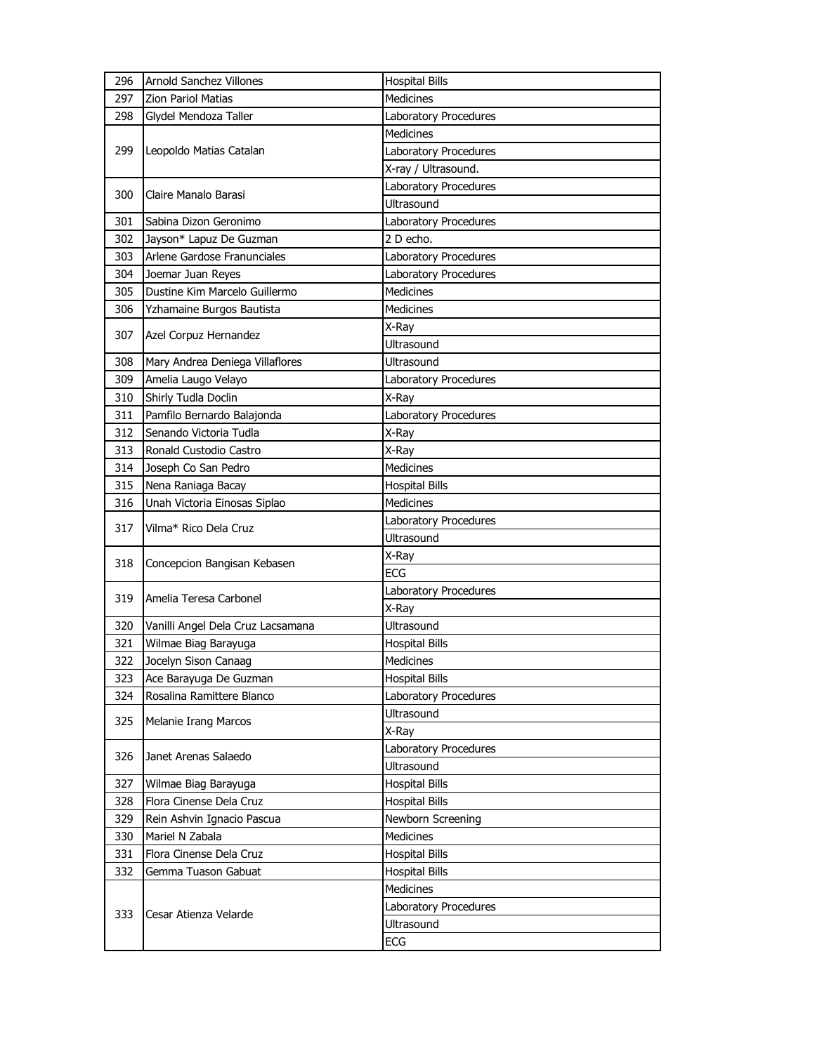| 296 | <b>Arnold Sanchez Villones</b>    | <b>Hospital Bills</b> |
|-----|-----------------------------------|-----------------------|
| 297 | <b>Zion Pariol Matias</b>         | Medicines             |
| 298 | Glydel Mendoza Taller             | Laboratory Procedures |
| 299 |                                   | <b>Medicines</b>      |
|     | Leopoldo Matias Catalan           | Laboratory Procedures |
|     |                                   | X-ray / Ultrasound.   |
|     |                                   | Laboratory Procedures |
| 300 | Claire Manalo Barasi              | Ultrasound            |
| 301 | Sabina Dizon Geronimo             | Laboratory Procedures |
| 302 | Jayson* Lapuz De Guzman           | 2 D echo.             |
| 303 | Arlene Gardose Franunciales       | Laboratory Procedures |
| 304 | Joemar Juan Reyes                 | Laboratory Procedures |
| 305 | Dustine Kim Marcelo Guillermo     | <b>Medicines</b>      |
| 306 | Yzhamaine Burgos Bautista         | <b>Medicines</b>      |
| 307 | Azel Corpuz Hernandez             | X-Ray                 |
|     |                                   | <b>Ultrasound</b>     |
| 308 | Mary Andrea Deniega Villaflores   | Ultrasound            |
| 309 | Amelia Laugo Velayo               | Laboratory Procedures |
| 310 | Shirly Tudla Doclin               | X-Ray                 |
| 311 | Pamfilo Bernardo Balajonda        | Laboratory Procedures |
| 312 | Senando Victoria Tudla            | X-Ray                 |
| 313 | Ronald Custodio Castro            | X-Ray                 |
| 314 | Joseph Co San Pedro               | Medicines             |
| 315 | Nena Raniaga Bacay                | <b>Hospital Bills</b> |
| 316 | Unah Victoria Einosas Siplao      | <b>Medicines</b>      |
| 317 | Vilma* Rico Dela Cruz             | Laboratory Procedures |
|     |                                   | Ultrasound            |
| 318 | Concepcion Bangisan Kebasen       | X-Ray                 |
|     |                                   | <b>ECG</b>            |
| 319 | Amelia Teresa Carbonel            | Laboratory Procedures |
|     |                                   | X-Ray                 |
| 320 | Vanilli Angel Dela Cruz Lacsamana | Ultrasound            |
| 321 | Wilmae Biag Barayuga              | <b>Hospital Bills</b> |
| 322 | Jocelyn Sison Canaag              | Medicines             |
| 323 | Ace Barayuga De Guzman            | <b>Hospital Bills</b> |
| 324 | Rosalina Ramittere Blanco         | Laboratory Procedures |
| 325 | <b>Melanie Irang Marcos</b>       | Ultrasound            |
|     |                                   | X-Ray                 |
| 326 | Janet Arenas Salaedo              | Laboratory Procedures |
|     |                                   | Ultrasound            |
| 327 | Wilmae Biag Barayuga              | <b>Hospital Bills</b> |
| 328 | Flora Cinense Dela Cruz           | <b>Hospital Bills</b> |
| 329 | Rein Ashvin Ignacio Pascua        | Newborn Screening     |
| 330 | Mariel N Zabala                   | Medicines             |
| 331 | Flora Cinense Dela Cruz           | <b>Hospital Bills</b> |
| 332 | Gemma Tuason Gabuat               | <b>Hospital Bills</b> |
|     |                                   | Medicines             |
| 333 | Cesar Atienza Velarde             | Laboratory Procedures |
|     |                                   | Ultrasound            |
|     |                                   | ECG                   |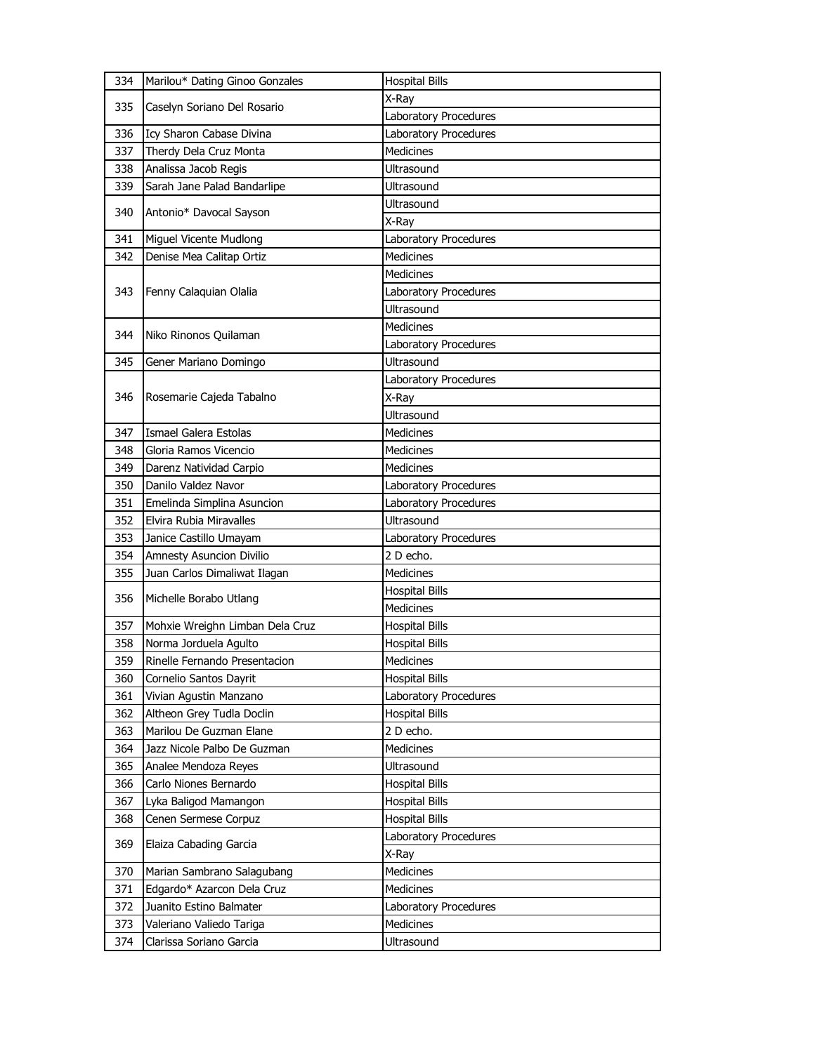| 334 | Marilou* Dating Ginoo Gonzales  | <b>Hospital Bills</b> |
|-----|---------------------------------|-----------------------|
| 335 |                                 | X-Ray                 |
|     | Caselyn Soriano Del Rosario     | Laboratory Procedures |
| 336 | Icy Sharon Cabase Divina        | Laboratory Procedures |
| 337 | Therdy Dela Cruz Monta          | <b>Medicines</b>      |
| 338 | Analissa Jacob Regis            | Ultrasound            |
| 339 | Sarah Jane Palad Bandarlipe     | Ultrasound            |
|     |                                 | Ultrasound            |
| 340 | Antonio* Davocal Sayson         | X-Ray                 |
| 341 | Miguel Vicente Mudlong          | Laboratory Procedures |
| 342 | Denise Mea Calitap Ortiz        | <b>Medicines</b>      |
|     |                                 | <b>Medicines</b>      |
| 343 | Fenny Calaquian Olalia          | Laboratory Procedures |
|     |                                 | Ultrasound            |
|     |                                 | <b>Medicines</b>      |
| 344 | Niko Rinonos Quilaman           | Laboratory Procedures |
| 345 | Gener Mariano Domingo           | Ultrasound            |
|     |                                 | Laboratory Procedures |
| 346 | Rosemarie Cajeda Tabalno        | X-Ray                 |
|     |                                 | Ultrasound            |
| 347 | Ismael Galera Estolas           | Medicines             |
| 348 | Gloria Ramos Vicencio           | <b>Medicines</b>      |
| 349 | Darenz Natividad Carpio         | <b>Medicines</b>      |
| 350 | Danilo Valdez Navor             | Laboratory Procedures |
| 351 | Emelinda Simplina Asuncion      | Laboratory Procedures |
|     |                                 | Ultrasound            |
| 352 | Elvira Rubia Miravalles         |                       |
| 353 | Janice Castillo Umayam          | Laboratory Procedures |
| 354 | Amnesty Asuncion Divilio        | 2 D echo.             |
| 355 | Juan Carlos Dimaliwat Ilagan    | <b>Medicines</b>      |
|     |                                 | <b>Hospital Bills</b> |
| 356 | Michelle Borabo Utlang          | Medicines             |
| 357 | Mohxie Wreighn Limban Dela Cruz | <b>Hospital Bills</b> |
| 358 | Norma Jorduela Agulto           | <b>Hospital Bills</b> |
| 359 | Rinelle Fernando Presentacion   | <b>Medicines</b>      |
| 360 | Cornelio Santos Dayrit          | <b>Hospital Bills</b> |
| 361 | Vivian Agustin Manzano          | Laboratory Procedures |
| 362 | Altheon Grey Tudla Doclin       | <b>Hospital Bills</b> |
| 363 | Marilou De Guzman Elane         | 2 D echo.             |
| 364 | Jazz Nicole Palbo De Guzman     | <b>Medicines</b>      |
| 365 | Analee Mendoza Reyes            | Ultrasound            |
| 366 | Carlo Niones Bernardo           | <b>Hospital Bills</b> |
| 367 | Lyka Baligod Mamangon           | <b>Hospital Bills</b> |
| 368 | Cenen Sermese Corpuz            | <b>Hospital Bills</b> |
|     |                                 | Laboratory Procedures |
| 369 | Elaiza Cabading Garcia          | X-Ray                 |
| 370 | Marian Sambrano Salagubang      | Medicines             |
| 371 | Edgardo* Azarcon Dela Cruz      | <b>Medicines</b>      |
| 372 | Juanito Estino Balmater         | Laboratory Procedures |
| 373 | Valeriano Valiedo Tariga        | <b>Medicines</b>      |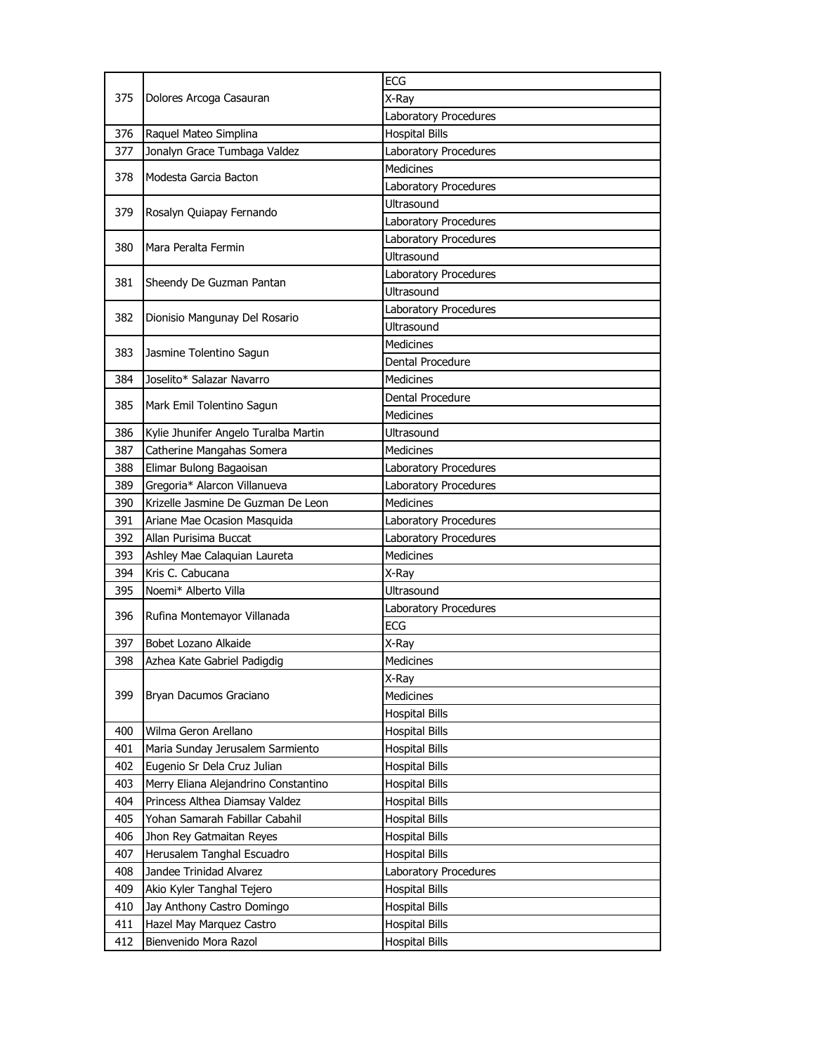| 375 | Dolores Arcoga Casauran              | <b>ECG</b>            |
|-----|--------------------------------------|-----------------------|
|     |                                      | X-Ray                 |
|     |                                      | Laboratory Procedures |
| 376 | Raquel Mateo Simplina                | <b>Hospital Bills</b> |
| 377 | Jonalyn Grace Tumbaga Valdez         | Laboratory Procedures |
| 378 | Modesta Garcia Bacton                | <b>Medicines</b>      |
|     |                                      | Laboratory Procedures |
| 379 |                                      | Ultrasound            |
|     | Rosalyn Quiapay Fernando             | Laboratory Procedures |
| 380 | Mara Peralta Fermin                  | Laboratory Procedures |
|     |                                      | Ultrasound            |
| 381 | Sheendy De Guzman Pantan             | Laboratory Procedures |
|     |                                      | Ultrasound            |
| 382 | Dionisio Mangunay Del Rosario        | Laboratory Procedures |
|     |                                      | <b>Ultrasound</b>     |
| 383 | Jasmine Tolentino Sagun              | <b>Medicines</b>      |
|     |                                      | Dental Procedure      |
| 384 | Joselito* Salazar Navarro            | Medicines             |
| 385 | Mark Emil Tolentino Sagun            | Dental Procedure      |
|     |                                      | <b>Medicines</b>      |
| 386 | Kylie Jhunifer Angelo Turalba Martin | Ultrasound            |
| 387 | Catherine Mangahas Somera            | <b>Medicines</b>      |
| 388 | Elimar Bulong Bagaoisan              | Laboratory Procedures |
| 389 | Gregoria* Alarcon Villanueva         | Laboratory Procedures |
| 390 | Krizelle Jasmine De Guzman De Leon   | <b>Medicines</b>      |
| 391 | Ariane Mae Ocasion Masquida          | Laboratory Procedures |
| 392 | Allan Purisima Buccat                | Laboratory Procedures |
| 393 | Ashley Mae Calaquian Laureta         | <b>Medicines</b>      |
| 394 | Kris C. Cabucana                     | X-Ray                 |
| 395 | Noemi* Alberto Villa                 | Ultrasound            |
| 396 | Rufina Montemayor Villanada          | Laboratory Procedures |
|     |                                      | <b>ECG</b>            |
| 397 | Bobet Lozano Alkaide                 | X-Ray                 |
| 398 | Azhea Kate Gabriel Padigdig          | Medicines             |
|     |                                      | X-Ray                 |
| 399 | Bryan Dacumos Graciano               | Medicines             |
|     |                                      | <b>Hospital Bills</b> |
| 400 | Wilma Geron Arellano                 | <b>Hospital Bills</b> |
| 401 | Maria Sunday Jerusalem Sarmiento     | <b>Hospital Bills</b> |
| 402 | Eugenio Sr Dela Cruz Julian          | <b>Hospital Bills</b> |
| 403 | Merry Eliana Alejandrino Constantino | <b>Hospital Bills</b> |
| 404 | Princess Althea Diamsay Valdez       | <b>Hospital Bills</b> |
| 405 | Yohan Samarah Fabillar Cabahil       | <b>Hospital Bills</b> |
| 406 | Jhon Rey Gatmaitan Reyes             | <b>Hospital Bills</b> |
| 407 | Herusalem Tanghal Escuadro           | <b>Hospital Bills</b> |
| 408 | Jandee Trinidad Alvarez              | Laboratory Procedures |
| 409 | Akio Kyler Tanghal Tejero            | <b>Hospital Bills</b> |
| 410 | Jay Anthony Castro Domingo           | <b>Hospital Bills</b> |
| 411 | Hazel May Marquez Castro             | <b>Hospital Bills</b> |
| 412 | Bienvenido Mora Razol                | <b>Hospital Bills</b> |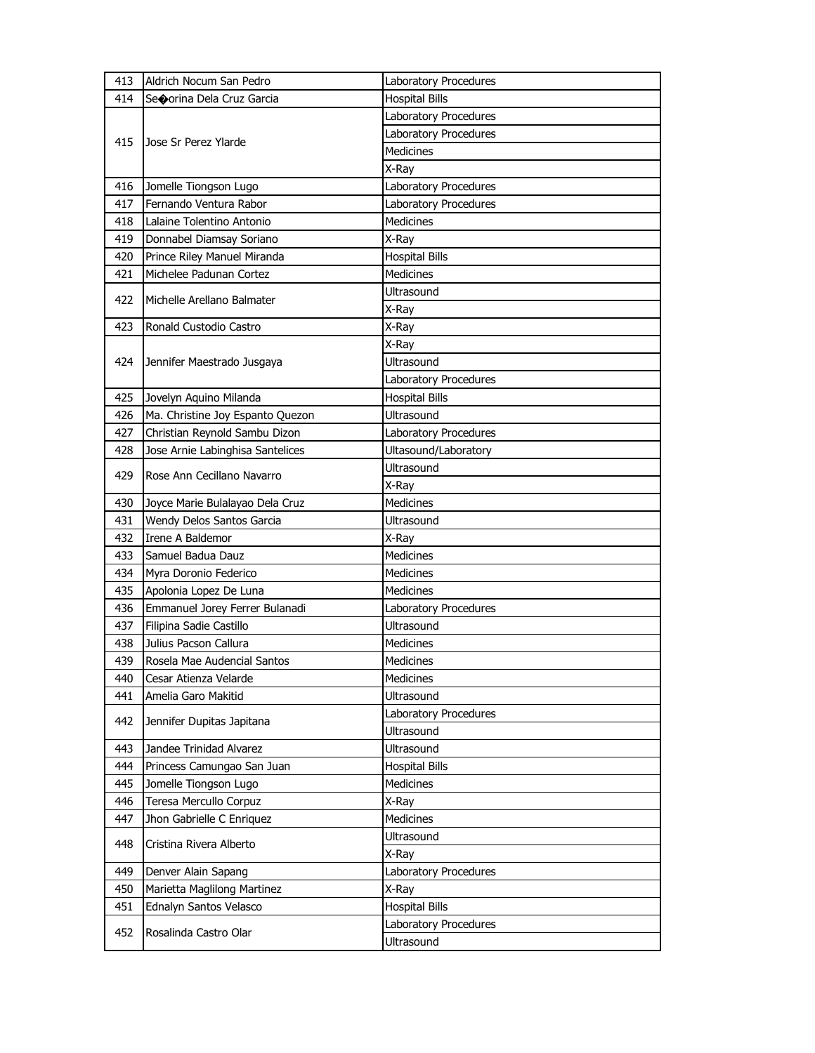| 413 | Aldrich Nocum San Pedro          | Laboratory Procedures |
|-----|----------------------------------|-----------------------|
| 414 | Seoorina Dela Cruz Garcia        | <b>Hospital Bills</b> |
|     |                                  | Laboratory Procedures |
|     | Jose Sr Perez Ylarde             | Laboratory Procedures |
| 415 |                                  | <b>Medicines</b>      |
|     |                                  | X-Ray                 |
| 416 | Jomelle Tiongson Lugo            | Laboratory Procedures |
| 417 | Fernando Ventura Rabor           | Laboratory Procedures |
| 418 | Lalaine Tolentino Antonio        | <b>Medicines</b>      |
| 419 | Donnabel Diamsay Soriano         | X-Ray                 |
| 420 | Prince Riley Manuel Miranda      | <b>Hospital Bills</b> |
| 421 | Michelee Padunan Cortez          | <b>Medicines</b>      |
| 422 | Michelle Arellano Balmater       | Ultrasound            |
|     |                                  | X-Ray                 |
| 423 | Ronald Custodio Castro           | X-Ray                 |
|     |                                  | X-Ray                 |
| 424 | Jennifer Maestrado Jusgaya       | Ultrasound            |
|     |                                  | Laboratory Procedures |
| 425 | Jovelyn Aquino Milanda           | <b>Hospital Bills</b> |
| 426 | Ma. Christine Joy Espanto Quezon | Ultrasound            |
| 427 | Christian Reynold Sambu Dizon    | Laboratory Procedures |
| 428 | Jose Arnie Labinghisa Santelices | Ultasound/Laboratory  |
| 429 | Rose Ann Cecillano Navarro       | Ultrasound            |
|     |                                  | X-Ray                 |
| 430 | Joyce Marie Bulalayao Dela Cruz  | <b>Medicines</b>      |
| 431 | Wendy Delos Santos Garcia        | Ultrasound            |
| 432 | Irene A Baldemor                 | X-Ray                 |
| 433 | Samuel Badua Dauz                | <b>Medicines</b>      |
| 434 | Myra Doronio Federico            | <b>Medicines</b>      |
| 435 | Apolonia Lopez De Luna           | <b>Medicines</b>      |
| 436 | Emmanuel Jorey Ferrer Bulanadi   | Laboratory Procedures |
| 437 | Filipina Sadie Castillo          | <b>Ultrasound</b>     |
| 438 | Julius Pacson Callura            | Medicines             |
| 439 | Rosela Mae Audencial Santos      | Medicines             |
| 440 | Cesar Atienza Velarde            | Medicines             |
| 441 | Amelia Garo Makitid              | Ultrasound            |
| 442 | Jennifer Dupitas Japitana        | Laboratory Procedures |
|     |                                  | Ultrasound            |
| 443 | Jandee Trinidad Alvarez          | Ultrasound            |
| 444 | Princess Camungao San Juan       | <b>Hospital Bills</b> |
| 445 | Jomelle Tiongson Lugo            | Medicines             |
| 446 | Teresa Mercullo Corpuz           | X-Ray                 |
| 447 | Jhon Gabrielle C Enriquez        | Medicines             |
| 448 | Cristina Rivera Alberto          | Ultrasound            |
|     |                                  | X-Ray                 |
| 449 | Denver Alain Sapang              | Laboratory Procedures |
| 450 | Marietta Maglilong Martinez      | X-Ray                 |
| 451 | Ednalyn Santos Velasco           | <b>Hospital Bills</b> |
| 452 | Rosalinda Castro Olar            | Laboratory Procedures |
|     |                                  | Ultrasound            |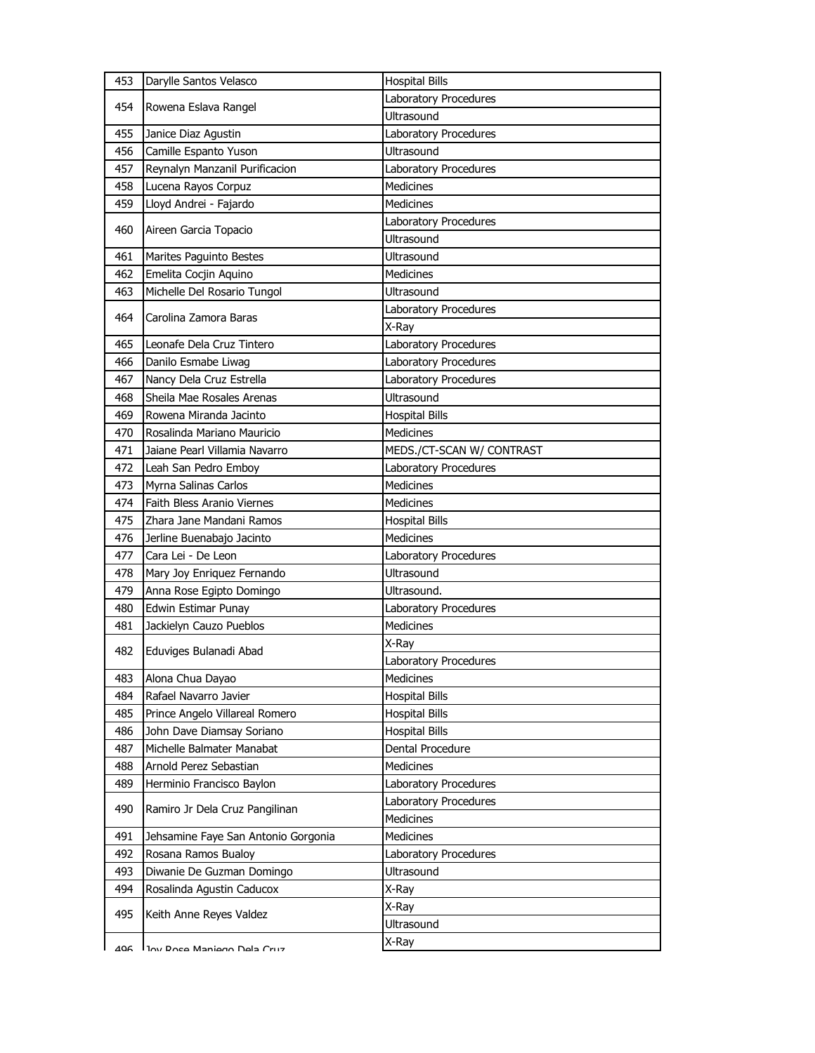| 453 | Darylle Santos Velasco              | <b>Hospital Bills</b>     |
|-----|-------------------------------------|---------------------------|
|     |                                     | Laboratory Procedures     |
| 454 | Rowena Eslava Rangel                | Ultrasound                |
| 455 | Janice Diaz Agustin                 | Laboratory Procedures     |
| 456 | Camille Espanto Yuson               | <b>Ultrasound</b>         |
| 457 | Reynalyn Manzanil Purificacion      | Laboratory Procedures     |
| 458 | Lucena Rayos Corpuz                 | <b>Medicines</b>          |
| 459 | Lloyd Andrei - Fajardo              | <b>Medicines</b>          |
|     |                                     | Laboratory Procedures     |
| 460 | Aireen Garcia Topacio               | Ultrasound                |
| 461 | Marites Paguinto Bestes             | <b>Ultrasound</b>         |
| 462 | Emelita Cocjin Aquino               | <b>Medicines</b>          |
| 463 | Michelle Del Rosario Tungol         | <b>Ultrasound</b>         |
|     |                                     | Laboratory Procedures     |
| 464 | Carolina Zamora Baras               | X-Ray                     |
| 465 | Leonafe Dela Cruz Tintero           | Laboratory Procedures     |
| 466 | Danilo Esmabe Liwag                 | Laboratory Procedures     |
| 467 | Nancy Dela Cruz Estrella            | Laboratory Procedures     |
| 468 | Sheila Mae Rosales Arenas           | Ultrasound                |
| 469 | Rowena Miranda Jacinto              | <b>Hospital Bills</b>     |
| 470 | Rosalinda Mariano Mauricio          | Medicines                 |
| 471 | Jaiane Pearl Villamia Navarro       | MEDS./CT-SCAN W/ CONTRAST |
| 472 | Leah San Pedro Emboy                | Laboratory Procedures     |
| 473 | Myrna Salinas Carlos                | Medicines                 |
| 474 | Faith Bless Aranio Viernes          | Medicines                 |
| 475 | Zhara Jane Mandani Ramos            | <b>Hospital Bills</b>     |
| 476 | Jerline Buenabajo Jacinto           | Medicines                 |
| 477 | Cara Lei - De Leon                  | Laboratory Procedures     |
| 478 | Mary Joy Enriquez Fernando          | Ultrasound                |
| 479 | Anna Rose Egipto Domingo            | Ultrasound.               |
| 480 | Edwin Estimar Punay                 | Laboratory Procedures     |
| 481 | Jackielyn Cauzo Pueblos             | <b>Medicines</b>          |
| 482 | Eduviges Bulanadi Abad              | X-Ray                     |
|     |                                     | Laboratory Procedures     |
| 483 | Alona Chua Dayao                    | Medicines                 |
| 484 | Rafael Navarro Javier               | <b>Hospital Bills</b>     |
| 485 | Prince Angelo Villareal Romero      | <b>Hospital Bills</b>     |
| 486 | John Dave Diamsay Soriano           | <b>Hospital Bills</b>     |
| 487 | Michelle Balmater Manabat           | Dental Procedure          |
| 488 | Arnold Perez Sebastian              | <b>Medicines</b>          |
| 489 | Herminio Francisco Baylon           | Laboratory Procedures     |
| 490 | Ramiro Jr Dela Cruz Pangilinan      | Laboratory Procedures     |
|     |                                     | <b>Medicines</b>          |
| 491 | Jehsamine Faye San Antonio Gorgonia | <b>Medicines</b>          |
| 492 | Rosana Ramos Bualoy                 | Laboratory Procedures     |
| 493 | Diwanie De Guzman Domingo           | Ultrasound                |
| 494 | Rosalinda Agustin Caducox           | X-Ray                     |
| 495 | Keith Anne Reyes Valdez             | X-Ray                     |
|     |                                     | Ultrasound                |
| 406 | Inv Roce Maniero Dela Cruz          | X-Ray                     |
|     |                                     |                           |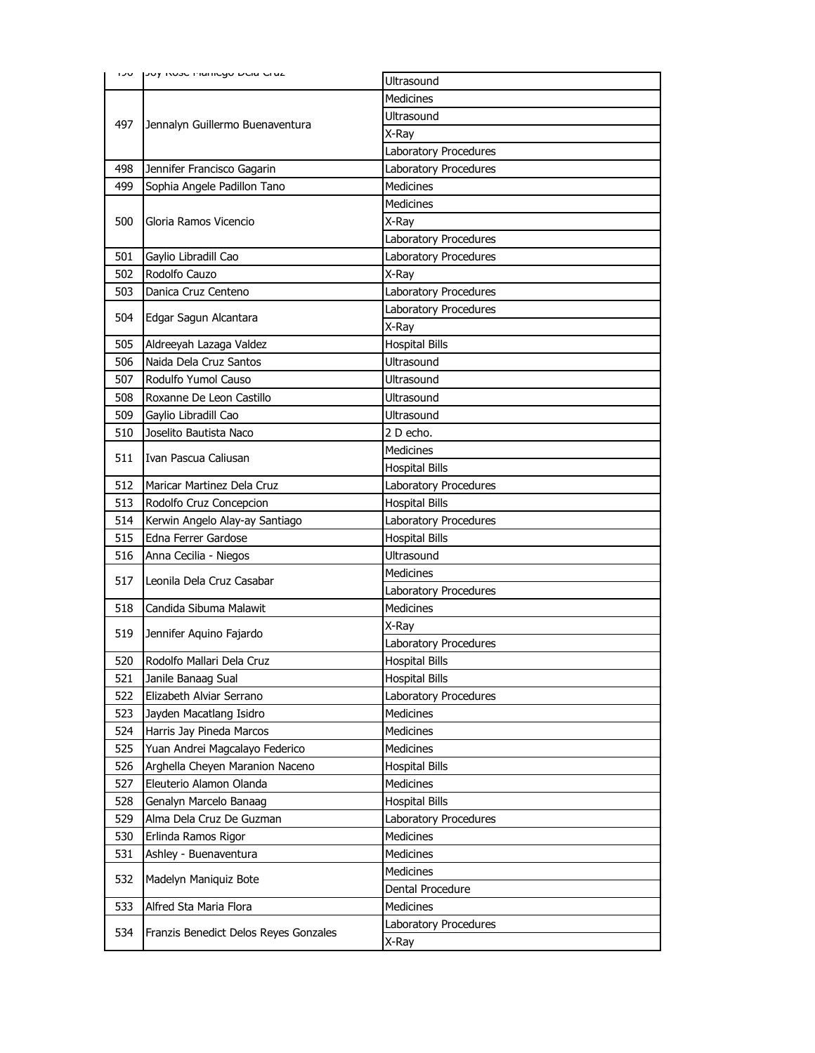|     | שטח נטער וואס וואס וואס איין אינן     | <b>Ultrasound</b>     |
|-----|---------------------------------------|-----------------------|
|     | Jennalyn Guillermo Buenaventura       | <b>Medicines</b>      |
|     |                                       | Ultrasound            |
| 497 |                                       | X-Ray                 |
|     |                                       | Laboratory Procedures |
| 498 | Jennifer Francisco Gagarin            | Laboratory Procedures |
| 499 | Sophia Angele Padillon Tano           | <b>Medicines</b>      |
|     |                                       | <b>Medicines</b>      |
| 500 | Gloria Ramos Vicencio                 | X-Ray                 |
|     |                                       | Laboratory Procedures |
| 501 | Gaylio Libradill Cao                  | Laboratory Procedures |
| 502 | Rodolfo Cauzo                         | X-Ray                 |
| 503 | Danica Cruz Centeno                   | Laboratory Procedures |
|     |                                       | Laboratory Procedures |
| 504 | Edgar Sagun Alcantara                 | X-Ray                 |
| 505 | Aldreeyah Lazaga Valdez               | <b>Hospital Bills</b> |
| 506 | Naida Dela Cruz Santos                | Ultrasound            |
| 507 | Rodulfo Yumol Causo                   | Ultrasound            |
| 508 | Roxanne De Leon Castillo              | Ultrasound            |
| 509 | Gaylio Libradill Cao                  | Ultrasound            |
| 510 | Joselito Bautista Naco                | 2 D echo.             |
|     |                                       | <b>Medicines</b>      |
| 511 | Ivan Pascua Caliusan                  | <b>Hospital Bills</b> |
| 512 | Maricar Martinez Dela Cruz            | Laboratory Procedures |
| 513 | Rodolfo Cruz Concepcion               | <b>Hospital Bills</b> |
| 514 | Kerwin Angelo Alay-ay Santiago        | Laboratory Procedures |
| 515 | Edna Ferrer Gardose                   | <b>Hospital Bills</b> |
| 516 | Anna Cecilia - Niegos                 | Ultrasound            |
| 517 | Leonila Dela Cruz Casabar             | <b>Medicines</b>      |
|     |                                       | Laboratory Procedures |
| 518 | Candida Sibuma Malawit                | <b>Medicines</b>      |
| 519 | Jennifer Aquino Fajardo               | X-Ray                 |
|     |                                       | Laboratory Procedures |
| 520 | Rodolfo Mallari Dela Cruz             | <b>Hospital Bills</b> |
| 521 | Janile Banaag Sual                    | <b>Hospital Bills</b> |
| 522 | Elizabeth Alviar Serrano              | Laboratory Procedures |
| 523 | Jayden Macatlang Isidro               | <b>Medicines</b>      |
| 524 | Harris Jay Pineda Marcos              | Medicines             |
| 525 | Yuan Andrei Magcalayo Federico        | <b>Medicines</b>      |
| 526 | Arghella Cheyen Maranion Naceno       | <b>Hospital Bills</b> |
| 527 | Eleuterio Alamon Olanda               | <b>Medicines</b>      |
| 528 | Genalyn Marcelo Banaag                | <b>Hospital Bills</b> |
| 529 | Alma Dela Cruz De Guzman              | Laboratory Procedures |
| 530 | Erlinda Ramos Rigor                   | Medicines             |
| 531 | Ashley - Buenaventura                 | Medicines             |
| 532 | Madelyn Maniquiz Bote                 | Medicines             |
|     |                                       | Dental Procedure      |
| 533 | Alfred Sta Maria Flora                | Medicines             |
| 534 | Franzis Benedict Delos Reyes Gonzales | Laboratory Procedures |
|     |                                       | X-Ray                 |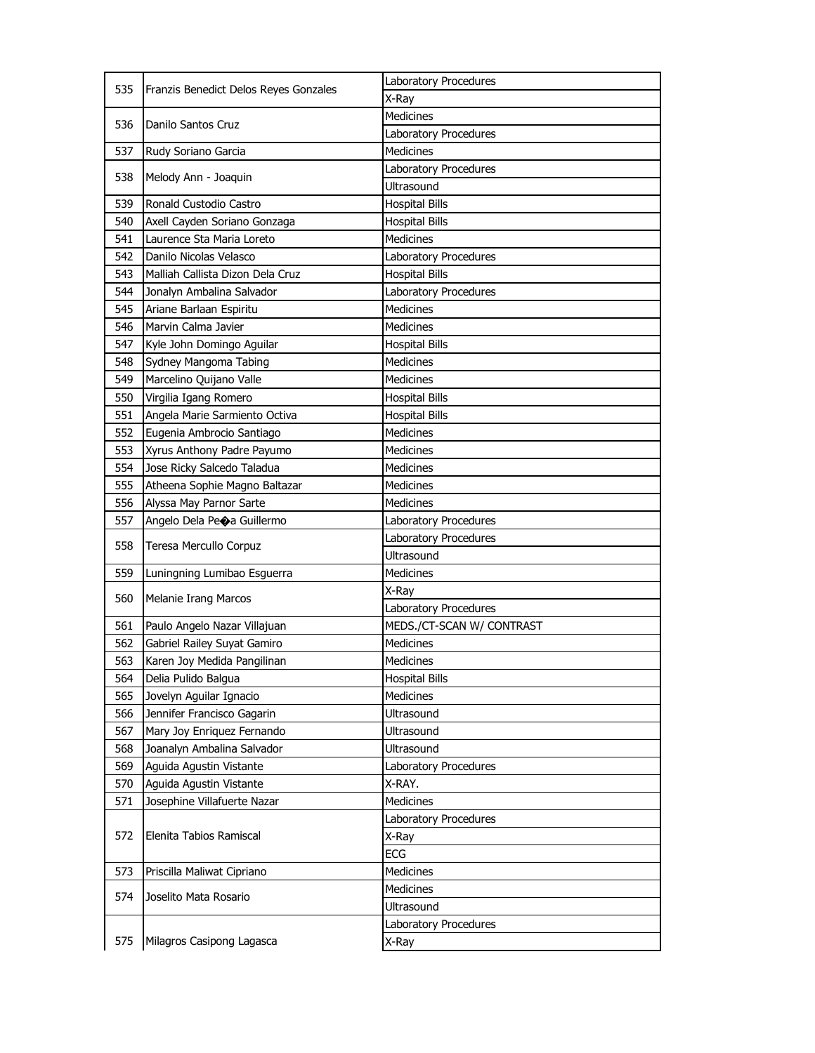| 535 | Franzis Benedict Delos Reyes Gonzales | Laboratory Procedures          |
|-----|---------------------------------------|--------------------------------|
|     |                                       | X-Ray                          |
|     |                                       | Medicines                      |
| 536 | Danilo Santos Cruz                    | Laboratory Procedures          |
| 537 | Rudy Soriano Garcia                   | <b>Medicines</b>               |
|     |                                       | Laboratory Procedures          |
|     | 538<br>Melody Ann - Joaquin           | Ultrasound                     |
| 539 | Ronald Custodio Castro                | <b>Hospital Bills</b>          |
| 540 | Axell Cayden Soriano Gonzaga          | <b>Hospital Bills</b>          |
| 541 | Laurence Sta Maria Loreto             | <b>Medicines</b>               |
| 542 | Danilo Nicolas Velasco                | <b>Laboratory Procedures</b>   |
| 543 | Malliah Callista Dizon Dela Cruz      | <b>Hospital Bills</b>          |
| 544 | Jonalyn Ambalina Salvador             | Laboratory Procedures          |
| 545 | Ariane Barlaan Espiritu               | <b>Medicines</b>               |
| 546 | Marvin Calma Javier                   | <b>Medicines</b>               |
| 547 | Kyle John Domingo Aguilar             | <b>Hospital Bills</b>          |
| 548 | Sydney Mangoma Tabing                 | Medicines                      |
| 549 | Marcelino Quijano Valle               | <b>Medicines</b>               |
| 550 | Virgilia Igang Romero                 | <b>Hospital Bills</b>          |
| 551 | Angela Marie Sarmiento Octiva         | <b>Hospital Bills</b>          |
| 552 | Eugenia Ambrocio Santiago             | <b>Medicines</b>               |
| 553 | Xyrus Anthony Padre Payumo            | Medicines                      |
| 554 | Jose Ricky Salcedo Taladua            | Medicines                      |
| 555 | Atheena Sophie Magno Baltazar         | <b>Medicines</b>               |
| 556 | Alyssa May Parnor Sarte               | <b>Medicines</b>               |
| 557 | Angelo Dela Peoa Guillermo            | Laboratory Procedures          |
|     |                                       |                                |
|     |                                       | Laboratory Procedures          |
| 558 | Teresa Mercullo Corpuz                | <b>Ultrasound</b>              |
| 559 | Luningning Lumibao Esguerra           | <b>Medicines</b>               |
|     |                                       | X-Ray                          |
| 560 | <b>Melanie Irang Marcos</b>           | Laboratory Procedures          |
| 561 | Paulo Angelo Nazar Villajuan          | MEDS./CT-SCAN W/ CONTRAST      |
| 562 | Gabriel Railey Suyat Gamiro           | Medicines                      |
| 563 | Karen Joy Medida Pangilinan           | <b>Medicines</b>               |
| 564 | Delia Pulido Balgua                   | <b>Hospital Bills</b>          |
| 565 | Jovelyn Aguilar Ignacio               | <b>Medicines</b>               |
| 566 | Jennifer Francisco Gagarin            | Ultrasound                     |
| 567 | Mary Joy Enriquez Fernando            | Ultrasound                     |
| 568 | Joanalyn Ambalina Salvador            | Ultrasound                     |
| 569 | Aguida Agustin Vistante               | Laboratory Procedures          |
| 570 | Aguida Agustin Vistante               | X-RAY.                         |
| 571 | Josephine Villafuerte Nazar           | Medicines                      |
|     |                                       | Laboratory Procedures          |
| 572 | Elenita Tabios Ramiscal               | X-Ray                          |
|     |                                       | <b>ECG</b>                     |
| 573 | Priscilla Maliwat Cipriano            | Medicines                      |
| 574 | Joselito Mata Rosario                 | Medicines                      |
|     |                                       | Ultrasound                     |
| 575 | Milagros Casipong Lagasca             | Laboratory Procedures<br>X-Ray |